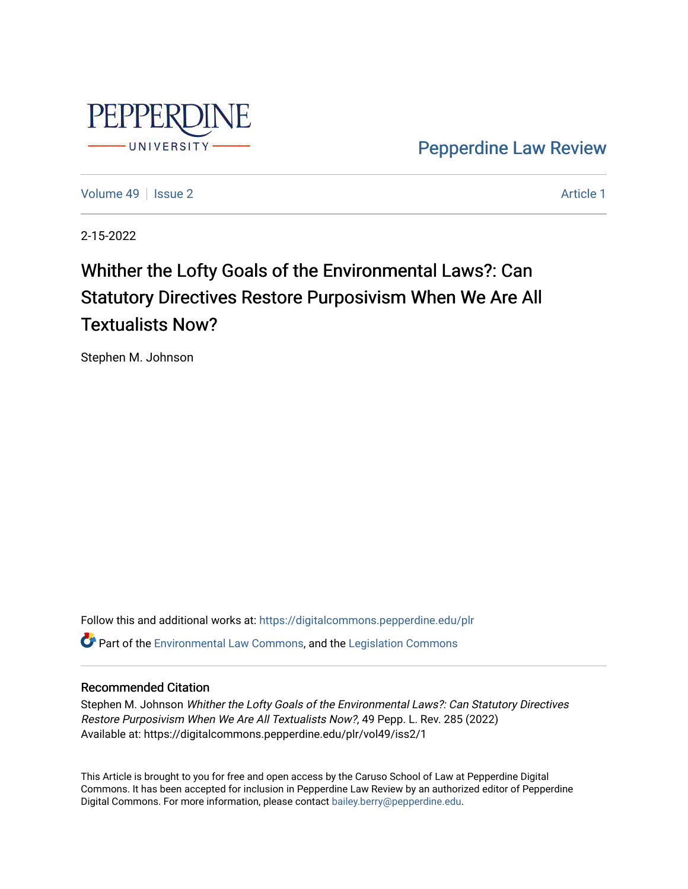

[Pepperdine Law Review](https://digitalcommons.pepperdine.edu/plr) 

[Volume 49](https://digitalcommons.pepperdine.edu/plr/vol49) | [Issue 2](https://digitalcommons.pepperdine.edu/plr/vol49/iss2) Article 1

2-15-2022

# Whither the Lofty Goals of the Environmental Laws?: Can Statutory Directives Restore Purposivism When We Are All Textualists Now?

Stephen M. Johnson

Follow this and additional works at: [https://digitalcommons.pepperdine.edu/plr](https://digitalcommons.pepperdine.edu/plr?utm_source=digitalcommons.pepperdine.edu%2Fplr%2Fvol49%2Fiss2%2F1&utm_medium=PDF&utm_campaign=PDFCoverPages) Part of the [Environmental Law Commons](http://network.bepress.com/hgg/discipline/599?utm_source=digitalcommons.pepperdine.edu%2Fplr%2Fvol49%2Fiss2%2F1&utm_medium=PDF&utm_campaign=PDFCoverPages), and the [Legislation Commons](http://network.bepress.com/hgg/discipline/859?utm_source=digitalcommons.pepperdine.edu%2Fplr%2Fvol49%2Fiss2%2F1&utm_medium=PDF&utm_campaign=PDFCoverPages) 

## Recommended Citation

Stephen M. Johnson Whither the Lofty Goals of the Environmental Laws?: Can Statutory Directives Restore Purposivism When We Are All Textualists Now?, 49 Pepp. L. Rev. 285 (2022) Available at: https://digitalcommons.pepperdine.edu/plr/vol49/iss2/1

This Article is brought to you for free and open access by the Caruso School of Law at Pepperdine Digital Commons. It has been accepted for inclusion in Pepperdine Law Review by an authorized editor of Pepperdine Digital Commons. For more information, please contact [bailey.berry@pepperdine.edu.](mailto:bailey.berry@pepperdine.edu)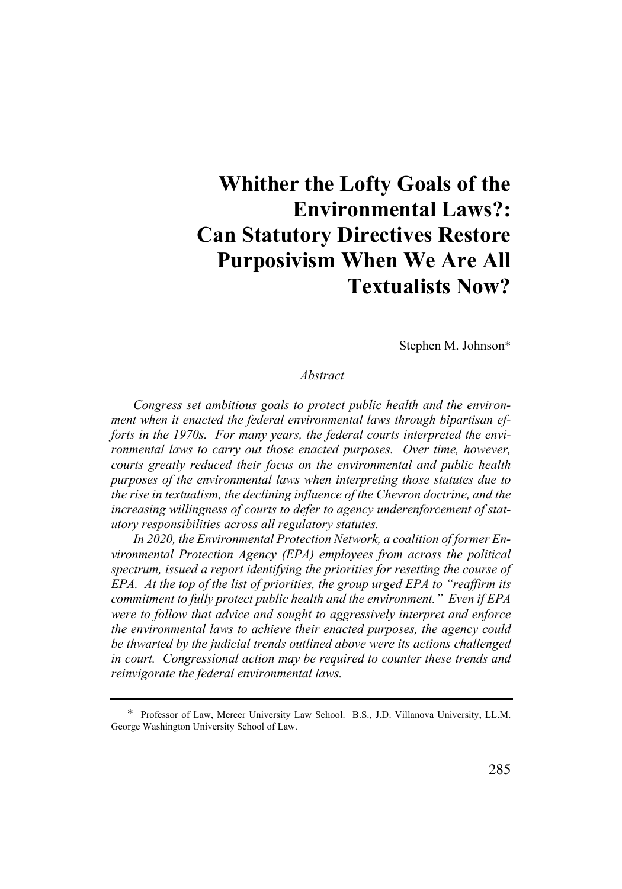## **Whither the Lofty Goals of the Environmental Laws?: Can Statutory Directives Restore Purposivism When We Are All Textualists Now?**

Stephen M. Johnson\*

#### *Abstract*

*Congress set ambitious goals to protect public health and the environment when it enacted the federal environmental laws through bipartisan efforts in the 1970s. For many years, the federal courts interpreted the environmental laws to carry out those enacted purposes. Over time, however, courts greatly reduced their focus on the environmental and public health purposes of the environmental laws when interpreting those statutes due to the rise in textualism, the declining influence of the Chevron doctrine, and the increasing willingness of courts to defer to agency underenforcement of statutory responsibilities across all regulatory statutes.* 

*In 2020, the Environmental Protection Network, a coalition of former Environmental Protection Agency (EPA) employees from across the political spectrum, issued a report identifying the priorities for resetting the course of EPA. At the top of the list of priorities, the group urged EPA to "reaffirm its commitment to fully protect public health and the environment." Even if EPA were to follow that advice and sought to aggressively interpret and enforce the environmental laws to achieve their enacted purposes, the agency could be thwarted by the judicial trends outlined above were its actions challenged in court. Congressional action may be required to counter these trends and reinvigorate the federal environmental laws.* 

<sup>\*</sup> Professor of Law, Mercer University Law School. B.S., J.D. Villanova University, LL.M. George Washington University School of Law.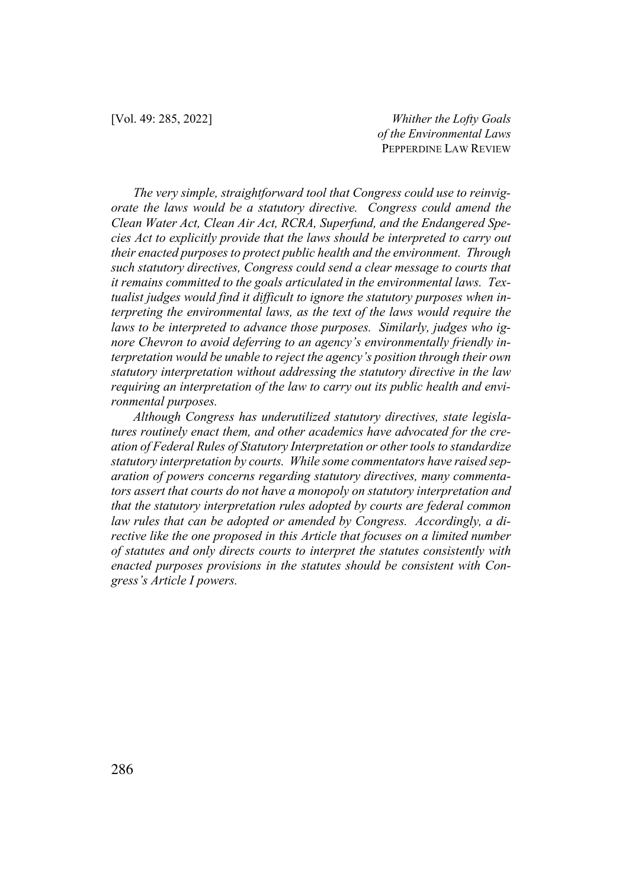*The very simple, straightforward tool that Congress could use to reinvigorate the laws would be a statutory directive. Congress could amend the Clean Water Act, Clean Air Act, RCRA, Superfund, and the Endangered Species Act to explicitly provide that the laws should be interpreted to carry out their enacted purposes to protect public health and the environment. Through such statutory directives, Congress could send a clear message to courts that it remains committed to the goals articulated in the environmental laws. Textualist judges would find it difficult to ignore the statutory purposes when interpreting the environmental laws, as the text of the laws would require the laws to be interpreted to advance those purposes. Similarly, judges who ignore Chevron to avoid deferring to an agency's environmentally friendly interpretation would be unable to reject the agency's position through their own statutory interpretation without addressing the statutory directive in the law requiring an interpretation of the law to carry out its public health and environmental purposes.* 

*Although Congress has underutilized statutory directives, state legislatures routinely enact them, and other academics have advocated for the creation of Federal Rules of Statutory Interpretation or other tools to standardize statutory interpretation by courts. While some commentators have raised separation of powers concerns regarding statutory directives, many commentators assert that courts do not have a monopoly on statutory interpretation and that the statutory interpretation rules adopted by courts are federal common law rules that can be adopted or amended by Congress. Accordingly, a directive like the one proposed in this Article that focuses on a limited number of statutes and only directs courts to interpret the statutes consistently with enacted purposes provisions in the statutes should be consistent with Congress's Article I powers.*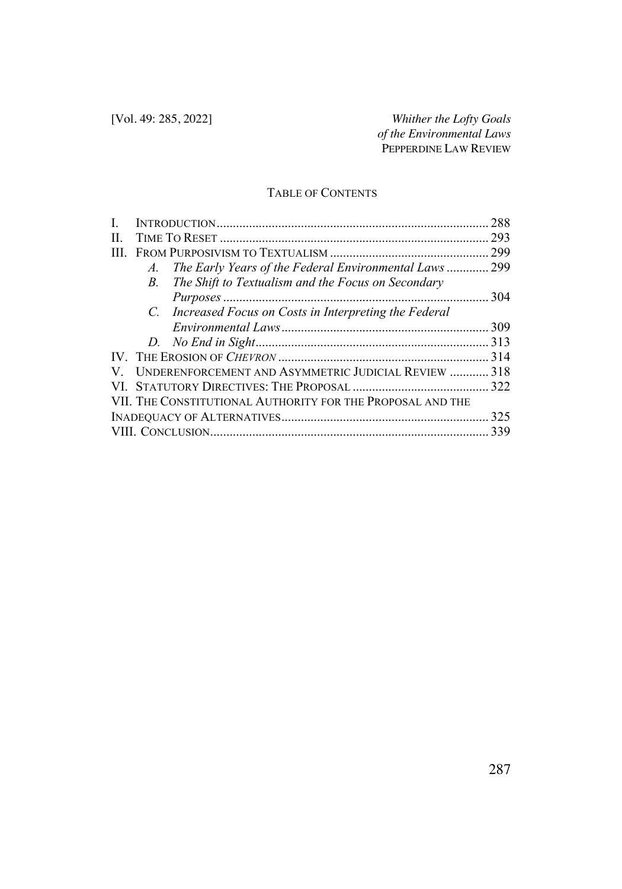## TABLE OF CONTENTS

|     |    |                                                            | 288 |
|-----|----|------------------------------------------------------------|-----|
| II. |    |                                                            | 293 |
| ШL  |    |                                                            | 299 |
|     | A. | The Early Years of the Federal Environmental Laws 299      |     |
|     | B. | The Shift to Textualism and the Focus on Secondary         |     |
|     |    |                                                            | 304 |
|     |    | C. Increased Focus on Costs in Interpreting the Federal    |     |
|     |    |                                                            | 309 |
|     |    |                                                            |     |
|     |    |                                                            |     |
| V.  |    | UNDERENFORCEMENT AND ASYMMETRIC JUDICIAL REVIEW  318       |     |
|     |    |                                                            |     |
|     |    | VII. THE CONSTITUTIONAL AUTHORITY FOR THE PROPOSAL AND THE |     |
|     |    |                                                            |     |
|     |    |                                                            | 339 |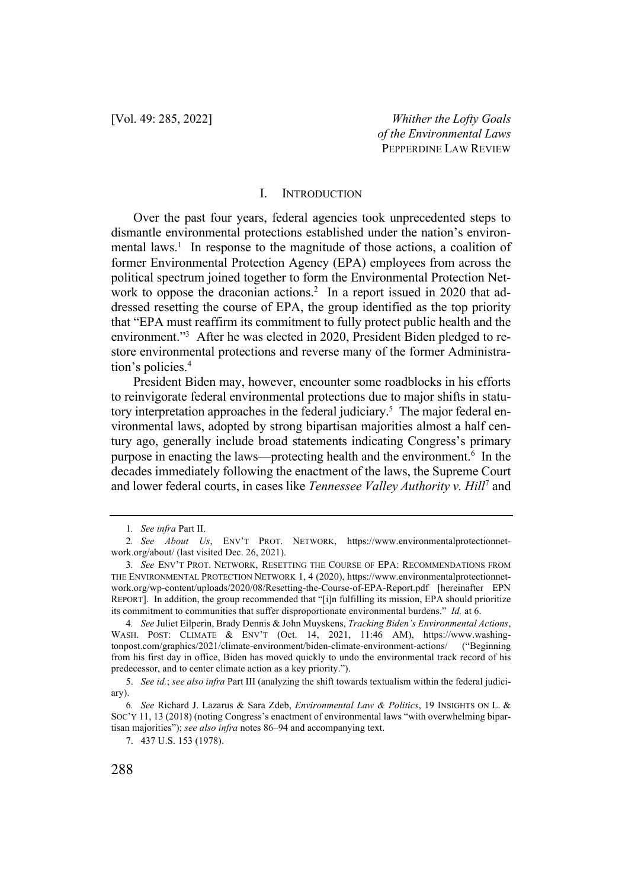#### I. INTRODUCTION

Over the past four years, federal agencies took unprecedented steps to dismantle environmental protections established under the nation's environmental laws.<sup>1</sup> In response to the magnitude of those actions, a coalition of former Environmental Protection Agency (EPA) employees from across the political spectrum joined together to form the Environmental Protection Network to oppose the draconian actions.<sup>2</sup> In a report issued in 2020 that addressed resetting the course of EPA, the group identified as the top priority that "EPA must reaffirm its commitment to fully protect public health and the environment."<sup>3</sup> After he was elected in 2020, President Biden pledged to restore environmental protections and reverse many of the former Administration's policies.<sup>4</sup>

President Biden may, however, encounter some roadblocks in his efforts to reinvigorate federal environmental protections due to major shifts in statutory interpretation approaches in the federal judiciary.<sup>5</sup> The major federal environmental laws, adopted by strong bipartisan majorities almost a half century ago, generally include broad statements indicating Congress's primary purpose in enacting the laws—protecting health and the environment.6 In the decades immediately following the enactment of the laws, the Supreme Court and lower federal courts, in cases like *Tennessee Valley Authority v. Hill*<sup>7</sup> and

<sup>1</sup>*. See infra* Part II.

<sup>2</sup>*. See About Us*, ENV'T PROT. NETWORK, https://www.environmentalprotectionnetwork.org/about/ (last visited Dec. 26, 2021).

<sup>3</sup>*. See* ENV'T PROT. NETWORK, RESETTING THE COURSE OF EPA: RECOMMENDATIONS FROM THE ENVIRONMENTAL PROTECTION NETWORK 1, 4 (2020), https://www.environmentalprotectionnetwork.org/wp-content/uploads/2020/08/Resetting-the-Course-of-EPA-Report.pdf [hereinafter EPN REPORT]. In addition, the group recommended that "[i]n fulfilling its mission, EPA should prioritize its commitment to communities that suffer disproportionate environmental burdens." *Id.* at 6.

<sup>4</sup>*. See* Juliet Eilperin, Brady Dennis & John Muyskens, *Tracking Biden's Environmental Actions*, WASH. POST: CLIMATE & ENV'T (Oct. 14, 2021, 11:46 AM), https://www.washingtonpost.com/graphics/2021/climate-environment/biden-climate-environment-actions/ ("Beginning from his first day in office, Biden has moved quickly to undo the environmental track record of his predecessor, and to center climate action as a key priority.").

<sup>5.</sup> *See id.*; *see also infra* Part III (analyzing the shift towards textualism within the federal judiciary).

<sup>6</sup>*. See* Richard J. Lazarus & Sara Zdeb, *Environmental Law & Politics*, 19 INSIGHTS ON L. & SOC'Y 11, 13 (2018) (noting Congress's enactment of environmental laws "with overwhelming bipartisan majorities"); *see also infra* notes 86–94 and accompanying text.

<sup>7.</sup> 437 U.S. 153 (1978).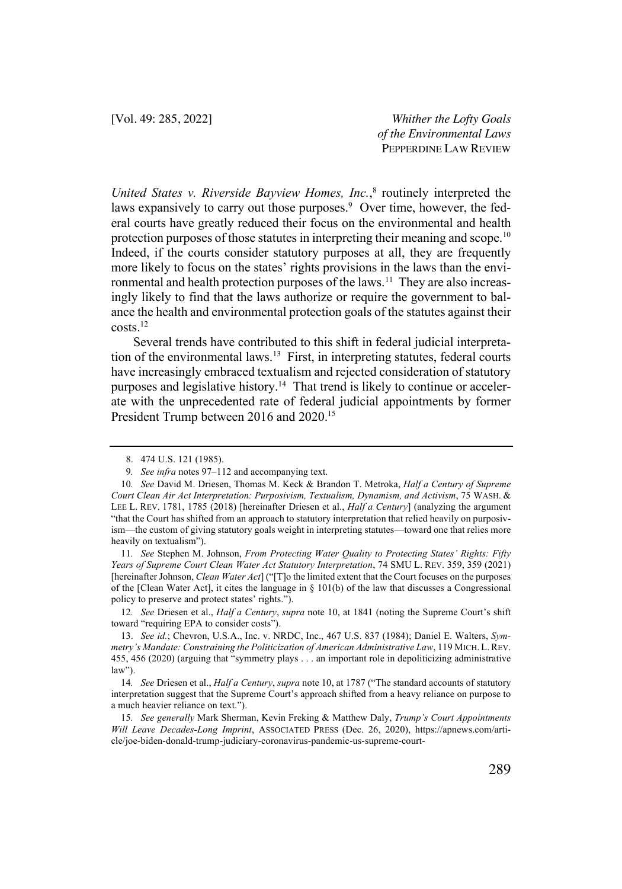*United States v. Riverside Bayview Homes, Inc.*, <sup>8</sup> routinely interpreted the laws expansively to carry out those purposes.<sup>9</sup> Over time, however, the federal courts have greatly reduced their focus on the environmental and health protection purposes of those statutes in interpreting their meaning and scope.<sup>10</sup> Indeed, if the courts consider statutory purposes at all, they are frequently more likely to focus on the states' rights provisions in the laws than the environmental and health protection purposes of the laws.<sup>11</sup> They are also increasingly likely to find that the laws authorize or require the government to balance the health and environmental protection goals of the statutes against their costs.12

Several trends have contributed to this shift in federal judicial interpretation of the environmental laws.<sup>13</sup> First, in interpreting statutes, federal courts have increasingly embraced textualism and rejected consideration of statutory purposes and legislative history.<sup>14</sup> That trend is likely to continue or accelerate with the unprecedented rate of federal judicial appointments by former President Trump between 2016 and 2020.<sup>15</sup>

11*. See* Stephen M. Johnson, *From Protecting Water Quality to Protecting States' Rights: Fifty Years of Supreme Court Clean Water Act Statutory Interpretation*, 74 SMU L. REV. 359, 359 (2021) [hereinafter Johnson, *Clean Water Act*] ("[T]o the limited extent that the Court focuses on the purposes of the [Clean Water Act], it cites the language in  $\S$  101(b) of the law that discusses a Congressional policy to preserve and protect states' rights.").

12*. See* Driesen et al., *Half a Century*, *supra* note 10, at 1841 (noting the Supreme Court's shift toward "requiring EPA to consider costs").

<sup>8.</sup> 474 U.S. 121 (1985).

<sup>9</sup>*. See infra* notes 97–112 and accompanying text.

<sup>10</sup>*. See* David M. Driesen, Thomas M. Keck & Brandon T. Metroka, *Half a Century of Supreme Court Clean Air Act Interpretation: Purposivism, Textualism, Dynamism, and Activism*, 75 WASH. & LEE L. REV. 1781, 1785 (2018) [hereinafter Driesen et al., *Half a Century*] (analyzing the argument "that the Court has shifted from an approach to statutory interpretation that relied heavily on purposivism—the custom of giving statutory goals weight in interpreting statutes—toward one that relies more heavily on textualism").

<sup>13.</sup> *See id.*; Chevron, U.S.A., Inc. v. NRDC, Inc., 467 U.S. 837 (1984); Daniel E. Walters, *Symmetry's Mandate: Constraining the Politicization of American Administrative Law*, 119 MICH. L.REV. 455, 456 (2020) (arguing that "symmetry plays . . . an important role in depoliticizing administrative law").

<sup>14</sup>*. See* Driesen et al., *Half a Century*, *supra* note 10, at 1787 ("The standard accounts of statutory interpretation suggest that the Supreme Court's approach shifted from a heavy reliance on purpose to a much heavier reliance on text.").

<sup>15</sup>*. See generally* Mark Sherman, Kevin Freking & Matthew Daly, *Trump's Court Appointments Will Leave Decades-Long Imprint*, ASSOCIATED PRESS (Dec. 26, 2020), https://apnews.com/article/joe-biden-donald-trump-judiciary-coronavirus-pandemic-us-supreme-court-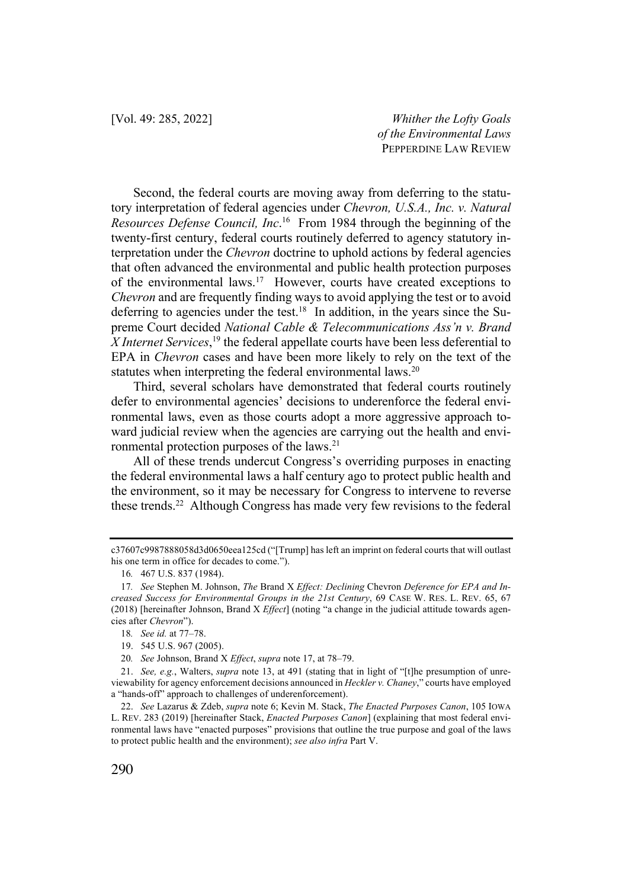Second, the federal courts are moving away from deferring to the statutory interpretation of federal agencies under *Chevron, U.S.A., Inc. v. Natural Resources Defense Council, Inc*. 16 From 1984 through the beginning of the twenty-first century, federal courts routinely deferred to agency statutory interpretation under the *Chevron* doctrine to uphold actions by federal agencies that often advanced the environmental and public health protection purposes of the environmental laws.17 However, courts have created exceptions to *Chevron* and are frequently finding ways to avoid applying the test or to avoid deferring to agencies under the test.18 In addition, in the years since the Supreme Court decided *National Cable & Telecommunications Ass'n v. Brand*  X Internet Services,<sup>19</sup> the federal appellate courts have been less deferential to EPA in *Chevron* cases and have been more likely to rely on the text of the statutes when interpreting the federal environmental laws.<sup>20</sup>

Third, several scholars have demonstrated that federal courts routinely defer to environmental agencies' decisions to underenforce the federal environmental laws, even as those courts adopt a more aggressive approach toward judicial review when the agencies are carrying out the health and environmental protection purposes of the laws.21

All of these trends undercut Congress's overriding purposes in enacting the federal environmental laws a half century ago to protect public health and the environment, so it may be necessary for Congress to intervene to reverse these trends.<sup>22</sup> Although Congress has made very few revisions to the federal

c37607c9987888058d3d0650eea125cd ("[Trump] has left an imprint on federal courts that will outlast his one term in office for decades to come.").

<sup>16</sup>*.* 467 U.S. 837 (1984).

<sup>17</sup>*. See* Stephen M. Johnson, *The* Brand X *Effect: Declining* Chevron *Deference for EPA and Increased Success for Environmental Groups in the 21st Century*, 69 CASE W. RES. L. REV. 65, 67 (2018) [hereinafter Johnson, Brand X *Effect*] (noting "a change in the judicial attitude towards agencies after *Chevron*").

<sup>18</sup>*. See id.* at 77–78.

<sup>19.</sup> 545 U.S. 967 (2005).

<sup>20</sup>*. See* Johnson, Brand X *Effect*, *supra* note 17, at 78–79.

<sup>21.</sup> *See, e.g.*, Walters, *supra* note 13, at 491 (stating that in light of "[t]he presumption of unreviewability for agency enforcement decisions announced in *Heckler v. Chaney*," courts have employed a "hands-off" approach to challenges of underenforcement).

<sup>22.</sup> *See* Lazarus & Zdeb, *supra* note 6; Kevin M. Stack, *The Enacted Purposes Canon*, 105 IOWA L. REV. 283 (2019) [hereinafter Stack, *Enacted Purposes Canon*] (explaining that most federal environmental laws have "enacted purposes" provisions that outline the true purpose and goal of the laws to protect public health and the environment); *see also infra* Part V.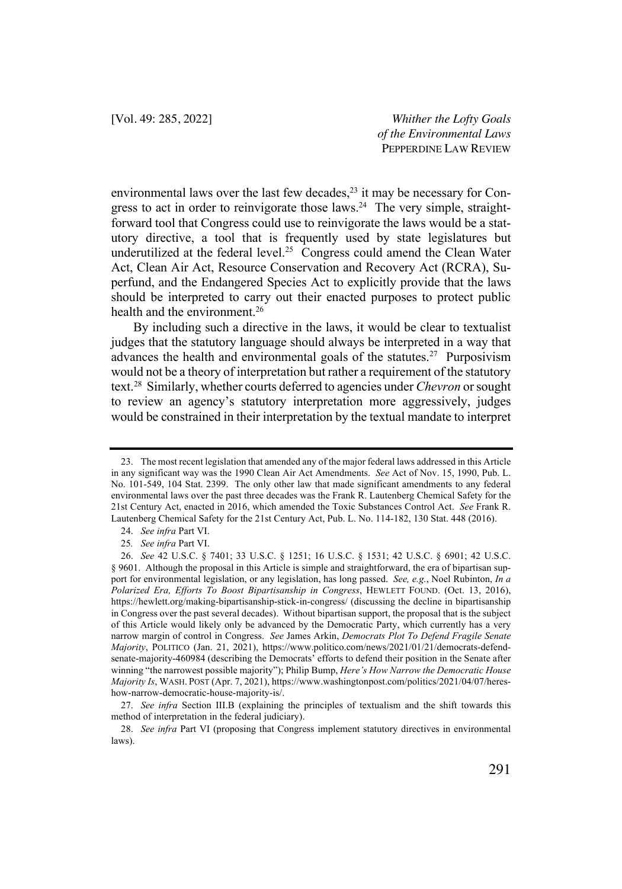environmental laws over the last few decades, <sup>23</sup> it may be necessary for Congress to act in order to reinvigorate those laws.<sup>24</sup> The very simple, straightforward tool that Congress could use to reinvigorate the laws would be a statutory directive, a tool that is frequently used by state legislatures but underutilized at the federal level.<sup>25</sup> Congress could amend the Clean Water Act, Clean Air Act, Resource Conservation and Recovery Act (RCRA), Superfund, and the Endangered Species Act to explicitly provide that the laws should be interpreted to carry out their enacted purposes to protect public health and the environment.<sup>26</sup>

By including such a directive in the laws, it would be clear to textualist judges that the statutory language should always be interpreted in a way that advances the health and environmental goals of the statutes.<sup>27</sup> Purposivism would not be a theory of interpretation but rather a requirement of the statutory text.28 Similarly, whether courts deferred to agencies under *Chevron* or sought to review an agency's statutory interpretation more aggressively, judges would be constrained in their interpretation by the textual mandate to interpret

<sup>23.</sup> The most recent legislation that amended any of the major federal laws addressed in this Article in any significant way was the 1990 Clean Air Act Amendments. *See* Act of Nov. 15, 1990, Pub. L. No. 101-549, 104 Stat. 2399. The only other law that made significant amendments to any federal environmental laws over the past three decades was the Frank R. Lautenberg Chemical Safety for the 21st Century Act, enacted in 2016, which amended the Toxic Substances Control Act. *See* Frank R. Lautenberg Chemical Safety for the 21st Century Act, Pub. L. No. 114-182, 130 Stat. 448 (2016).

<sup>24.</sup> *See infra* Part VI.

<sup>25</sup>*. See infra* Part VI.

<sup>26.</sup> *See* 42 U.S.C. § 7401; 33 U.S.C. § 1251; 16 U.S.C. § 1531; 42 U.S.C. § 6901; 42 U.S.C. § 9601. Although the proposal in this Article is simple and straightforward, the era of bipartisan support for environmental legislation, or any legislation, has long passed. *See, e.g.*, Noel Rubinton, *In a Polarized Era, Efforts To Boost Bipartisanship in Congress*, HEWLETT FOUND. (Oct. 13, 2016), https://hewlett.org/making-bipartisanship-stick-in-congress/ (discussing the decline in bipartisanship in Congress over the past several decades). Without bipartisan support, the proposal that is the subject of this Article would likely only be advanced by the Democratic Party, which currently has a very narrow margin of control in Congress. *See* James Arkin, *Democrats Plot To Defend Fragile Senate Majority*, POLITICO (Jan. 21, 2021), https://www.politico.com/news/2021/01/21/democrats-defendsenate-majority-460984 (describing the Democrats' efforts to defend their position in the Senate after winning "the narrowest possible majority"); Philip Bump, *Here's How Narrow the Democratic House Majority Is*, WASH. POST (Apr. 7, 2021), https://www.washingtonpost.com/politics/2021/04/07/hereshow-narrow-democratic-house-majority-is/.

<sup>27.</sup> *See infra* Section III.B (explaining the principles of textualism and the shift towards this method of interpretation in the federal judiciary).

<sup>28.</sup> *See infra* Part VI (proposing that Congress implement statutory directives in environmental laws).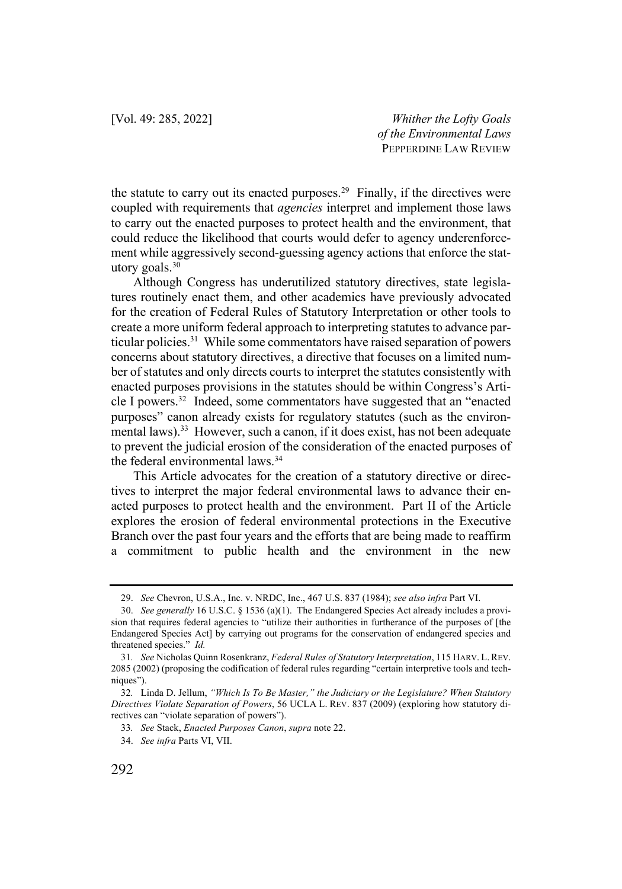the statute to carry out its enacted purposes.<sup>29</sup> Finally, if the directives were coupled with requirements that *agencies* interpret and implement those laws to carry out the enacted purposes to protect health and the environment, that could reduce the likelihood that courts would defer to agency underenforcement while aggressively second-guessing agency actions that enforce the statutory goals. $30$ 

Although Congress has underutilized statutory directives, state legislatures routinely enact them, and other academics have previously advocated for the creation of Federal Rules of Statutory Interpretation or other tools to create a more uniform federal approach to interpreting statutes to advance particular policies.31 While some commentators have raised separation of powers concerns about statutory directives, a directive that focuses on a limited number of statutes and only directs courts to interpret the statutes consistently with enacted purposes provisions in the statutes should be within Congress's Article I powers.32 Indeed, some commentators have suggested that an "enacted purposes" canon already exists for regulatory statutes (such as the environmental laws).<sup>33</sup> However, such a canon, if it does exist, has not been adequate to prevent the judicial erosion of the consideration of the enacted purposes of the federal environmental laws.34

This Article advocates for the creation of a statutory directive or directives to interpret the major federal environmental laws to advance their enacted purposes to protect health and the environment. Part II of the Article explores the erosion of federal environmental protections in the Executive Branch over the past four years and the efforts that are being made to reaffirm a commitment to public health and the environment in the new

<sup>29.</sup> *See* Chevron, U.S.A., Inc. v. NRDC, Inc., 467 U.S. 837 (1984); *see also infra* Part VI.

<sup>30.</sup> *See generally* 16 U.S.C. § 1536 (a)(1). The Endangered Species Act already includes a provision that requires federal agencies to "utilize their authorities in furtherance of the purposes of [the Endangered Species Act] by carrying out programs for the conservation of endangered species and threatened species." *Id.*

<sup>31</sup>*. See* Nicholas Quinn Rosenkranz, *Federal Rules of Statutory Interpretation*, 115 HARV. L. REV. 2085 (2002) (proposing the codification of federal rules regarding "certain interpretive tools and techniques").

<sup>32</sup>*.* Linda D. Jellum, *"Which Is To Be Master," the Judiciary or the Legislature? When Statutory Directives Violate Separation of Powers*, 56 UCLA L. REV. 837 (2009) (exploring how statutory directives can "violate separation of powers").

<sup>33</sup>*. See* Stack, *Enacted Purposes Canon*, *supra* note 22.

<sup>34.</sup> *See infra* Parts VI, VII.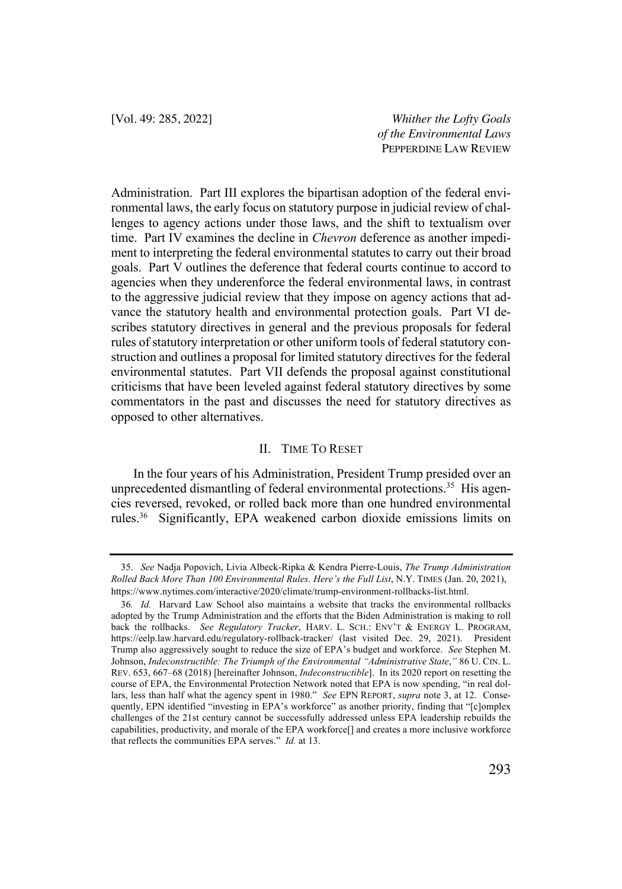Administration. Part III explores the bipartisan adoption of the federal environmental laws, the early focus on statutory purpose in judicial review of challenges to agency actions under those laws, and the shift to textualism over time. Part IV examines the decline in *Chevron* deference as another impediment to interpreting the federal environmental statutes to carry out their broad goals. Part V outlines the deference that federal courts continue to accord to agencies when they underenforce the federal environmental laws, in contrast to the aggressive judicial review that they impose on agency actions that advance the statutory health and environmental protection goals. Part VI describes statutory directives in general and the previous proposals for federal rules of statutory interpretation or other uniform tools of federal statutory construction and outlines a proposal for limited statutory directives for the federal environmental statutes. Part VII defends the proposal against constitutional criticisms that have been leveled against federal statutory directives by some commentators in the past and discusses the need for statutory directives as opposed to other alternatives.

#### II. TIME TO RESET

In the four years of his Administration, President Trump presided over an unprecedented dismantling of federal environmental protections.<sup>35</sup> His agencies reversed, revoked, or rolled back more than one hundred environmental rules.36 Significantly, EPA weakened carbon dioxide emissions limits on

<sup>35.</sup> *See* Nadja Popovich, Livia Albeck-Ripka & Kendra Pierre-Louis, *The Trump Administration Rolled Back More Than 100 Environmental Rules. Here's the Full List*, N.Y. TIMES (Jan. 20, 2021), https://www.nytimes.com/interactive/2020/climate/trump-environment-rollbacks-list.html.

<sup>36</sup>*. Id.* Harvard Law School also maintains a website that tracks the environmental rollbacks adopted by the Trump Administration and the efforts that the Biden Administration is making to roll back the rollbacks. *See Regulatory Tracker*, HARV. L. SCH.: ENV'T & ENERGY L. PROGRAM, https://eelp.law.harvard.edu/regulatory-rollback-tracker/ (last visited Dec. 29, 2021). President Trump also aggressively sought to reduce the size of EPA's budget and workforce. *See* Stephen M. Johnson, *Indeconstructible: The Triumph of the Environmental "Administrative State*,*"* 86 U. CIN. L. REV. 653, 667–68 (2018) [hereinafter Johnson, *Indeconstructible*]. In its 2020 report on resetting the course of EPA, the Environmental Protection Network noted that EPA is now spending, "in real dollars, less than half what the agency spent in 1980." *See* EPN REPORT, *supra* note 3, at 12. Consequently, EPN identified "investing in EPA's workforce" as another priority, finding that "[c]omplex challenges of the 21st century cannot be successfully addressed unless EPA leadership rebuilds the capabilities, productivity, and morale of the EPA workforce[] and creates a more inclusive workforce that reflects the communities EPA serves." *Id.* at 13.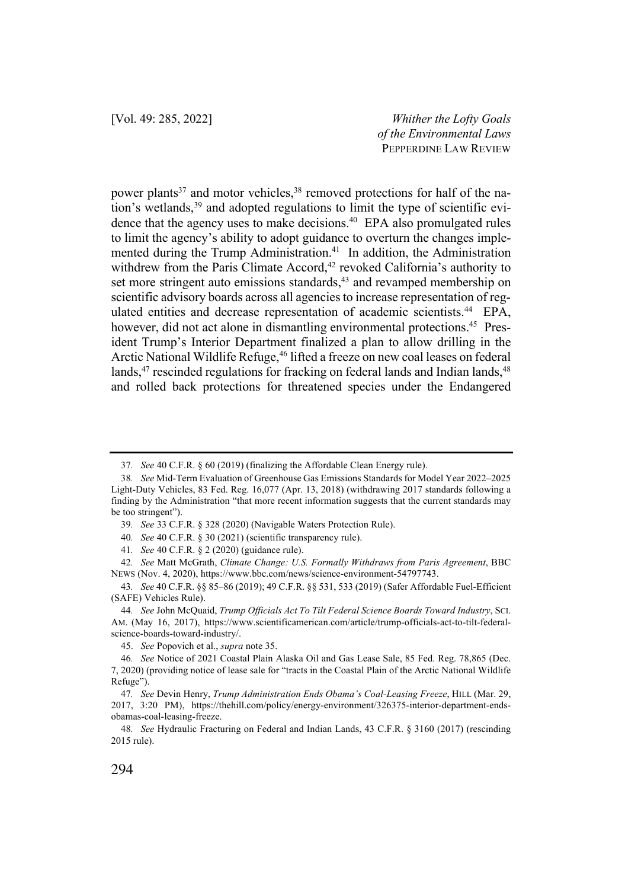power plants<sup>37</sup> and motor vehicles,<sup>38</sup> removed protections for half of the nation's wetlands, <sup>39</sup> and adopted regulations to limit the type of scientific evidence that the agency uses to make decisions. 40 EPA also promulgated rules to limit the agency's ability to adopt guidance to overturn the changes implemented during the Trump Administration.<sup>41</sup> In addition, the Administration withdrew from the Paris Climate Accord,<sup>42</sup> revoked California's authority to set more stringent auto emissions standards,<sup>43</sup> and revamped membership on scientific advisory boards across all agencies to increase representation of regulated entities and decrease representation of academic scientists. 44 EPA, however, did not act alone in dismantling environmental protections.<sup>45</sup> President Trump's Interior Department finalized a plan to allow drilling in the Arctic National Wildlife Refuge, <sup>46</sup> lifted a freeze on new coal leases on federal lands,<sup>47</sup> rescinded regulations for fracking on federal lands and Indian lands,<sup>48</sup> and rolled back protections for threatened species under the Endangered

<sup>37</sup>*. See* 40 C.F.R. § 60 (2019) (finalizing the Affordable Clean Energy rule).

<sup>38</sup>*. See* Mid-Term Evaluation of Greenhouse Gas Emissions Standards for Model Year 2022–2025 Light-Duty Vehicles, 83 Fed. Reg. 16,077 (Apr. 13, 2018) (withdrawing 2017 standards following a finding by the Administration "that more recent information suggests that the current standards may be too stringent").

<sup>39</sup>*. See* 33 C.F.R. § 328 (2020) (Navigable Waters Protection Rule).

<sup>40</sup>*. See* 40 C.F.R. § 30 (2021) (scientific transparency rule).

<sup>41</sup>*. See* 40 C.F.R. § 2 (2020) (guidance rule).

<sup>42</sup>*. See* Matt McGrath, *Climate Change: U.S. Formally Withdraws from Paris Agreement*, BBC NEWS (Nov. 4, 2020), https://www.bbc.com/news/science-environment-54797743.

<sup>43</sup>*. See* 40 C.F.R. §§ 85–86 (2019); 49 C.F.R. §§ 531, 533 (2019) (Safer Affordable Fuel-Efficient (SAFE) Vehicles Rule).

<sup>44</sup>*. See* John McQuaid, *Trump Officials Act To Tilt Federal Science Boards Toward Industry*, SCI. AM. (May 16, 2017), https://www.scientificamerican.com/article/trump-officials-act-to-tilt-federalscience-boards-toward-industry/.

<sup>45.</sup> *See* Popovich et al., *supra* note 35.

<sup>46</sup>*. See* Notice of 2021 Coastal Plain Alaska Oil and Gas Lease Sale, 85 Fed. Reg. 78,865 (Dec. 7, 2020) (providing notice of lease sale for "tracts in the Coastal Plain of the Arctic National Wildlife Refuge").

<sup>47</sup>*. See* Devin Henry, *Trump Administration Ends Obama's Coal-Leasing Freeze*, HILL (Mar. 29, 2017, 3:20 PM), https://thehill.com/policy/energy-environment/326375-interior-department-endsobamas-coal-leasing-freeze.

<sup>48</sup>*. See* Hydraulic Fracturing on Federal and Indian Lands, 43 C.F.R. § 3160 (2017) (rescinding 2015 rule).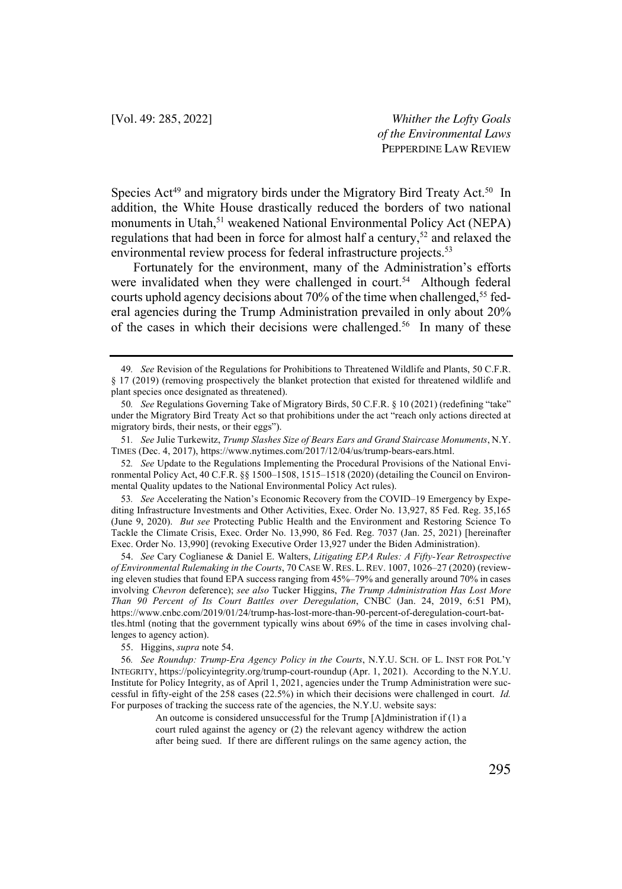Species Act<sup>49</sup> and migratory birds under the Migratory Bird Treaty Act.<sup>50</sup> In addition, the White House drastically reduced the borders of two national monuments in Utah, <sup>51</sup> weakened National Environmental Policy Act (NEPA) regulations that had been in force for almost half a century,<sup>52</sup> and relaxed the environmental review process for federal infrastructure projects.<sup>53</sup>

Fortunately for the environment, many of the Administration's efforts were invalidated when they were challenged in court.<sup>54</sup> Although federal courts uphold agency decisions about 70% of the time when challenged, <sup>55</sup> federal agencies during the Trump Administration prevailed in only about 20% of the cases in which their decisions were challenged.<sup>56</sup> In many of these

52*. See* Update to the Regulations Implementing the Procedural Provisions of the National Environmental Policy Act, 40 C.F.R. §§ 1500–1508, 1515–1518 (2020) (detailing the Council on Environmental Quality updates to the National Environmental Policy Act rules).

53*. See* Accelerating the Nation's Economic Recovery from the COVID–19 Emergency by Expediting Infrastructure Investments and Other Activities, Exec. Order No. 13,927, 85 Fed. Reg. 35,165 (June 9, 2020). *But see* Protecting Public Health and the Environment and Restoring Science To Tackle the Climate Crisis, Exec. Order No. 13,990, 86 Fed. Reg. 7037 (Jan. 25, 2021) [hereinafter Exec. Order No. 13,990] (revoking Executive Order 13,927 under the Biden Administration).

54. *See* Cary Coglianese & Daniel E. Walters, *Litigating EPA Rules: A Fifty-Year Retrospective of Environmental Rulemaking in the Courts*, 70 CASE W. RES. L. REV. 1007, 1026–27 (2020) (reviewing eleven studies that found EPA success ranging from 45%–79% and generally around 70% in cases involving *Chevron* deference); *see also* Tucker Higgins, *The Trump Administration Has Lost More Than 90 Percent of Its Court Battles over Deregulation*, CNBC (Jan. 24, 2019, 6:51 PM), https://www.cnbc.com/2019/01/24/trump-has-lost-more-than-90-percent-of-deregulation-court-battles.html (noting that the government typically wins about 69% of the time in cases involving challenges to agency action).

55. Higgins, *supra* note 54.

56*. See Roundup: Trump-Era Agency Policy in the Courts*, N.Y.U. SCH. OF L. INST FOR POL'Y INTEGRITY, https://policyintegrity.org/trump-court-roundup (Apr. 1, 2021). According to the N.Y.U. Institute for Policy Integrity, as of April 1, 2021, agencies under the Trump Administration were successful in fifty-eight of the 258 cases (22.5%) in which their decisions were challenged in court. *Id.*  For purposes of tracking the success rate of the agencies, the N.Y.U. website says:

<sup>49</sup>*. See* Revision of the Regulations for Prohibitions to Threatened Wildlife and Plants, 50 C.F.R. § 17 (2019) (removing prospectively the blanket protection that existed for threatened wildlife and plant species once designated as threatened).

<sup>50</sup>*. See* Regulations Governing Take of Migratory Birds, 50 C.F.R. § 10 (2021) (redefining "take" under the Migratory Bird Treaty Act so that prohibitions under the act "reach only actions directed at migratory birds, their nests, or their eggs").

<sup>51</sup>*. See* Julie Turkewitz, *Trump Slashes Size of Bears Ears and Grand Staircase Monuments*, N.Y. TIMES (Dec. 4, 2017), https://www.nytimes.com/2017/12/04/us/trump-bears-ears.html.

An outcome is considered unsuccessful for the Trump [A]dministration if (1) a court ruled against the agency or (2) the relevant agency withdrew the action after being sued. If there are different rulings on the same agency action, the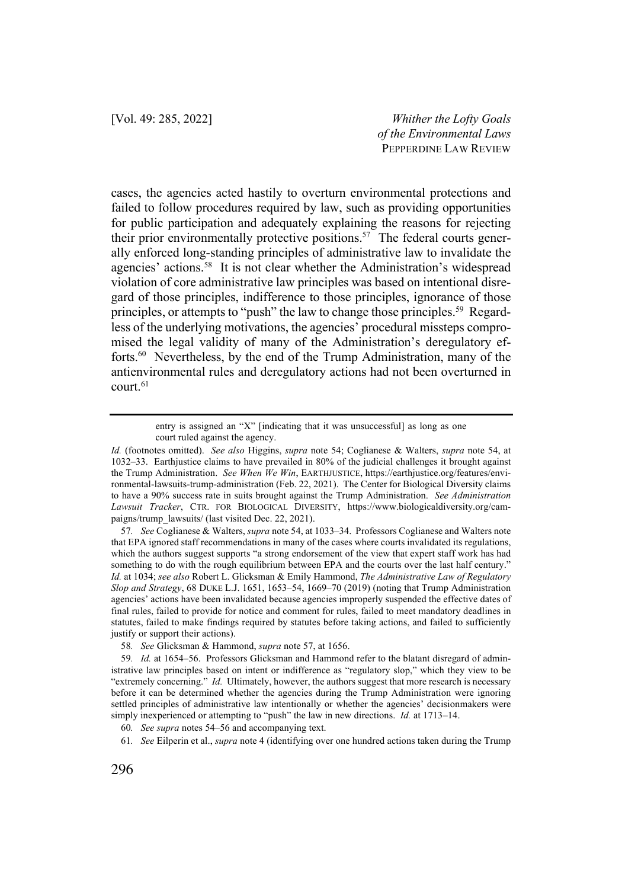cases, the agencies acted hastily to overturn environmental protections and failed to follow procedures required by law, such as providing opportunities for public participation and adequately explaining the reasons for rejecting their prior environmentally protective positions.<sup>57</sup> The federal courts generally enforced long-standing principles of administrative law to invalidate the agencies' actions.<sup>58</sup> It is not clear whether the Administration's widespread violation of core administrative law principles was based on intentional disregard of those principles, indifference to those principles, ignorance of those principles, or attempts to "push" the law to change those principles.<sup>59</sup> Regardless of the underlying motivations, the agencies' procedural missteps compromised the legal validity of many of the Administration's deregulatory efforts.60 Nevertheless, by the end of the Trump Administration, many of the antienvironmental rules and deregulatory actions had not been overturned in  $court<sub>.61</sub>$ 

entry is assigned an "X" [indicating that it was unsuccessful] as long as one court ruled against the agency.

*Id.* (footnotes omitted). *See also* Higgins, *supra* note 54; Coglianese & Walters, *supra* note 54, at 1032–33. Earthjustice claims to have prevailed in 80% of the judicial challenges it brought against the Trump Administration. *See When We Win*, EARTHJUSTICE, https://earthjustice.org/features/environmental-lawsuits-trump-administration (Feb. 22, 2021). The Center for Biological Diversity claims to have a 90% success rate in suits brought against the Trump Administration. *See Administration Lawsuit Tracker*, CTR. FOR BIOLOGICAL DIVERSITY, https://www.biologicaldiversity.org/campaigns/trump\_lawsuits/ (last visited Dec. 22, 2021).

<sup>57</sup>*. See* Coglianese & Walters, *supra* note 54, at 1033–34. Professors Coglianese and Walters note that EPA ignored staff recommendations in many of the cases where courts invalidated its regulations, which the authors suggest supports "a strong endorsement of the view that expert staff work has had something to do with the rough equilibrium between EPA and the courts over the last half century." *Id.* at 1034; *see also* Robert L. Glicksman & Emily Hammond, *The Administrative Law of Regulatory Slop and Strategy*, 68 DUKE L.J. 1651, 1653–54, 1669–70 (2019) (noting that Trump Administration agencies' actions have been invalidated because agencies improperly suspended the effective dates of final rules, failed to provide for notice and comment for rules, failed to meet mandatory deadlines in statutes, failed to make findings required by statutes before taking actions, and failed to sufficiently justify or support their actions).

<sup>58</sup>*. See* Glicksman & Hammond, *supra* note 57, at 1656.

<sup>59</sup>*. Id.* at 1654–56. Professors Glicksman and Hammond refer to the blatant disregard of administrative law principles based on intent or indifference as "regulatory slop," which they view to be "extremely concerning." *Id.* Ultimately, however, the authors suggest that more research is necessary before it can be determined whether the agencies during the Trump Administration were ignoring settled principles of administrative law intentionally or whether the agencies' decisionmakers were simply inexperienced or attempting to "push" the law in new directions. *Id.* at 1713–14.

<sup>60</sup>*. See supra* notes 54–56 and accompanying text.

<sup>61</sup>*. See* Eilperin et al., *supra* note 4 (identifying over one hundred actions taken during the Trump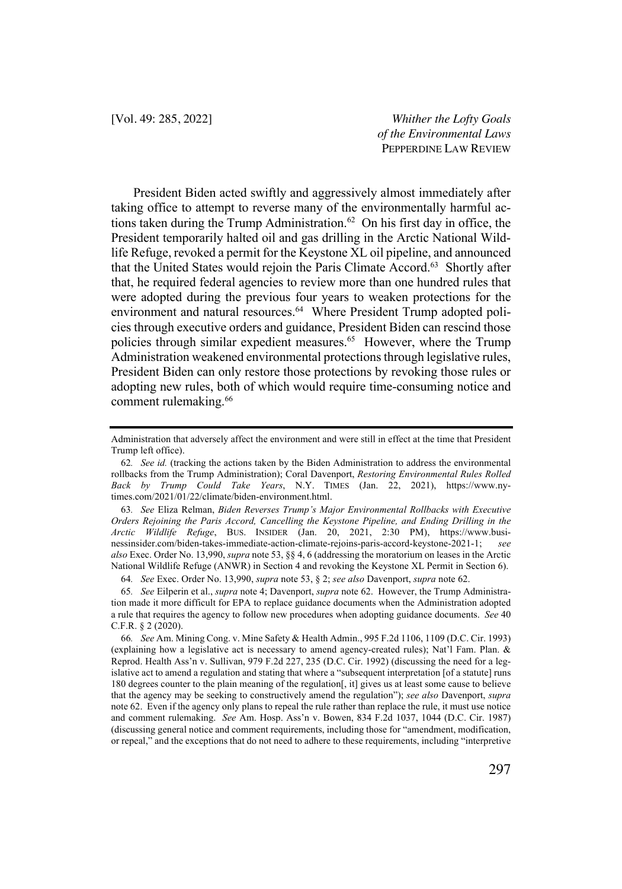President Biden acted swiftly and aggressively almost immediately after taking office to attempt to reverse many of the environmentally harmful actions taken during the Trump Administration.<sup>62</sup> On his first day in office, the President temporarily halted oil and gas drilling in the Arctic National Wildlife Refuge, revoked a permit for the Keystone XL oil pipeline, and announced that the United States would rejoin the Paris Climate Accord.<sup>63</sup> Shortly after that, he required federal agencies to review more than one hundred rules that were adopted during the previous four years to weaken protections for the environment and natural resources.<sup>64</sup> Where President Trump adopted policies through executive orders and guidance, President Biden can rescind those policies through similar expedient measures.<sup>65</sup> However, where the Trump Administration weakened environmental protections through legislative rules, President Biden can only restore those protections by revoking those rules or adopting new rules, both of which would require time-consuming notice and comment rulemaking. 66

64*. See* Exec. Order No. 13,990, *supra* note 53, § 2; *see also* Davenport, *supra* note 62.

Administration that adversely affect the environment and were still in effect at the time that President Trump left office).

<sup>62</sup>*. See id.* (tracking the actions taken by the Biden Administration to address the environmental rollbacks from the Trump Administration); Coral Davenport, *Restoring Environmental Rules Rolled Back by Trump Could Take Years*, N.Y. TIMES (Jan. 22, 2021), https://www.nytimes.com/2021/01/22/climate/biden-environment.html.

<sup>63</sup>*. See* Eliza Relman, *Biden Reverses Trump's Major Environmental Rollbacks with Executive Orders Rejoining the Paris Accord, Cancelling the Keystone Pipeline, and Ending Drilling in the Arctic Wildlife Refuge*, BUS. INSIDER (Jan. 20, 2021, 2:30 PM), https://www.businessinsider.com/biden-takes-immediate-action-climate-rejoins-paris-accord-keystone-2021-1; *see also* Exec. Order No. 13,990, *supra* note 53, §§ 4, 6 (addressing the moratorium on leases in the Arctic National Wildlife Refuge (ANWR) in Section 4 and revoking the Keystone XL Permit in Section 6).

<sup>65</sup>*. See* Eilperin et al., *supra* note 4; Davenport, *supra* note 62. However, the Trump Administration made it more difficult for EPA to replace guidance documents when the Administration adopted a rule that requires the agency to follow new procedures when adopting guidance documents. *See* 40 C.F.R. § 2 (2020).

<sup>66</sup>*. See* Am. Mining Cong. v. Mine Safety & Health Admin., 995 F.2d 1106, 1109 (D.C. Cir. 1993) (explaining how a legislative act is necessary to amend agency-created rules); Nat'l Fam. Plan. & Reprod. Health Ass'n v. Sullivan, 979 F.2d 227, 235 (D.C. Cir. 1992) (discussing the need for a legislative act to amend a regulation and stating that where a "subsequent interpretation [of a statute] runs 180 degrees counter to the plain meaning of the regulation[, it] gives us at least some cause to believe that the agency may be seeking to constructively amend the regulation"); *see also* Davenport, *supra*  note 62. Even if the agency only plans to repeal the rule rather than replace the rule, it must use notice and comment rulemaking. *See* Am. Hosp. Ass'n v. Bowen, 834 F.2d 1037, 1044 (D.C. Cir. 1987) (discussing general notice and comment requirements, including those for "amendment, modification, or repeal," and the exceptions that do not need to adhere to these requirements, including "interpretive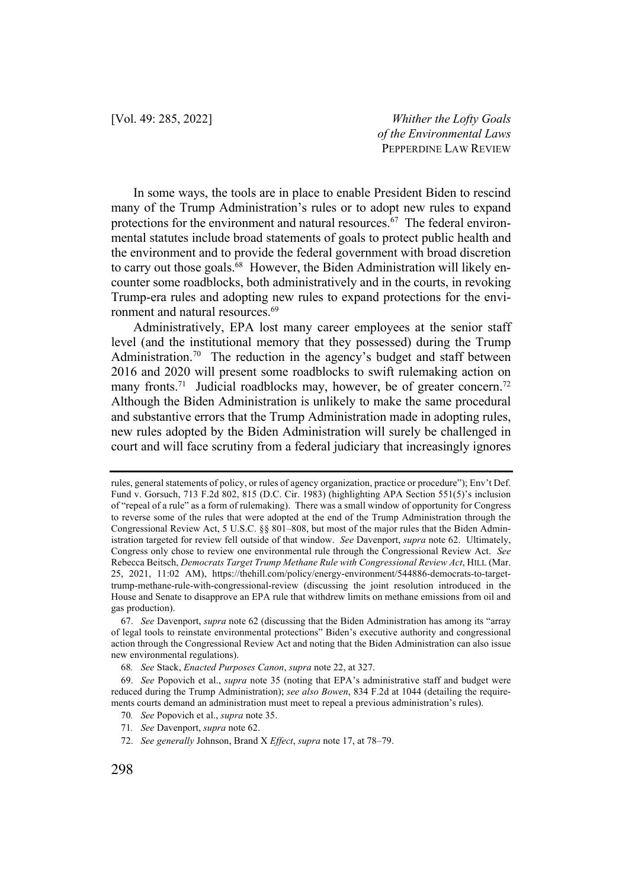In some ways, the tools are in place to enable President Biden to rescind many of the Trump Administration's rules or to adopt new rules to expand protections for the environment and natural resources.<sup>67</sup> The federal environmental statutes include broad statements of goals to protect public health and the environment and to provide the federal government with broad discretion to carry out those goals.<sup>68</sup> However, the Biden Administration will likely encounter some roadblocks, both administratively and in the courts, in revoking Trump-era rules and adopting new rules to expand protections for the environment and natural resources.<sup>69</sup>

Administratively, EPA lost many career employees at the senior staff level (and the institutional memory that they possessed) during the Trump Administration.<sup>70</sup> The reduction in the agency's budget and staff between 2016 and 2020 will present some roadblocks to swift rulemaking action on many fronts.<sup>71</sup> Judicial roadblocks may, however, be of greater concern.<sup>72</sup> Although the Biden Administration is unlikely to make the same procedural and substantive errors that the Trump Administration made in adopting rules, new rules adopted by the Biden Administration will surely be challenged in court and will face scrutiny from a federal judiciary that increasingly ignores

rules, general statements of policy, or rules of agency organization, practice or procedure"); Env't Def. Fund v. Gorsuch, 713 F.2d 802, 815 (D.C. Cir. 1983) (highlighting APA Section 551(5)'s inclusion of "repeal of a rule" as a form of rulemaking). There was a small window of opportunity for Congress to reverse some of the rules that were adopted at the end of the Trump Administration through the Congressional Review Act, 5 U.S.C. §§ 801–808, but most of the major rules that the Biden Administration targeted for review fell outside of that window. *See* Davenport, *supra* note 62. Ultimately, Congress only chose to review one environmental rule through the Congressional Review Act. *See* Rebecca Beitsch, *Democrats Target Trump Methane Rule with Congressional Review Act*, HILL (Mar. 25, 2021, 11:02 AM), https://thehill.com/policy/energy-environment/544886-democrats-to-targettrump-methane-rule-with-congressional-review (discussing the joint resolution introduced in the House and Senate to disapprove an EPA rule that withdrew limits on methane emissions from oil and gas production).

<sup>67.</sup> *See* Davenport, *supra* note 62 (discussing that the Biden Administration has among its "array of legal tools to reinstate environmental protections" Biden's executive authority and congressional action through the Congressional Review Act and noting that the Biden Administration can also issue new environmental regulations).

<sup>68</sup>*. See* Stack, *Enacted Purposes Canon*, *supra* note 22, at 327.

<sup>69.</sup> *See* Popovich et al., *supra* note 35 (noting that EPA's administrative staff and budget were reduced during the Trump Administration); *see also Bowen*, 834 F.2d at 1044 (detailing the requirements courts demand an administration must meet to repeal a previous administration's rules).

<sup>70</sup>*. See* Popovich et al., *supra* note 35.

<sup>71</sup>*. See* Davenport, *supra* note 62.

<sup>72.</sup> *See generally* Johnson, Brand X *Effect*, *supra* note 17, at 78–79.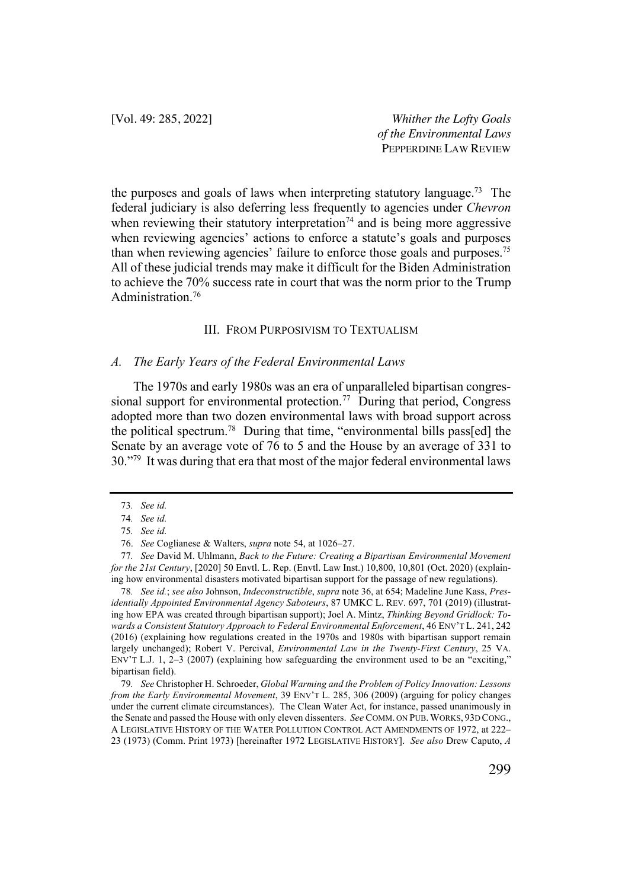the purposes and goals of laws when interpreting statutory language.73 The federal judiciary is also deferring less frequently to agencies under *Chevron* when reviewing their statutory interpretation<sup> $74$ </sup> and is being more aggressive when reviewing agencies' actions to enforce a statute's goals and purposes than when reviewing agencies' failure to enforce those goals and purposes.<sup>75</sup> All of these judicial trends may make it difficult for the Biden Administration to achieve the 70% success rate in court that was the norm prior to the Trump Administration.76

## III. FROM PURPOSIVISM TO TEXTUALISM

## *A. The Early Years of the Federal Environmental Laws*

The 1970s and early 1980s was an era of unparalleled bipartisan congressional support for environmental protection.<sup>77</sup> During that period, Congress adopted more than two dozen environmental laws with broad support across the political spectrum.<sup>78</sup> During that time, "environmental bills pass[ed] the Senate by an average vote of 76 to 5 and the House by an average of 331 to 30."<sup>79</sup> It was during that era that most of the major federal environmental laws

78*. See id.*; *see also* Johnson, *Indeconstructible*, *supra* note 36, at 654; Madeline June Kass, *Presidentially Appointed Environmental Agency Saboteurs*, 87 UMKC L. REV. 697, 701 (2019) (illustrating how EPA was created through bipartisan support); Joel A. Mintz, *Thinking Beyond Gridlock: Towards a Consistent Statutory Approach to Federal Environmental Enforcement*, 46 ENV'T L. 241, 242 (2016) (explaining how regulations created in the 1970s and 1980s with bipartisan support remain largely unchanged); Robert V. Percival, *Environmental Law in the Twenty-First Century*, 25 VA. ENV'T L.J. 1, 2–3 (2007) (explaining how safeguarding the environment used to be an "exciting," bipartisan field).

79*. See* Christopher H. Schroeder, *Global Warming and the Problem of Policy Innovation: Lessons from the Early Environmental Movement*, 39 ENV'T L. 285, 306 (2009) (arguing for policy changes under the current climate circumstances). The Clean Water Act, for instance, passed unanimously in the Senate and passed the House with only eleven dissenters. *See* COMM. ON PUB. WORKS, 93D CONG., A LEGISLATIVE HISTORY OF THE WATER POLLUTION CONTROL ACT AMENDMENTS OF 1972, at 222– 23 (1973) (Comm. Print 1973) [hereinafter 1972 LEGISLATIVE HISTORY]. *See also* Drew Caputo, *A* 

<sup>73</sup>*. See id.*

<sup>74</sup>*. See id.*

<sup>75</sup>*. See id.*

<sup>76.</sup> *See* Coglianese & Walters, *supra* note 54, at 1026–27.

<sup>77</sup>*. See* David M. Uhlmann, *Back to the Future: Creating a Bipartisan Environmental Movement for the 21st Century*, [2020] 50 Envtl. L. Rep. (Envtl. Law Inst.) 10,800, 10,801 (Oct. 2020) (explaining how environmental disasters motivated bipartisan support for the passage of new regulations).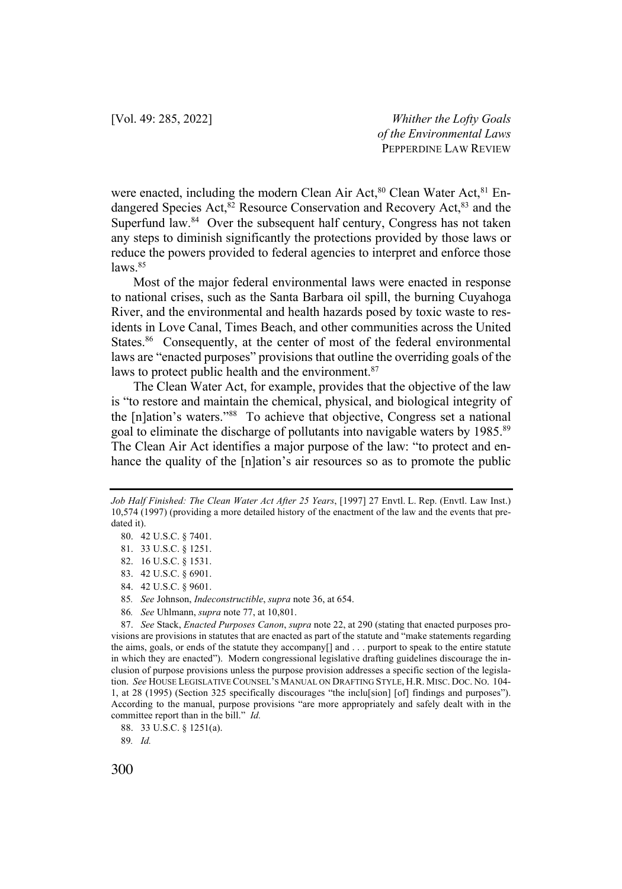were enacted, including the modern Clean Air Act,<sup>80</sup> Clean Water Act,<sup>81</sup> Endangered Species Act,<sup>82</sup> Resource Conservation and Recovery Act,<sup>83</sup> and the Superfund law.<sup>84</sup> Over the subsequent half century, Congress has not taken any steps to diminish significantly the protections provided by those laws or reduce the powers provided to federal agencies to interpret and enforce those  $laws.$ <sup>85</sup>

Most of the major federal environmental laws were enacted in response to national crises, such as the Santa Barbara oil spill, the burning Cuyahoga River, and the environmental and health hazards posed by toxic waste to residents in Love Canal, Times Beach, and other communities across the United States.<sup>86</sup> Consequently, at the center of most of the federal environmental laws are "enacted purposes" provisions that outline the overriding goals of the laws to protect public health and the environment.<sup>87</sup>

The Clean Water Act, for example, provides that the objective of the law is "to restore and maintain the chemical, physical, and biological integrity of the [n]ation's waters."88 To achieve that objective, Congress set a national goal to eliminate the discharge of pollutants into navigable waters by 1985.<sup>89</sup> The Clean Air Act identifies a major purpose of the law: "to protect and enhance the quality of the [n]ation's air resources so as to promote the public

86*. See* Uhlmann, *supra* note 77, at 10,801.

*Job Half Finished: The Clean Water Act After 25 Years*, [1997] 27 Envtl. L. Rep. (Envtl. Law Inst.) 10,574 (1997) (providing a more detailed history of the enactment of the law and the events that predated it).

<sup>80.</sup> 42 U.S.C. § 7401.

<sup>81.</sup> 33 U.S.C. § 1251.

<sup>82.</sup> 16 U.S.C. § 1531.

<sup>83.</sup> 42 U.S.C. § 6901.

<sup>84.</sup> 42 U.S.C. § 9601.

<sup>85</sup>*. See* Johnson, *Indeconstructible*, *supra* note 36, at 654.

<sup>87.</sup> *See* Stack, *Enacted Purposes Canon*, *supra* note 22, at 290 (stating that enacted purposes provisions are provisions in statutes that are enacted as part of the statute and "make statements regarding the aims, goals, or ends of the statute they accompany[] and . . . purport to speak to the entire statute in which they are enacted"). Modern congressional legislative drafting guidelines discourage the inclusion of purpose provisions unless the purpose provision addresses a specific section of the legislation. *See* HOUSE LEGISLATIVE COUNSEL'S MANUAL ON DRAFTING STYLE, H.R. MISC. DOC. NO. 104- 1, at 28 (1995) (Section 325 specifically discourages "the inclu[sion] [of] findings and purposes"). According to the manual, purpose provisions "are more appropriately and safely dealt with in the committee report than in the bill." *Id.* 

<sup>88.</sup> 33 U.S.C. § 1251(a).

<sup>89</sup>*. Id.*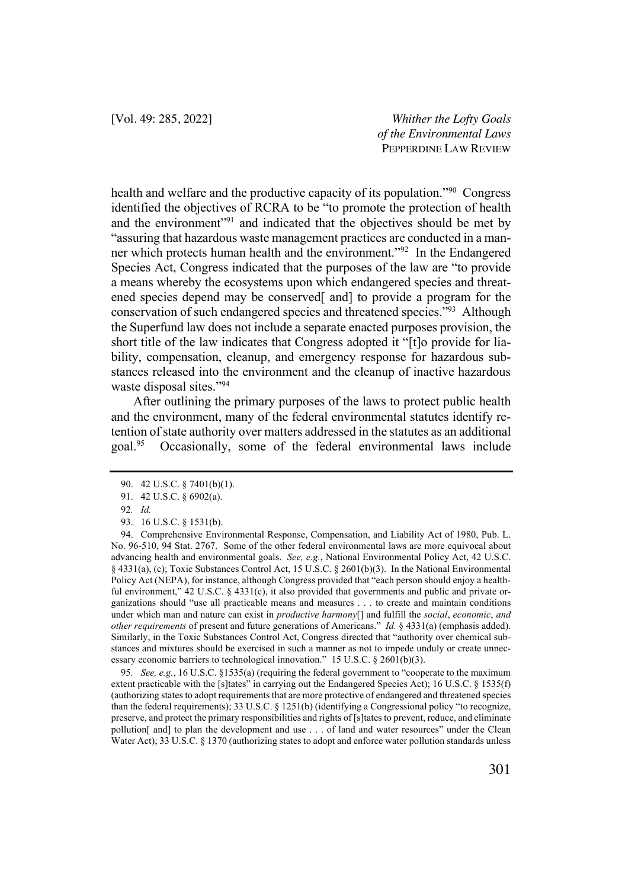health and welfare and the productive capacity of its population."90 Congress identified the objectives of RCRA to be "to promote the protection of health and the environment<sup>"91</sup> and indicated that the objectives should be met by "assuring that hazardous waste management practices are conducted in a manner which protects human health and the environment."<sup>92</sup> In the Endangered Species Act, Congress indicated that the purposes of the law are "to provide a means whereby the ecosystems upon which endangered species and threatened species depend may be conserved<sup>[</sup> and] to provide a program for the conservation of such endangered species and threatened species."93 Although the Superfund law does not include a separate enacted purposes provision, the short title of the law indicates that Congress adopted it "[t]o provide for liability, compensation, cleanup, and emergency response for hazardous substances released into the environment and the cleanup of inactive hazardous waste disposal sites."94

After outlining the primary purposes of the laws to protect public health and the environment, many of the federal environmental statutes identify retention of state authority over matters addressed in the statutes as an additional goal.95 Occasionally, some of the federal environmental laws include

<sup>90.</sup> 42 U.S.C. § 7401(b)(1).

<sup>91.</sup> 42 U.S.C. § 6902(a).

<sup>92</sup>*. Id.*

<sup>93.</sup> 16 U.S.C. § 1531(b).

<sup>94.</sup> Comprehensive Environmental Response, Compensation, and Liability Act of 1980, Pub. L. No. 96-510, 94 Stat. 2767. Some of the other federal environmental laws are more equivocal about advancing health and environmental goals. *See, e.g.*, National Environmental Policy Act, 42 U.S.C. § 4331(a), (c); Toxic Substances Control Act, 15 U.S.C. § 2601(b)(3). In the National Environmental Policy Act (NEPA), for instance, although Congress provided that "each person should enjoy a healthful environment," 42 U.S.C. § 4331(c), it also provided that governments and public and private organizations should "use all practicable means and measures . . . to create and maintain conditions under which man and nature can exist in *productive harmony*[] and fulfill the *social*, *economic*, *and other requirements* of present and future generations of Americans."*Id.* § 4331(a) (emphasis added). Similarly, in the Toxic Substances Control Act, Congress directed that "authority over chemical substances and mixtures should be exercised in such a manner as not to impede unduly or create unnecessary economic barriers to technological innovation." 15 U.S.C. § 2601(b)(3).

<sup>95</sup>*. See, e.g.*, 16 U.S.C. §1535(a) (requiring the federal government to "cooperate to the maximum extent practicable with the [s]tates" in carrying out the Endangered Species Act); 16 U.S.C. § 1535(f) (authorizing states to adopt requirements that are more protective of endangered and threatened species than the federal requirements); 33 U.S.C. § 1251(b) (identifying a Congressional policy "to recognize, preserve, and protect the primary responsibilities and rights of [s]tates to prevent, reduce, and eliminate pollution[ and] to plan the development and use . . . of land and water resources" under the Clean Water Act); 33 U.S.C. § 1370 (authorizing states to adopt and enforce water pollution standards unless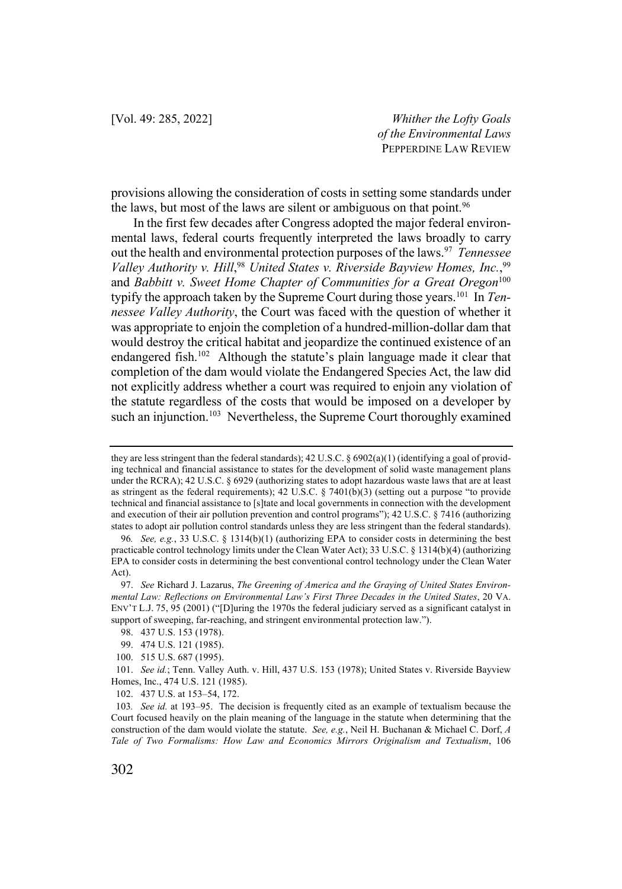provisions allowing the consideration of costs in setting some standards under the laws, but most of the laws are silent or ambiguous on that point.<sup>96</sup>

In the first few decades after Congress adopted the major federal environmental laws, federal courts frequently interpreted the laws broadly to carry out the health and environmental protection purposes of the laws.<sup>97</sup> *Tennessee Valley Authority v. Hill*, <sup>98</sup> *United States v. Riverside Bayview Homes, Inc.*, 99 and *Babbitt v. Sweet Home Chapter of Communities for a Great Oregon*<sup>100</sup> typify the approach taken by the Supreme Court during those years.101 In *Tennessee Valley Authority*, the Court was faced with the question of whether it was appropriate to enjoin the completion of a hundred-million-dollar dam that would destroy the critical habitat and jeopardize the continued existence of an endangered fish.<sup>102</sup> Although the statute's plain language made it clear that completion of the dam would violate the Endangered Species Act, the law did not explicitly address whether a court was required to enjoin any violation of the statute regardless of the costs that would be imposed on a developer by such an injunction.<sup>103</sup> Nevertheless, the Supreme Court thoroughly examined

they are less stringent than the federal standards); 42 U.S.C. § 6902(a)(1) (identifying a goal of providing technical and financial assistance to states for the development of solid waste management plans under the RCRA); 42 U.S.C. § 6929 (authorizing states to adopt hazardous waste laws that are at least as stringent as the federal requirements); 42 U.S.C. § 7401(b)(3) (setting out a purpose "to provide technical and financial assistance to [s]tate and local governments in connection with the development and execution of their air pollution prevention and control programs"); 42 U.S.C. § 7416 (authorizing states to adopt air pollution control standards unless they are less stringent than the federal standards).

<sup>96</sup>*. See, e.g.*, 33 U.S.C. § 1314(b)(1) (authorizing EPA to consider costs in determining the best practicable control technology limits under the Clean Water Act); 33 U.S.C. § 1314(b)(4) (authorizing EPA to consider costs in determining the best conventional control technology under the Clean Water Act).

<sup>97.</sup> *See* Richard J. Lazarus, *The Greening of America and the Graying of United States Environmental Law: Reflections on Environmental Law's First Three Decades in the United States*, 20 VA. ENV'T L.J. 75, 95 (2001) ("[D]uring the 1970s the federal judiciary served as a significant catalyst in support of sweeping, far-reaching, and stringent environmental protection law.").

<sup>98.</sup> 437 U.S. 153 (1978).

<sup>99.</sup> 474 U.S. 121 (1985).

<sup>100.</sup> 515 U.S. 687 (1995).

<sup>101.</sup> *See id.*; Tenn. Valley Auth. v. Hill, 437 U.S. 153 (1978); United States v. Riverside Bayview Homes, Inc., 474 U.S. 121 (1985).

<sup>102.</sup> 437 U.S. at 153–54, 172.

<sup>103</sup>*. See id.* at 193–95. The decision is frequently cited as an example of textualism because the Court focused heavily on the plain meaning of the language in the statute when determining that the construction of the dam would violate the statute. *See, e.g.*, Neil H. Buchanan & Michael C. Dorf, *A Tale of Two Formalisms: How Law and Economics Mirrors Originalism and Textualism*, 106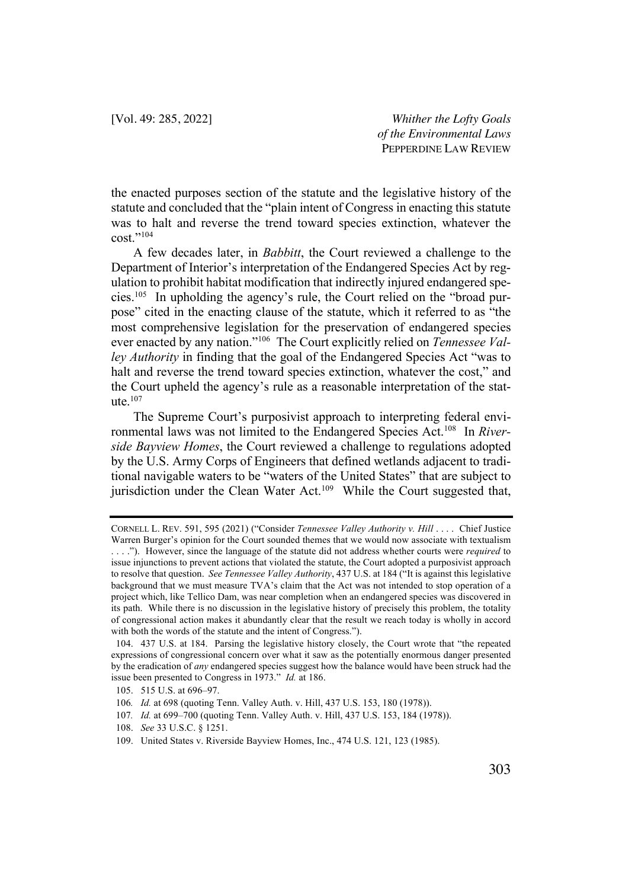the enacted purposes section of the statute and the legislative history of the statute and concluded that the "plain intent of Congress in enacting this statute was to halt and reverse the trend toward species extinction, whatever the cost."104

A few decades later, in *Babbitt*, the Court reviewed a challenge to the Department of Interior's interpretation of the Endangered Species Act by regulation to prohibit habitat modification that indirectly injured endangered species.105 In upholding the agency's rule, the Court relied on the "broad purpose" cited in the enacting clause of the statute, which it referred to as "the most comprehensive legislation for the preservation of endangered species ever enacted by any nation."106 The Court explicitly relied on *Tennessee Valley Authority* in finding that the goal of the Endangered Species Act "was to halt and reverse the trend toward species extinction, whatever the cost," and the Court upheld the agency's rule as a reasonable interpretation of the statute $107$ 

The Supreme Court's purposivist approach to interpreting federal environmental laws was not limited to the Endangered Species Act.108 In *Riverside Bayview Homes*, the Court reviewed a challenge to regulations adopted by the U.S. Army Corps of Engineers that defined wetlands adjacent to traditional navigable waters to be "waters of the United States" that are subject to jurisdiction under the Clean Water Act.<sup>109</sup> While the Court suggested that,

109. United States v. Riverside Bayview Homes, Inc., 474 U.S. 121, 123 (1985).

CORNELL L. REV. 591, 595 (2021) ("Consider *Tennessee Valley Authority v. Hill* . . . . Chief Justice Warren Burger's opinion for the Court sounded themes that we would now associate with textualism . . . ."). However, since the language of the statute did not address whether courts were *required* to issue injunctions to prevent actions that violated the statute, the Court adopted a purposivist approach to resolve that question. *See Tennessee Valley Authority*, 437 U.S. at 184 ("It is against this legislative background that we must measure TVA's claim that the Act was not intended to stop operation of a project which, like Tellico Dam, was near completion when an endangered species was discovered in its path. While there is no discussion in the legislative history of precisely this problem, the totality of congressional action makes it abundantly clear that the result we reach today is wholly in accord with both the words of the statute and the intent of Congress.").

<sup>104.</sup> 437 U.S. at 184. Parsing the legislative history closely, the Court wrote that "the repeated expressions of congressional concern over what it saw as the potentially enormous danger presented by the eradication of *any* endangered species suggest how the balance would have been struck had the issue been presented to Congress in 1973." *Id.* at 186.

<sup>105.</sup> 515 U.S. at 696–97.

<sup>106</sup>*. Id.* at 698 (quoting Tenn. Valley Auth. v. Hill, 437 U.S. 153, 180 (1978)).

<sup>107</sup>*. Id.* at 699–700 (quoting Tenn. Valley Auth. v. Hill, 437 U.S. 153, 184 (1978)).

<sup>108.</sup> *See* 33 U.S.C. § 1251.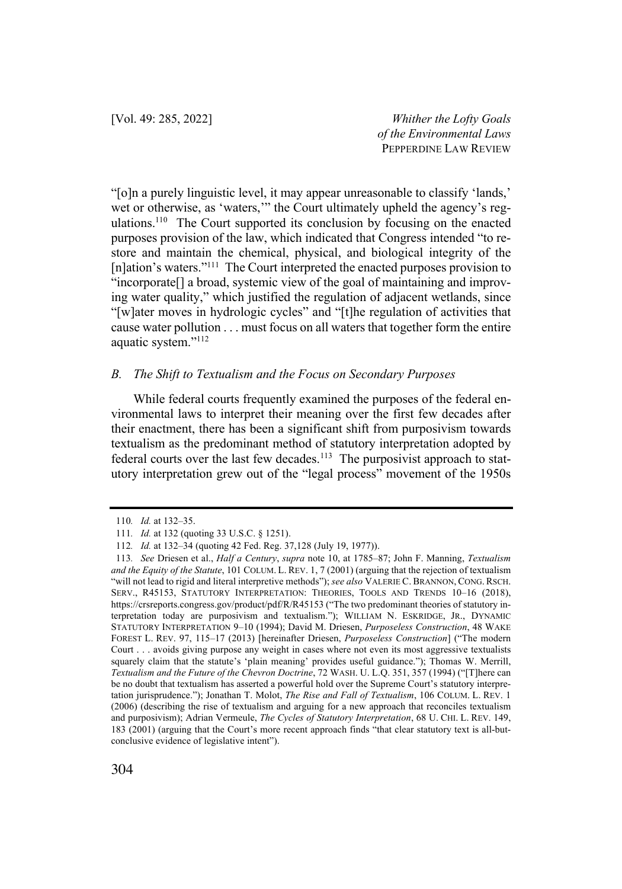"[o]n a purely linguistic level, it may appear unreasonable to classify 'lands,' wet or otherwise, as 'waters,'" the Court ultimately upheld the agency's regulations.<sup>110</sup> The Court supported its conclusion by focusing on the enacted purposes provision of the law, which indicated that Congress intended "to restore and maintain the chemical, physical, and biological integrity of the [n]ation's waters."111 The Court interpreted the enacted purposes provision to "incorporate[] a broad, systemic view of the goal of maintaining and improving water quality," which justified the regulation of adjacent wetlands, since "[w]ater moves in hydrologic cycles" and "[t]he regulation of activities that cause water pollution . . . must focus on all waters that together form the entire aquatic system."112

#### *B. The Shift to Textualism and the Focus on Secondary Purposes*

While federal courts frequently examined the purposes of the federal environmental laws to interpret their meaning over the first few decades after their enactment, there has been a significant shift from purposivism towards textualism as the predominant method of statutory interpretation adopted by federal courts over the last few decades.<sup>113</sup> The purposivist approach to statutory interpretation grew out of the "legal process" movement of the 1950s

<sup>110</sup>*. Id.* at 132–35.

<sup>111</sup>*. Id.* at 132 (quoting 33 U.S.C. § 1251).

<sup>112</sup>*. Id.* at 132–34 (quoting 42 Fed. Reg. 37,128 (July 19, 1977)).

<sup>113</sup>*. See* Driesen et al., *Half a Century*, *supra* note 10, at 1785–87; John F. Manning, *Textualism and the Equity of the Statute*, 101 COLUM. L. REV. 1, 7 (2001) (arguing that the rejection of textualism "will not lead to rigid and literal interpretive methods"); *see also* VALERIE C. BRANNON, CONG. RSCH. SERV., R45153, STATUTORY INTERPRETATION: THEORIES, TOOLS AND TRENDS 10–16 (2018), https://crsreports.congress.gov/product/pdf/R/R45153 ("The two predominant theories of statutory interpretation today are purposivism and textualism."); WILLIAM N. ESKRIDGE, JR., DYNAMIC STATUTORY INTERPRETATION 9–10 (1994); David M. Driesen, *Purposeless Construction*, 48 WAKE FOREST L. REV. 97, 115–17 (2013) [hereinafter Driesen, *Purposeless Construction*] ("The modern Court . . . avoids giving purpose any weight in cases where not even its most aggressive textualists squarely claim that the statute's 'plain meaning' provides useful guidance."); Thomas W. Merrill, *Textualism and the Future of the Chevron Doctrine*, 72 WASH. U. L.Q. 351, 357 (1994) ("[T]here can be no doubt that textualism has asserted a powerful hold over the Supreme Court's statutory interpretation jurisprudence."); Jonathan T. Molot, *The Rise and Fall of Textualism*, 106 COLUM. L. REV. 1 (2006) (describing the rise of textualism and arguing for a new approach that reconciles textualism and purposivism); Adrian Vermeule, *The Cycles of Statutory Interpretation*, 68 U. CHI. L. REV. 149, 183 (2001) (arguing that the Court's more recent approach finds "that clear statutory text is all-butconclusive evidence of legislative intent").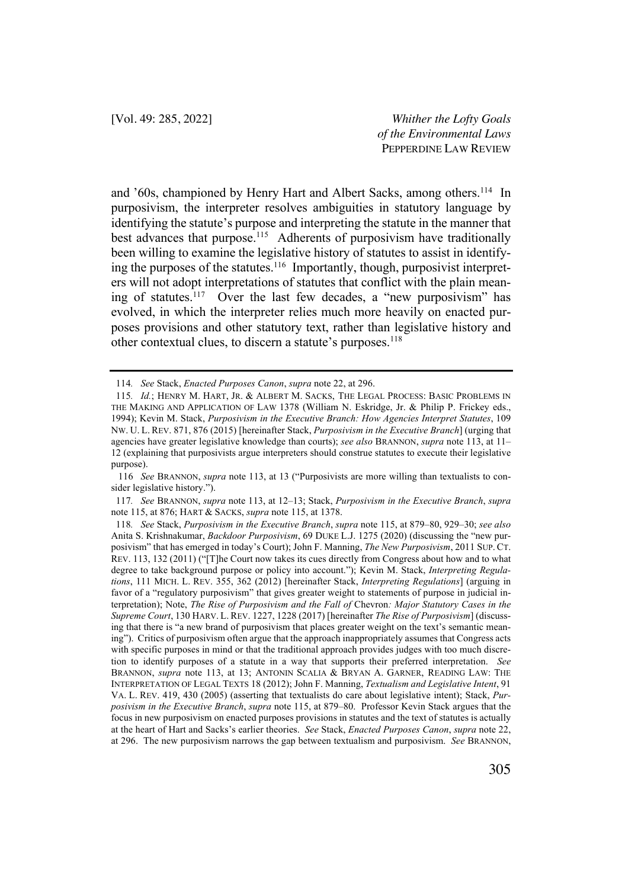and '60s, championed by Henry Hart and Albert Sacks, among others.<sup>114</sup> In purposivism, the interpreter resolves ambiguities in statutory language by identifying the statute's purpose and interpreting the statute in the manner that best advances that purpose.<sup>115</sup> Adherents of purposivism have traditionally been willing to examine the legislative history of statutes to assist in identifying the purposes of the statutes.<sup>116</sup> Importantly, though, purposivist interpreters will not adopt interpretations of statutes that conflict with the plain meaning of statutes.<sup>117</sup> Over the last few decades, a "new purposivism" has evolved, in which the interpreter relies much more heavily on enacted purposes provisions and other statutory text, rather than legislative history and other contextual clues, to discern a statute's purposes.<sup>118</sup>

116 *See* BRANNON, *supra* note 113, at 13 ("Purposivists are more willing than textualists to consider legislative history.").

117*. See* BRANNON, *supra* note 113, at 12–13; Stack, *Purposivism in the Executive Branch*, *supra* note 115, at 876; HART & SACKS, *supra* note 115, at 1378.

<sup>114</sup>*. See* Stack, *Enacted Purposes Canon*, *supra* note 22, at 296.

<sup>115</sup>*. Id.*; HENRY M. HART, JR. & ALBERT M. SACKS, THE LEGAL PROCESS: BASIC PROBLEMS IN THE MAKING AND APPLICATION OF LAW 1378 (William N. Eskridge, Jr. & Philip P. Frickey eds., 1994); Kevin M. Stack, *Purposivism in the Executive Branch: How Agencies Interpret Statutes*, 109 NW. U. L. REV. 871, 876 (2015) [hereinafter Stack, *Purposivism in the Executive Branch*] (urging that agencies have greater legislative knowledge than courts); *see also* BRANNON, *supra* note 113, at 11– 12 (explaining that purposivists argue interpreters should construe statutes to execute their legislative purpose).

<sup>118</sup>*. See* Stack, *Purposivism in the Executive Branch*, *supra* note 115, at 879–80, 929–30; *see also* Anita S. Krishnakumar, *Backdoor Purposivism*, 69 DUKE L.J. 1275 (2020) (discussing the "new purposivism" that has emerged in today's Court); John F. Manning, *The New Purposivism*, 2011 SUP. CT. REV. 113, 132 (2011) ("[T]he Court now takes its cues directly from Congress about how and to what degree to take background purpose or policy into account."); Kevin M. Stack, *Interpreting Regulations*, 111 MICH. L. REV. 355, 362 (2012) [hereinafter Stack, *Interpreting Regulations*] (arguing in favor of a "regulatory purposivism" that gives greater weight to statements of purpose in judicial interpretation); Note, *The Rise of Purposivism and the Fall of* Chevron*: Major Statutory Cases in the Supreme Court*, 130 HARV. L. REV. 1227, 1228 (2017) [hereinafter *The Rise of Purposivism*] (discussing that there is "a new brand of purposivism that places greater weight on the text's semantic meaning"). Critics of purposivism often argue that the approach inappropriately assumes that Congress acts with specific purposes in mind or that the traditional approach provides judges with too much discretion to identify purposes of a statute in a way that supports their preferred interpretation. *See* BRANNON, *supra* note 113, at 13; ANTONIN SCALIA & BRYAN A. GARNER, READING LAW: THE INTERPRETATION OF LEGAL TEXTS 18 (2012); John F. Manning, *Textualism and Legislative Intent*, 91 VA. L. REV. 419, 430 (2005) (asserting that textualists do care about legislative intent); Stack, *Purposivism in the Executive Branch*, *supra* note 115, at 879–80. Professor Kevin Stack argues that the focus in new purposivism on enacted purposes provisions in statutes and the text of statutes is actually at the heart of Hart and Sacks's earlier theories. *See* Stack, *Enacted Purposes Canon*, *supra* note 22, at 296. The new purposivism narrows the gap between textualism and purposivism. *See* BRANNON,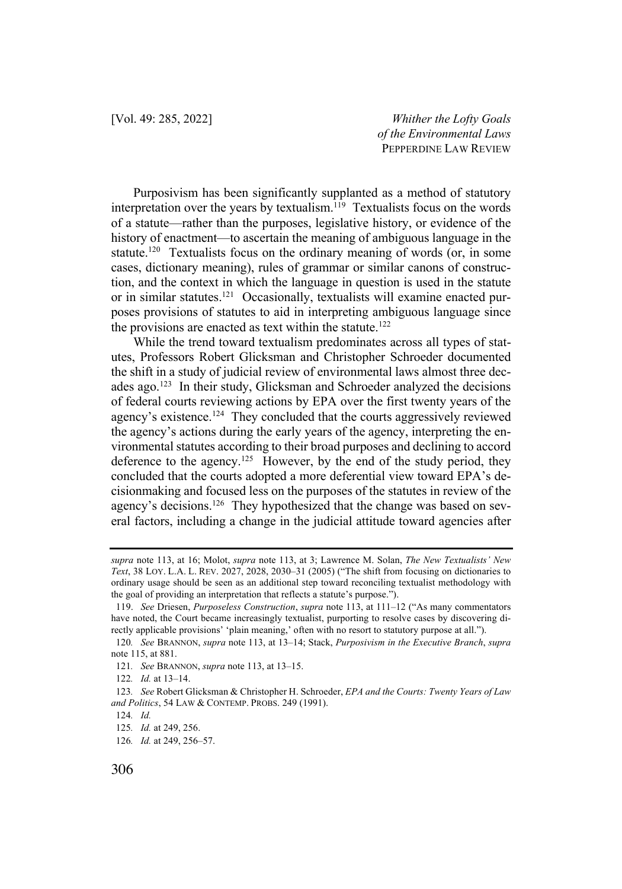Purposivism has been significantly supplanted as a method of statutory interpretation over the years by textualism.<sup>119</sup> Textualists focus on the words of a statute—rather than the purposes, legislative history, or evidence of the history of enactment—to ascertain the meaning of ambiguous language in the statute.<sup>120</sup> Textualists focus on the ordinary meaning of words (or, in some cases, dictionary meaning), rules of grammar or similar canons of construction, and the context in which the language in question is used in the statute or in similar statutes.<sup>121</sup> Occasionally, textualists will examine enacted purposes provisions of statutes to aid in interpreting ambiguous language since the provisions are enacted as text within the statute.<sup>122</sup>

While the trend toward textualism predominates across all types of statutes, Professors Robert Glicksman and Christopher Schroeder documented the shift in a study of judicial review of environmental laws almost three decades ago.<sup>123</sup> In their study, Glicksman and Schroeder analyzed the decisions of federal courts reviewing actions by EPA over the first twenty years of the agency's existence.<sup>124</sup> They concluded that the courts aggressively reviewed the agency's actions during the early years of the agency, interpreting the environmental statutes according to their broad purposes and declining to accord deference to the agency.<sup>125</sup> However, by the end of the study period, they concluded that the courts adopted a more deferential view toward EPA's decisionmaking and focused less on the purposes of the statutes in review of the agency's decisions.<sup>126</sup> They hypothesized that the change was based on several factors, including a change in the judicial attitude toward agencies after

*supra* note 113, at 16; Molot, *supra* note 113, at 3; Lawrence M. Solan, *The New Textualists' New Text*, 38 LOY. L.A. L. REV. 2027, 2028, 2030–31 (2005) ("The shift from focusing on dictionaries to ordinary usage should be seen as an additional step toward reconciling textualist methodology with the goal of providing an interpretation that reflects a statute's purpose.").

<sup>119.</sup> *See* Driesen, *Purposeless Construction*, *supra* note 113, at 111–12 ("As many commentators have noted, the Court became increasingly textualist, purporting to resolve cases by discovering directly applicable provisions' 'plain meaning,' often with no resort to statutory purpose at all.").

<sup>120</sup>*. See* BRANNON, *supra* note 113, at 13–14; Stack, *Purposivism in the Executive Branch*, *supra*  note 115, at 881.

<sup>121</sup>*. See* BRANNON, *supra* note 113, at 13–15.

<sup>122</sup>*. Id.* at 13–14.

<sup>123</sup>*. See* Robert Glicksman & Christopher H. Schroeder, *EPA and the Courts: Twenty Years of Law and Politics*, 54 LAW & CONTEMP. PROBS. 249 (1991).

<sup>124</sup>*. Id.*

<sup>125</sup>*. Id.* at 249, 256.

<sup>126</sup>*. Id.* at 249, 256–57.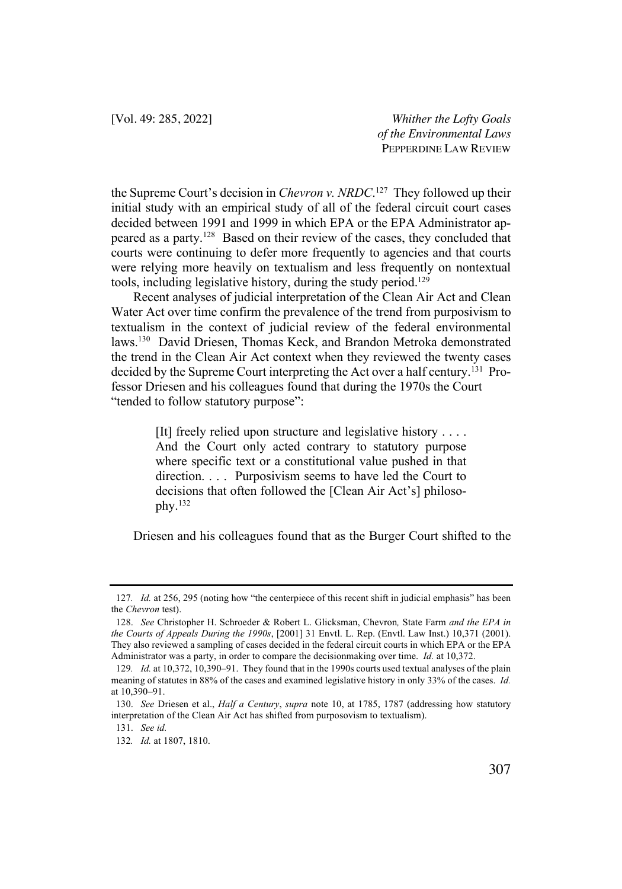the Supreme Court's decision in *Chevron v. NRDC*. 127 They followed up their initial study with an empirical study of all of the federal circuit court cases decided between 1991 and 1999 in which EPA or the EPA Administrator appeared as a party.128 Based on their review of the cases, they concluded that courts were continuing to defer more frequently to agencies and that courts were relying more heavily on textualism and less frequently on nontextual tools, including legislative history, during the study period.<sup>129</sup>

Recent analyses of judicial interpretation of the Clean Air Act and Clean Water Act over time confirm the prevalence of the trend from purposivism to textualism in the context of judicial review of the federal environmental laws.130 David Driesen, Thomas Keck, and Brandon Metroka demonstrated the trend in the Clean Air Act context when they reviewed the twenty cases decided by the Supreme Court interpreting the Act over a half century.131 Professor Driesen and his colleagues found that during the 1970s the Court "tended to follow statutory purpose":

> [It] freely relied upon structure and legislative history . . . . And the Court only acted contrary to statutory purpose where specific text or a constitutional value pushed in that direction. . . . Purposivism seems to have led the Court to decisions that often followed the [Clean Air Act's] philosophy. $132$

Driesen and his colleagues found that as the Burger Court shifted to the

<sup>127</sup>*. Id.* at 256, 295 (noting how "the centerpiece of this recent shift in judicial emphasis" has been the *Chevron* test).

<sup>128.</sup> *See* Christopher H. Schroeder & Robert L. Glicksman, Chevron*,* State Farm *and the EPA in the Courts of Appeals During the 1990s*, [2001] 31 Envtl. L. Rep. (Envtl. Law Inst.) 10,371 (2001). They also reviewed a sampling of cases decided in the federal circuit courts in which EPA or the EPA Administrator was a party, in order to compare the decisionmaking over time. *Id.* at 10,372.

<sup>129</sup>*. Id.* at 10,372, 10,390–91. They found that in the 1990s courts used textual analyses of the plain meaning of statutes in 88% of the cases and examined legislative history in only 33% of the cases. *Id.* at 10,390–91.

<sup>130.</sup> *See* Driesen et al., *Half a Century*, *supra* note 10, at 1785, 1787 (addressing how statutory interpretation of the Clean Air Act has shifted from purposovism to textualism).

<sup>131.</sup> *See id.*

<sup>132</sup>*. Id.* at 1807, 1810.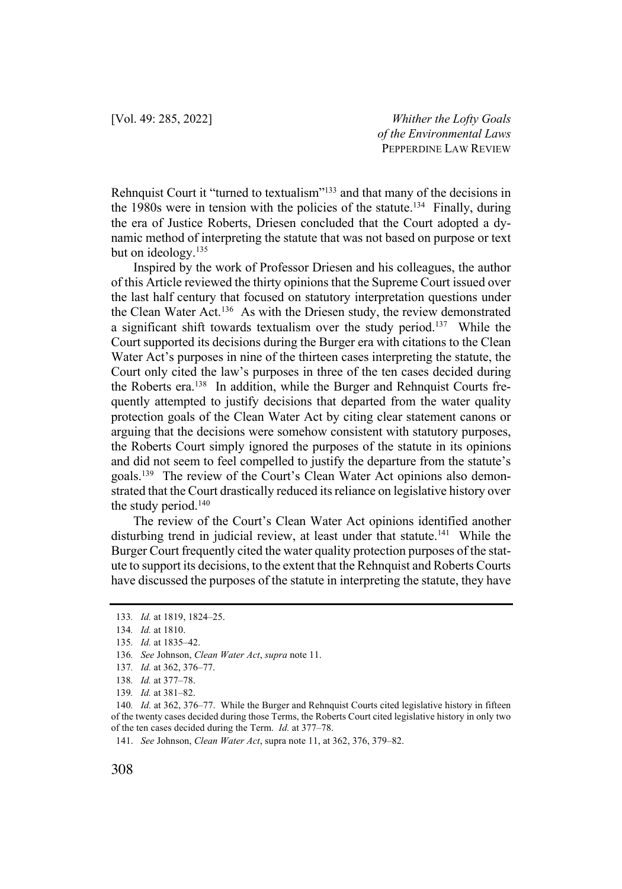Rehnquist Court it "turned to textualism"133 and that many of the decisions in the 1980s were in tension with the policies of the statute.134 Finally, during the era of Justice Roberts, Driesen concluded that the Court adopted a dynamic method of interpreting the statute that was not based on purpose or text but on ideology.<sup>135</sup>

Inspired by the work of Professor Driesen and his colleagues, the author of this Article reviewed the thirty opinions that the Supreme Court issued over the last half century that focused on statutory interpretation questions under the Clean Water Act.<sup>136</sup> As with the Driesen study, the review demonstrated a significant shift towards textualism over the study period.137 While the Court supported its decisions during the Burger era with citations to the Clean Water Act's purposes in nine of the thirteen cases interpreting the statute, the Court only cited the law's purposes in three of the ten cases decided during the Roberts era.<sup>138</sup> In addition, while the Burger and Rehnquist Courts frequently attempted to justify decisions that departed from the water quality protection goals of the Clean Water Act by citing clear statement canons or arguing that the decisions were somehow consistent with statutory purposes, the Roberts Court simply ignored the purposes of the statute in its opinions and did not seem to feel compelled to justify the departure from the statute's goals.139 The review of the Court's Clean Water Act opinions also demonstrated that the Court drastically reduced its reliance on legislative history over the study period. $140$ 

The review of the Court's Clean Water Act opinions identified another disturbing trend in judicial review, at least under that statute.<sup>141</sup> While the Burger Court frequently cited the water quality protection purposes of the statute to support its decisions, to the extent that the Rehnquist and Roberts Courts have discussed the purposes of the statute in interpreting the statute, they have

<sup>133</sup>*. Id.* at 1819, 1824–25.

<sup>134</sup>*. Id.* at 1810.

<sup>135</sup>*. Id.* at 1835–42.

<sup>136</sup>*. See* Johnson, *Clean Water Act*, *supra* note 11.

<sup>137</sup>*. Id.* at 362, 376–77.

<sup>138</sup>*. Id.* at 377–78.

<sup>139</sup>*. Id.* at 381–82.

<sup>140</sup>*. Id.* at 362, 376–77. While the Burger and Rehnquist Courts cited legislative history in fifteen of the twenty cases decided during those Terms, the Roberts Court cited legislative history in only two of the ten cases decided during the Term. *Id.* at 377–78.

<sup>141.</sup> *See* Johnson, *Clean Water Act*, supra note 11, at 362, 376, 379–82.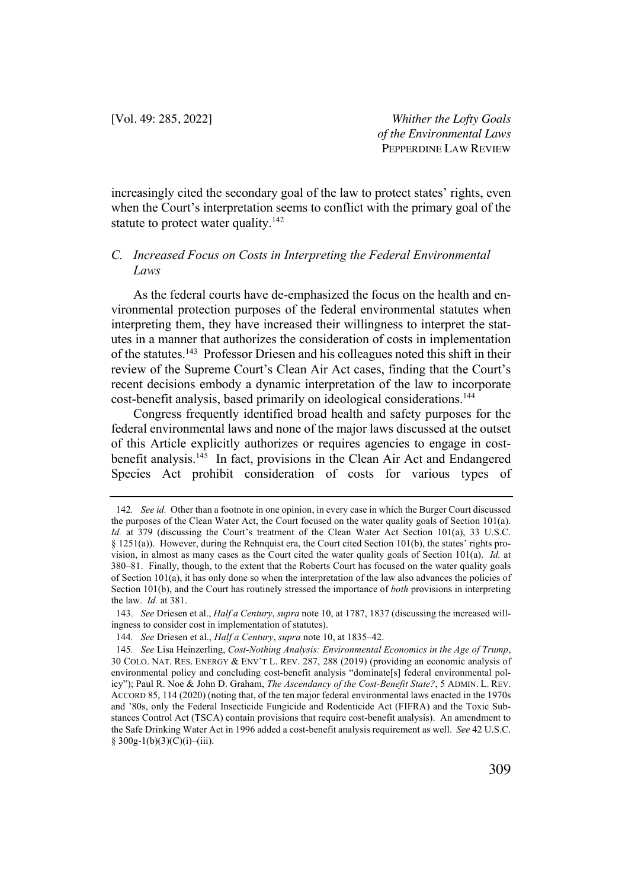increasingly cited the secondary goal of the law to protect states' rights, even when the Court's interpretation seems to conflict with the primary goal of the statute to protect water quality. $142$ 

## *C. Increased Focus on Costs in Interpreting the Federal Environmental Laws*

As the federal courts have de-emphasized the focus on the health and environmental protection purposes of the federal environmental statutes when interpreting them, they have increased their willingness to interpret the statutes in a manner that authorizes the consideration of costs in implementation of the statutes.143 Professor Driesen and his colleagues noted this shift in their review of the Supreme Court's Clean Air Act cases, finding that the Court's recent decisions embody a dynamic interpretation of the law to incorporate cost-benefit analysis, based primarily on ideological considerations.<sup>144</sup>

Congress frequently identified broad health and safety purposes for the federal environmental laws and none of the major laws discussed at the outset of this Article explicitly authorizes or requires agencies to engage in costbenefit analysis.<sup>145</sup> In fact, provisions in the Clean Air Act and Endangered Species Act prohibit consideration of costs for various types of

<sup>142</sup>*. See id.* Other than a footnote in one opinion, in every case in which the Burger Court discussed the purposes of the Clean Water Act, the Court focused on the water quality goals of Section 101(a). *Id.* at 379 (discussing the Court's treatment of the Clean Water Act Section 101(a), 33 U.S.C. § 1251(a)). However, during the Rehnquist era, the Court cited Section 101(b), the states' rights provision, in almost as many cases as the Court cited the water quality goals of Section 101(a). *Id.* at 380–81. Finally, though, to the extent that the Roberts Court has focused on the water quality goals of Section 101(a), it has only done so when the interpretation of the law also advances the policies of Section 101(b), and the Court has routinely stressed the importance of *both* provisions in interpreting the law. *Id.* at 381.

<sup>143.</sup> *See* Driesen et al., *Half a Century*, *supra* note 10, at 1787, 1837 (discussing the increased willingness to consider cost in implementation of statutes).

<sup>144</sup>*. See* Driesen et al., *Half a Century*, *supra* note 10, at 1835–42.

<sup>145</sup>*. See* Lisa Heinzerling, *Cost-Nothing Analysis: Environmental Economics in the Age of Trump*, 30 COLO. NAT. RES. ENERGY & ENV'T L. REV. 287, 288 (2019) (providing an economic analysis of environmental policy and concluding cost-benefit analysis "dominate[s] federal environmental policy"); Paul R. Noe & John D. Graham, *The Ascendancy of the Cost-Benefit State?*, 5 ADMIN. L. REV. ACCORD 85, 114 (2020) (noting that, of the ten major federal environmental laws enacted in the 1970s and '80s, only the Federal Insecticide Fungicide and Rodenticide Act (FIFRA) and the Toxic Substances Control Act (TSCA) contain provisions that require cost-benefit analysis). An amendment to the Safe Drinking Water Act in 1996 added a cost-benefit analysis requirement as well. *See* 42 U.S.C.  $§$  300g-1(b)(3)(C)(i)–(iii).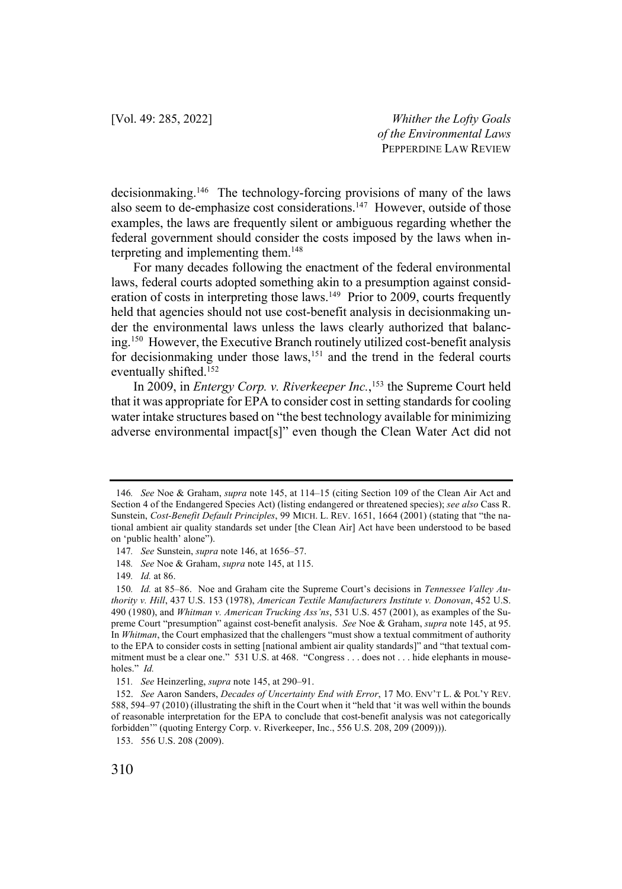decisionmaking.146 The technology-forcing provisions of many of the laws also seem to de-emphasize cost considerations.<sup>147</sup> However, outside of those examples, the laws are frequently silent or ambiguous regarding whether the federal government should consider the costs imposed by the laws when interpreting and implementing them.<sup>148</sup>

For many decades following the enactment of the federal environmental laws, federal courts adopted something akin to a presumption against consideration of costs in interpreting those laws.<sup>149</sup> Prior to 2009, courts frequently held that agencies should not use cost-benefit analysis in decisionmaking under the environmental laws unless the laws clearly authorized that balancing.150 However, the Executive Branch routinely utilized cost-benefit analysis for decisionmaking under those laws,<sup>151</sup> and the trend in the federal courts eventually shifted.152

In 2009, in *Entergy Corp. v. Riverkeeper Inc.*, <sup>153</sup> the Supreme Court held that it was appropriate for EPA to consider cost in setting standards for cooling water intake structures based on "the best technology available for minimizing adverse environmental impact[s]" even though the Clean Water Act did not

<sup>146</sup>*. See* Noe & Graham, *supra* note 145, at 114–15 (citing Section 109 of the Clean Air Act and Section 4 of the Endangered Species Act) (listing endangered or threatened species); *see also* Cass R. Sunstein, *Cost-Benefit Default Principles*, 99 MICH. L. REV. 1651, 1664 (2001) (stating that "the national ambient air quality standards set under [the Clean Air] Act have been understood to be based on 'public health' alone").

<sup>147</sup>*. See* Sunstein, *supra* note 146, at 1656–57.

<sup>148</sup>*. See* Noe & Graham, *supra* note 145, at 115.

<sup>149</sup>*. Id.* at 86.

<sup>150</sup>*. Id.* at 85–86. Noe and Graham cite the Supreme Court's decisions in *Tennessee Valley Authority v. Hill*, 437 U.S. 153 (1978), *American Textile Manufacturers Institute v. Donovan*, 452 U.S. 490 (1980), and *Whitman v. American Trucking Ass'ns*, 531 U.S. 457 (2001), as examples of the Supreme Court "presumption" against cost-benefit analysis. *See* Noe & Graham, *supra* note 145, at 95. In *Whitman*, the Court emphasized that the challengers "must show a textual commitment of authority to the EPA to consider costs in setting [national ambient air quality standards]" and "that textual commitment must be a clear one." 531 U.S. at 468. "Congress . . . does not . . . hide elephants in mouseholes." *Id.*

<sup>151</sup>*. See* Heinzerling, *supra* note 145, at 290–91.

<sup>152.</sup> *See* Aaron Sanders, *Decades of Uncertainty End with Error*, 17 MO. ENV'T L. & POL'Y REV. 588, 594–97 (2010) (illustrating the shift in the Court when it "held that 'it was well within the bounds of reasonable interpretation for the EPA to conclude that cost-benefit analysis was not categorically forbidden'" (quoting Entergy Corp. v. Riverkeeper, Inc., 556 U.S. 208, 209 (2009))).

<sup>153.</sup> 556 U.S. 208 (2009).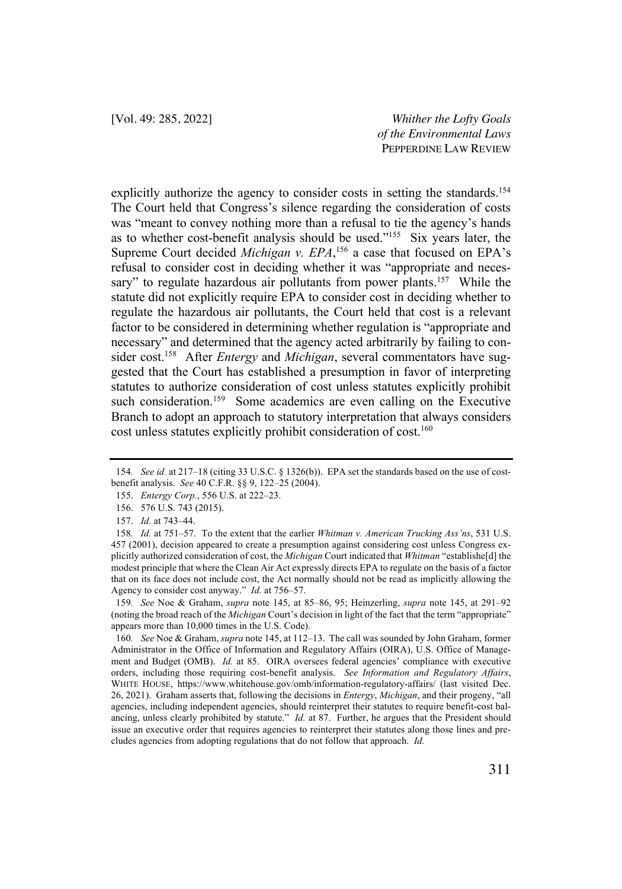explicitly authorize the agency to consider costs in setting the standards.<sup>154</sup> The Court held that Congress's silence regarding the consideration of costs was "meant to convey nothing more than a refusal to tie the agency's hands as to whether cost-benefit analysis should be used."155 Six years later, the Supreme Court decided *Michigan v. EPA*,<sup>156</sup> a case that focused on EPA's refusal to consider cost in deciding whether it was "appropriate and necessary" to regulate hazardous air pollutants from power plants.<sup>157</sup> While the statute did not explicitly require EPA to consider cost in deciding whether to regulate the hazardous air pollutants, the Court held that cost is a relevant factor to be considered in determining whether regulation is "appropriate and necessary" and determined that the agency acted arbitrarily by failing to consider cost.158 After *Entergy* and *Michigan*, several commentators have suggested that the Court has established a presumption in favor of interpreting statutes to authorize consideration of cost unless statutes explicitly prohibit such consideration.<sup>159</sup> Some academics are even calling on the Executive Branch to adopt an approach to statutory interpretation that always considers cost unless statutes explicitly prohibit consideration of cost.<sup>160</sup>

159*. See* Noe & Graham, *supra* note 145, at 85–86, 95; Heinzerling, *supra* note 145, at 291–92 (noting the broad reach of the *Michigan* Court's decision in light of the fact that the term "appropriate" appears more than 10,000 times in the U.S. Code).

160*. See* Noe & Graham, *supra* note 145, at 112–13. The call was sounded by John Graham, former Administrator in the Office of Information and Regulatory Affairs (OIRA), U.S. Office of Management and Budget (OMB). *Id.* at 85. OIRA oversees federal agencies' compliance with executive orders, including those requiring cost-benefit analysis. *See Information and Regulatory Affairs*, WHITE HOUSE, https://www.whitehouse.gov/omb/information-regulatory-affairs/ (last visited Dec. 26, 2021). Graham asserts that, following the decisions in *Entergy*, *Michigan*, and their progeny, "all agencies, including independent agencies, should reinterpret their statutes to require benefit-cost balancing, unless clearly prohibited by statute." *Id.* at 87. Further, he argues that the President should issue an executive order that requires agencies to reinterpret their statutes along those lines and precludes agencies from adopting regulations that do not follow that approach. *Id.*

<sup>154</sup>*. See id.* at 217–18 (citing 33 U.S.C. § 1326(b)). EPA set the standards based on the use of costbenefit analysis. *See* 40 C.F.R. §§ 9, 122–25 (2004).

<sup>155.</sup> *Entergy Corp.*, 556 U.S. at 222–23.

<sup>156.</sup> 576 U.S. 743 (2015).

<sup>157.</sup> *Id.* at 743–44.

<sup>158</sup>*. Id.* at 751–57. To the extent that the earlier *Whitman v. American Trucking Ass'ns*, 531 U.S. 457 (2001), decision appeared to create a presumption against considering cost unless Congress explicitly authorized consideration of cost, the *Michigan* Court indicated that *Whitman* "establishe[d] the modest principle that where the Clean Air Act expressly directs EPA to regulate on the basis of a factor that on its face does not include cost, the Act normally should not be read as implicitly allowing the Agency to consider cost anyway." *Id.* at 756–57.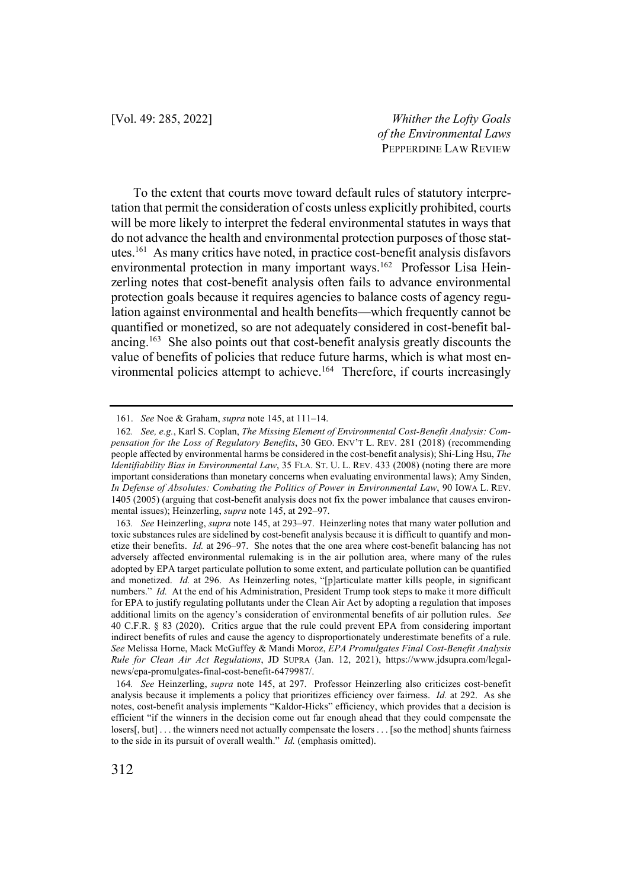To the extent that courts move toward default rules of statutory interpretation that permit the consideration of costs unless explicitly prohibited, courts will be more likely to interpret the federal environmental statutes in ways that do not advance the health and environmental protection purposes of those statutes.161 As many critics have noted, in practice cost-benefit analysis disfavors environmental protection in many important ways.<sup>162</sup> Professor Lisa Heinzerling notes that cost-benefit analysis often fails to advance environmental protection goals because it requires agencies to balance costs of agency regulation against environmental and health benefits—which frequently cannot be quantified or monetized, so are not adequately considered in cost-benefit balancing.163 She also points out that cost-benefit analysis greatly discounts the value of benefits of policies that reduce future harms, which is what most environmental policies attempt to achieve.<sup>164</sup> Therefore, if courts increasingly

<sup>161.</sup> *See* Noe & Graham, *supra* note 145, at 111–14.

<sup>162</sup>*. See, e.g.*, Karl S. Coplan, *The Missing Element of Environmental Cost-Benefit Analysis: Compensation for the Loss of Regulatory Benefits*, 30 GEO. ENV'T L. REV. 281 (2018) (recommending people affected by environmental harms be considered in the cost-benefit analysis); Shi-Ling Hsu, *The Identifiability Bias in Environmental Law*, 35 FLA. ST. U. L. REV. 433 (2008) (noting there are more important considerations than monetary concerns when evaluating environmental laws); Amy Sinden, *In Defense of Absolutes: Combating the Politics of Power in Environmental Law*, 90 IOWA L. REV. 1405 (2005) (arguing that cost-benefit analysis does not fix the power imbalance that causes environmental issues); Heinzerling, *supra* note 145, at 292–97.

<sup>163</sup>*. See* Heinzerling, *supra* note 145, at 293–97. Heinzerling notes that many water pollution and toxic substances rules are sidelined by cost-benefit analysis because it is difficult to quantify and monetize their benefits. *Id.* at 296–97. She notes that the one area where cost-benefit balancing has not adversely affected environmental rulemaking is in the air pollution area, where many of the rules adopted by EPA target particulate pollution to some extent, and particulate pollution can be quantified and monetized. *Id.* at 296. As Heinzerling notes, "[p]articulate matter kills people, in significant numbers." *Id.* At the end of his Administration, President Trump took steps to make it more difficult for EPA to justify regulating pollutants under the Clean Air Act by adopting a regulation that imposes additional limits on the agency's consideration of environmental benefits of air pollution rules. *See*  40 C.F.R. § 83 (2020). Critics argue that the rule could prevent EPA from considering important indirect benefits of rules and cause the agency to disproportionately underestimate benefits of a rule. *See* Melissa Horne, Mack McGuffey & Mandi Moroz, *EPA Promulgates Final Cost-Benefit Analysis Rule for Clean Air Act Regulations*, JD SUPRA (Jan. 12, 2021), https://www.jdsupra.com/legalnews/epa-promulgates-final-cost-benefit-6479987/.

<sup>164</sup>*. See* Heinzerling, *supra* note 145, at 297. Professor Heinzerling also criticizes cost-benefit analysis because it implements a policy that prioritizes efficiency over fairness. *Id.* at 292. As she notes, cost-benefit analysis implements "Kaldor-Hicks" efficiency, which provides that a decision is efficient "if the winners in the decision come out far enough ahead that they could compensate the losers[, but] . . . the winners need not actually compensate the losers . . . [so the method] shunts fairness to the side in its pursuit of overall wealth." *Id.* (emphasis omitted).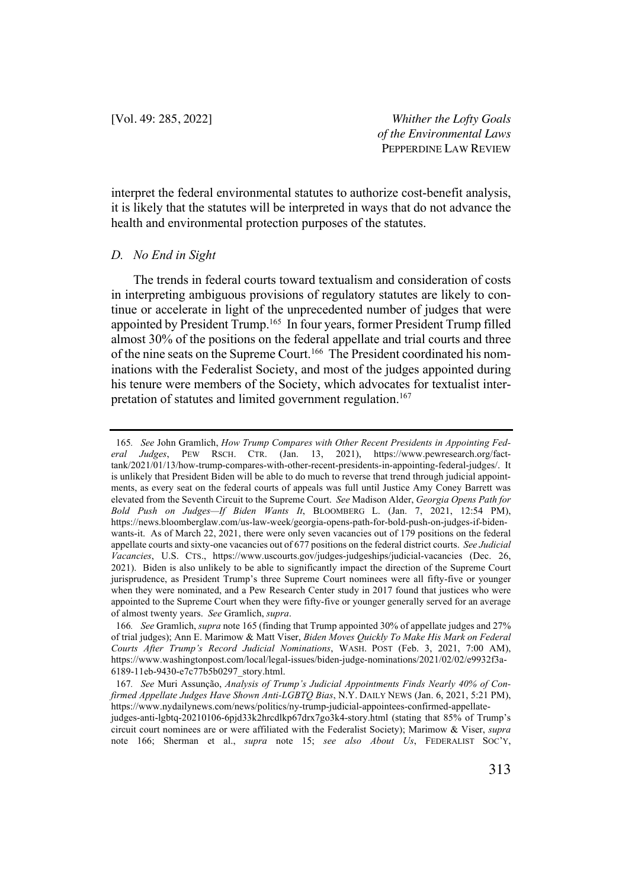interpret the federal environmental statutes to authorize cost-benefit analysis, it is likely that the statutes will be interpreted in ways that do not advance the health and environmental protection purposes of the statutes.

#### *D. No End in Sight*

The trends in federal courts toward textualism and consideration of costs in interpreting ambiguous provisions of regulatory statutes are likely to continue or accelerate in light of the unprecedented number of judges that were appointed by President Trump.165 In four years, former President Trump filled almost 30% of the positions on the federal appellate and trial courts and three of the nine seats on the Supreme Court.166 The President coordinated his nominations with the Federalist Society, and most of the judges appointed during his tenure were members of the Society, which advocates for textualist interpretation of statutes and limited government regulation.<sup>167</sup>

<sup>165</sup>*. See* John Gramlich, *How Trump Compares with Other Recent Presidents in Appointing Federal Judges*, PEW RSCH. CTR. (Jan. 13, 2021), https://www.pewresearch.org/facttank/2021/01/13/how-trump-compares-with-other-recent-presidents-in-appointing-federal-judges/. It is unlikely that President Biden will be able to do much to reverse that trend through judicial appointments, as every seat on the federal courts of appeals was full until Justice Amy Coney Barrett was elevated from the Seventh Circuit to the Supreme Court. *See* Madison Alder, *Georgia Opens Path for Bold Push on Judges—If Biden Wants It*, BLOOMBERG L. (Jan. 7, 2021, 12:54 PM), https://news.bloomberglaw.com/us-law-week/georgia-opens-path-for-bold-push-on-judges-if-bidenwants-it. As of March 22, 2021, there were only seven vacancies out of 179 positions on the federal appellate courts and sixty-one vacancies out of 677 positions on the federal district courts. *See Judicial Vacancies*, U.S. CTS., https://www.uscourts.gov/judges-judgeships/judicial-vacancies (Dec. 26, 2021). Biden is also unlikely to be able to significantly impact the direction of the Supreme Court jurisprudence, as President Trump's three Supreme Court nominees were all fifty-five or younger when they were nominated, and a Pew Research Center study in 2017 found that justices who were appointed to the Supreme Court when they were fifty-five or younger generally served for an average of almost twenty years. *See* Gramlich, *supra*.

<sup>166</sup>*. See* Gramlich, *supra* note 165 (finding that Trump appointed 30% of appellate judges and 27% of trial judges); Ann E. Marimow & Matt Viser, *Biden Moves Quickly To Make His Mark on Federal Courts After Trump's Record Judicial Nominations*, WASH. POST (Feb. 3, 2021, 7:00 AM), https://www.washingtonpost.com/local/legal-issues/biden-judge-nominations/2021/02/02/e9932f3a-6189-11eb-9430-e7c77b5b0297\_story.html.

<sup>167</sup>*. See* Muri Assunção, *Analysis of Trump's Judicial Appointments Finds Nearly 40% of Confirmed Appellate Judges Have Shown Anti-LGBTQ Bias*, N.Y. DAILY NEWS (Jan. 6, 2021, 5:21 PM), https://www.nydailynews.com/news/politics/ny-trump-judicial-appointees-confirmed-appellatejudges-anti-lgbtq-20210106-6pjd33k2hrcdlkp67drx7go3k4-story.html (stating that 85% of Trump's circuit court nominees are or were affiliated with the Federalist Society); Marimow & Viser, *supra* note 166; Sherman et al., *supra* note 15; *see also About Us*, FEDERALIST SOC'Y,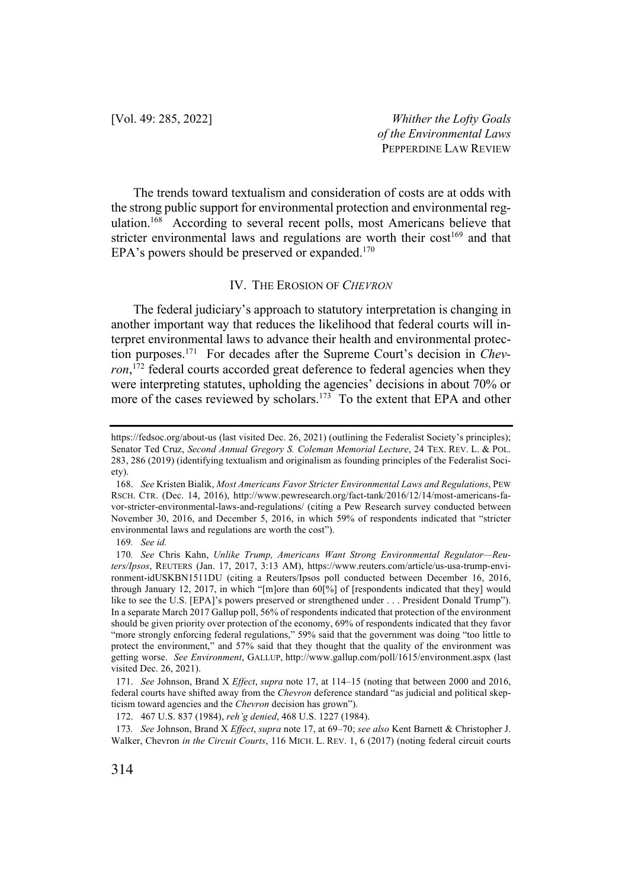The trends toward textualism and consideration of costs are at odds with the strong public support for environmental protection and environmental regulation.<sup>168</sup> According to several recent polls, most Americans believe that stricter environmental laws and regulations are worth their  $cost^{169}$  and that EPA's powers should be preserved or expanded.<sup>170</sup>

#### IV. THE EROSION OF *CHEVRON*

The federal judiciary's approach to statutory interpretation is changing in another important way that reduces the likelihood that federal courts will interpret environmental laws to advance their health and environmental protection purposes.171 For decades after the Supreme Court's decision in *Chev*ron,<sup>172</sup> federal courts accorded great deference to federal agencies when they were interpreting statutes, upholding the agencies' decisions in about 70% or more of the cases reviewed by scholars.<sup>173</sup> To the extent that EPA and other

https://fedsoc.org/about-us (last visited Dec. 26, 2021) (outlining the Federalist Society's principles); Senator Ted Cruz, *Second Annual Gregory S. Coleman Memorial Lecture*, 24 TEX. REV. L. & POL. 283, 286 (2019) (identifying textualism and originalism as founding principles of the Federalist Society).

<sup>168.</sup> *See* Kristen Bialik, *Most Americans Favor Stricter Environmental Laws and Regulations*, PEW RSCH. CTR. (Dec. 14, 2016), http://www.pewresearch.org/fact-tank/2016/12/14/most-americans-favor-stricter-environmental-laws-and-regulations/ (citing a Pew Research survey conducted between November 30, 2016, and December 5, 2016, in which 59% of respondents indicated that "stricter environmental laws and regulations are worth the cost").

<sup>169</sup>*. See id.*

<sup>170</sup>*. See* Chris Kahn, *Unlike Trump, Americans Want Strong Environmental Regulator—Reuters/Ipsos*, REUTERS (Jan. 17, 2017, 3:13 AM), https://www.reuters.com/article/us-usa-trump-environment-idUSKBN1511DU (citing a Reuters/Ipsos poll conducted between December 16, 2016, through January 12, 2017, in which "[m]ore than 60[%] of [respondents indicated that they] would like to see the U.S. [EPA]'s powers preserved or strengthened under . . . President Donald Trump"). In a separate March 2017 Gallup poll, 56% of respondents indicated that protection of the environment should be given priority over protection of the economy, 69% of respondents indicated that they favor "more strongly enforcing federal regulations," 59% said that the government was doing "too little to protect the environment," and 57% said that they thought that the quality of the environment was getting worse. *See Environment*, GALLUP, http://www.gallup.com/poll/1615/environment.aspx (last visited Dec. 26, 2021).

<sup>171.</sup> *See* Johnson, Brand X *Effect*, *supra* note 17, at 114–15 (noting that between 2000 and 2016, federal courts have shifted away from the *Chevron* deference standard "as judicial and political skepticism toward agencies and the *Chevron* decision has grown").

<sup>172.</sup> 467 U.S. 837 (1984), *reh'g denied*, 468 U.S. 1227 (1984).

<sup>173</sup>*. See* Johnson, Brand X *Effect*, *supra* note 17, at 69–70; *see also* Kent Barnett & Christopher J. Walker, Chevron *in the Circuit Courts*, 116 MICH. L. REV. 1, 6 (2017) (noting federal circuit courts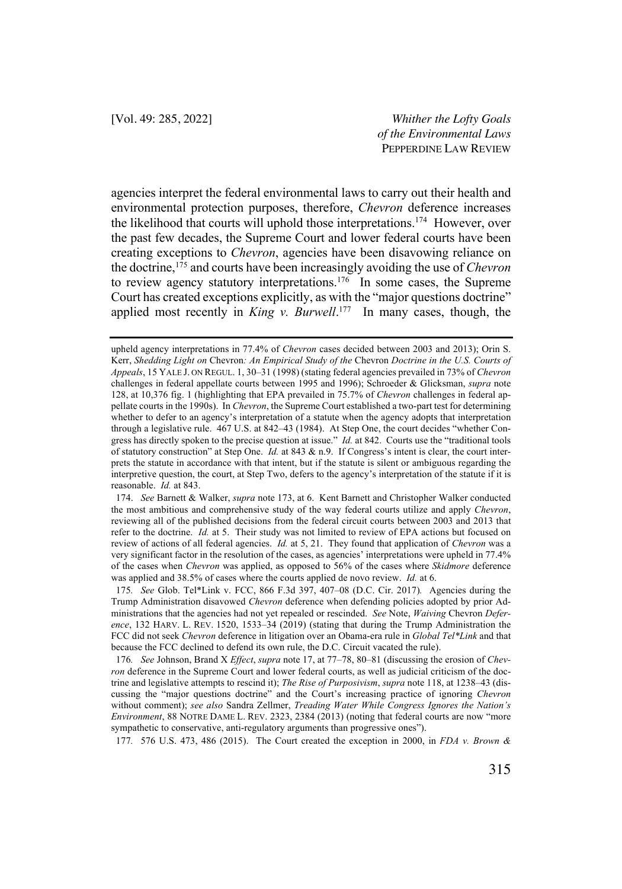agencies interpret the federal environmental laws to carry out their health and environmental protection purposes, therefore, *Chevron* deference increases the likelihood that courts will uphold those interpretations.174 However, over the past few decades, the Supreme Court and lower federal courts have been creating exceptions to *Chevron*, agencies have been disavowing reliance on the doctrine, <sup>175</sup> and courts have been increasingly avoiding the use of *Chevron* to review agency statutory interpretations.<sup>176</sup> In some cases, the Supreme Court has created exceptions explicitly, as with the "major questions doctrine" applied most recently in *King v. Burwell*. 177 In many cases, though, the

174. *See* Barnett & Walker, *supra* note 173, at 6. Kent Barnett and Christopher Walker conducted the most ambitious and comprehensive study of the way federal courts utilize and apply *Chevron*, reviewing all of the published decisions from the federal circuit courts between 2003 and 2013 that refer to the doctrine. *Id.* at 5. Their study was not limited to review of EPA actions but focused on review of actions of all federal agencies. *Id.* at 5, 21. They found that application of *Chevron* was a very significant factor in the resolution of the cases, as agencies' interpretations were upheld in 77.4% of the cases when *Chevron* was applied, as opposed to 56% of the cases where *Skidmore* deference was applied and 38.5% of cases where the courts applied de novo review. *Id.* at 6.

175*. See* Glob. Tel\*Link v. FCC, 866 F.3d 397, 407–08 (D.C. Cir. 2017)*.* Agencies during the Trump Administration disavowed *Chevron* deference when defending policies adopted by prior Administrations that the agencies had not yet repealed or rescinded. *See* Note, *Waiving* Chevron *Deference*, 132 HARV. L. REV. 1520, 1533–34 (2019) (stating that during the Trump Administration the FCC did not seek *Chevron* deference in litigation over an Obama-era rule in *Global Tel\*Link* and that because the FCC declined to defend its own rule, the D.C. Circuit vacated the rule).

176*. See* Johnson, Brand X *Effect*, *supra* note 17, at 77–78, 80–81 (discussing the erosion of *Chevron* deference in the Supreme Court and lower federal courts, as well as judicial criticism of the doctrine and legislative attempts to rescind it); *The Rise of Purposivism*, *supra* note 118, at 1238–43 (discussing the "major questions doctrine" and the Court's increasing practice of ignoring *Chevron*  without comment); *see also* Sandra Zellmer, *Treading Water While Congress Ignores the Nation's Environment*, 88 NOTRE DAME L. REV. 2323, 2384 (2013) (noting that federal courts are now "more sympathetic to conservative, anti-regulatory arguments than progressive ones").

177*.* 576 U.S. 473, 486 (2015). The Court created the exception in 2000, in *FDA v. Brown &* 

upheld agency interpretations in 77.4% of *Chevron* cases decided between 2003 and 2013); Orin S. Kerr, *Shedding Light on* Chevron*: An Empirical Study of the* Chevron *Doctrine in the U.S. Courts of Appeals*, 15 YALE J. ON REGUL. 1, 30–31 (1998) (stating federal agencies prevailed in 73% of *Chevron* challenges in federal appellate courts between 1995 and 1996); Schroeder & Glicksman, *supra* note 128, at 10,376 fig. 1 (highlighting that EPA prevailed in 75.7% of *Chevron* challenges in federal appellate courts in the 1990s). In *Chevron*, the Supreme Court established a two-part test for determining whether to defer to an agency's interpretation of a statute when the agency adopts that interpretation through a legislative rule. 467 U.S. at 842–43 (1984). At Step One, the court decides "whether Congress has directly spoken to the precise question at issue." *Id.* at 842. Courts use the "traditional tools of statutory construction" at Step One. *Id.* at 843 & n.9. If Congress's intent is clear, the court interprets the statute in accordance with that intent, but if the statute is silent or ambiguous regarding the interpretive question, the court, at Step Two, defers to the agency's interpretation of the statute if it is reasonable. *Id.* at 843.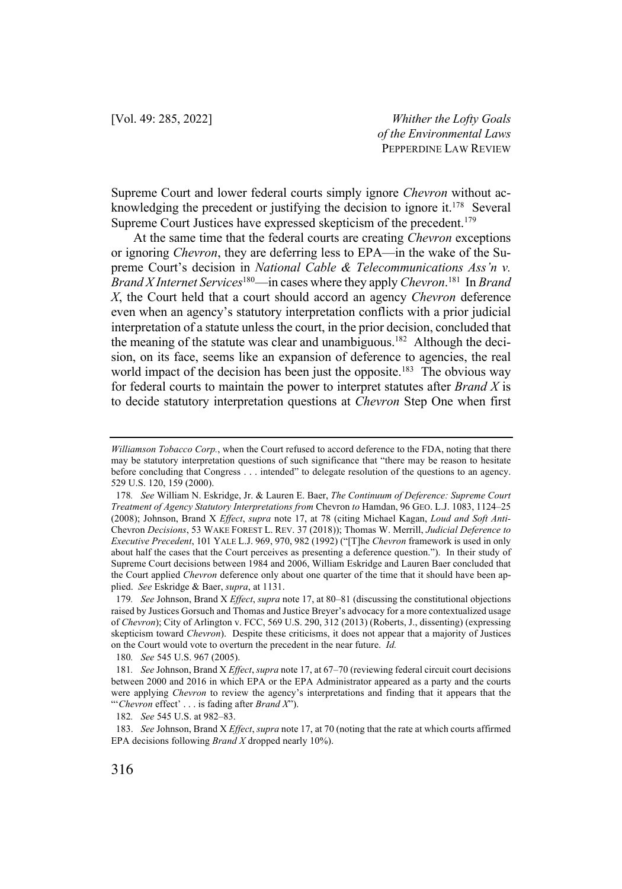Supreme Court and lower federal courts simply ignore *Chevron* without acknowledging the precedent or justifying the decision to ignore it.<sup>178</sup> Several Supreme Court Justices have expressed skepticism of the precedent.<sup>179</sup>

At the same time that the federal courts are creating *Chevron* exceptions or ignoring *Chevron*, they are deferring less to EPA—in the wake of the Supreme Court's decision in *National Cable & Telecommunications Ass'n v. Brand X Internet Services*180—in cases where they apply *Chevron*. 181 In *Brand X*, the Court held that a court should accord an agency *Chevron* deference even when an agency's statutory interpretation conflicts with a prior judicial interpretation of a statute unless the court, in the prior decision, concluded that the meaning of the statute was clear and unambiguous.<sup>182</sup> Although the decision, on its face, seems like an expansion of deference to agencies, the real world impact of the decision has been just the opposite.<sup>183</sup> The obvious way for federal courts to maintain the power to interpret statutes after *Brand X* is to decide statutory interpretation questions at *Chevron* Step One when first

180*. See* 545 U.S. 967 (2005).

*Williamson Tobacco Corp.*, when the Court refused to accord deference to the FDA, noting that there may be statutory interpretation questions of such significance that "there may be reason to hesitate before concluding that Congress . . . intended" to delegate resolution of the questions to an agency. 529 U.S. 120, 159 (2000).

<sup>178</sup>*. See* William N. Eskridge, Jr. & Lauren E. Baer, *The Continuum of Deference: Supreme Court Treatment of Agency Statutory Interpretations from* Chevron *to* Hamdan, 96 GEO. L.J. 1083, 1124–25 (2008); Johnson, Brand X *Effect*, *supra* note 17, at 78 (citing Michael Kagan, *Loud and Soft Anti-*Chevron *Decisions*, 53 WAKE FOREST L. REV. 37 (2018)); Thomas W. Merrill, *Judicial Deference to Executive Precedent*, 101 YALE L.J. 969, 970, 982 (1992) ("[T]he *Chevron* framework is used in only about half the cases that the Court perceives as presenting a deference question."). In their study of Supreme Court decisions between 1984 and 2006, William Eskridge and Lauren Baer concluded that the Court applied *Chevron* deference only about one quarter of the time that it should have been applied. *See* Eskridge & Baer, *supra*, at 1131.

<sup>179</sup>*. See* Johnson, Brand X *Effect*, *supra* note 17, at 80–81 (discussing the constitutional objections raised by Justices Gorsuch and Thomas and Justice Breyer's advocacy for a more contextualized usage of *Chevron*); City of Arlington v. FCC, 569 U.S. 290, 312 (2013) (Roberts, J., dissenting) (expressing skepticism toward *Chevron*). Despite these criticisms, it does not appear that a majority of Justices on the Court would vote to overturn the precedent in the near future. *Id.* 

<sup>181</sup>*. See* Johnson, Brand X *Effect*, *supra* note 17, at 67–70 (reviewing federal circuit court decisions between 2000 and 2016 in which EPA or the EPA Administrator appeared as a party and the courts were applying *Chevron* to review the agency's interpretations and finding that it appears that the "'*Chevron* effect' . . . is fading after *Brand X*").

<sup>182</sup>*. See* 545 U.S. at 982–83.

<sup>183.</sup> *See* Johnson, Brand X *Effect*, *supra* note 17, at 70 (noting that the rate at which courts affirmed EPA decisions following *Brand X* dropped nearly 10%).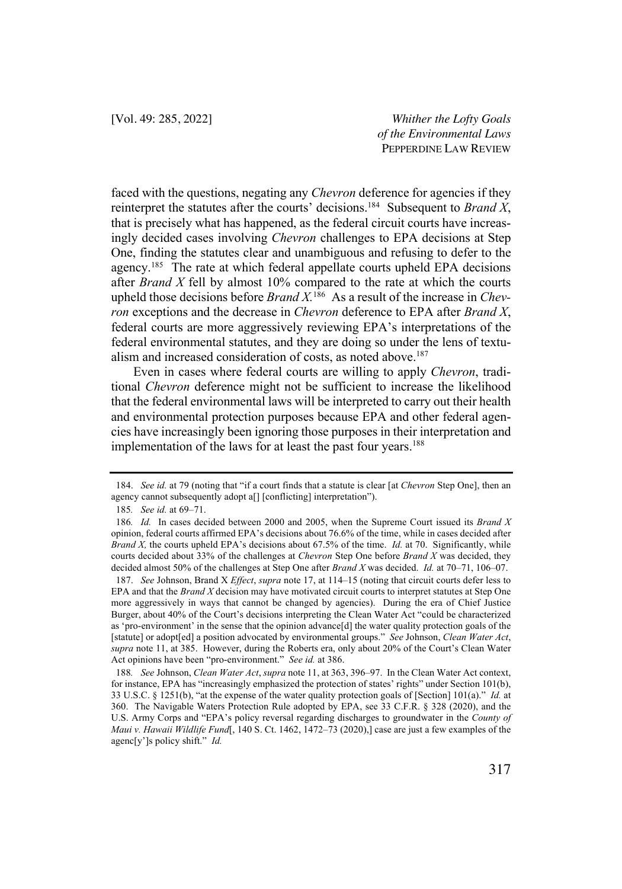faced with the questions, negating any *Chevron* deference for agencies if they reinterpret the statutes after the courts' decisions.184 Subsequent to *Brand X*, that is precisely what has happened, as the federal circuit courts have increasingly decided cases involving *Chevron* challenges to EPA decisions at Step One, finding the statutes clear and unambiguous and refusing to defer to the agency.<sup>185</sup> The rate at which federal appellate courts upheld EPA decisions after *Brand X* fell by almost 10% compared to the rate at which the courts upheld those decisions before *Brand X*<sup>186</sup> As a result of the increase in *Chevron* exceptions and the decrease in *Chevron* deference to EPA after *Brand X*, federal courts are more aggressively reviewing EPA's interpretations of the federal environmental statutes, and they are doing so under the lens of textualism and increased consideration of costs, as noted above.<sup>187</sup>

Even in cases where federal courts are willing to apply *Chevron*, traditional *Chevron* deference might not be sufficient to increase the likelihood that the federal environmental laws will be interpreted to carry out their health and environmental protection purposes because EPA and other federal agencies have increasingly been ignoring those purposes in their interpretation and implementation of the laws for at least the past four years.<sup>188</sup>

<sup>184.</sup> *See id.* at 79 (noting that "if a court finds that a statute is clear [at *Chevron* Step One], then an agency cannot subsequently adopt a[] [conflicting] interpretation").

<sup>185</sup>*. See id.* at 69–71.

<sup>186</sup>*. Id.* In cases decided between 2000 and 2005, when the Supreme Court issued its *Brand X* opinion, federal courts affirmed EPA's decisions about 76.6% of the time, while in cases decided after *Brand X,* the courts upheld EPA's decisions about 67.5% of the time. *Id.* at 70. Significantly, while courts decided about 33% of the challenges at *Chevron* Step One before *Brand X* was decided, they decided almost 50% of the challenges at Step One after *Brand X* was decided. *Id.* at 70–71, 106–07.

<sup>187.</sup> *See* Johnson, Brand X *Effect*, *supra* note 17, at 114–15 (noting that circuit courts defer less to EPA and that the *Brand X* decision may have motivated circuit courts to interpret statutes at Step One more aggressively in ways that cannot be changed by agencies). During the era of Chief Justice Burger, about 40% of the Court's decisions interpreting the Clean Water Act "could be characterized as 'pro-environment' in the sense that the opinion advance[d] the water quality protection goals of the [statute] or adopt[ed] a position advocated by environmental groups." *See* Johnson, *Clean Water Act*, *supra* note 11, at 385. However, during the Roberts era, only about 20% of the Court's Clean Water Act opinions have been "pro-environment." *See id.* at 386.

<sup>188</sup>*. See* Johnson, *Clean Water Act*, *supra* note 11, at 363, 396–97. In the Clean Water Act context, for instance, EPA has "increasingly emphasized the protection of states' rights" under Section 101(b), 33 U.S.C. § 1251(b), "at the expense of the water quality protection goals of [Section] 101(a)." *Id.* at 360. The Navigable Waters Protection Rule adopted by EPA, see 33 C.F.R. § 328 (2020), and the U.S. Army Corps and "EPA's policy reversal regarding discharges to groundwater in the *County of Maui v. Hawaii Wildlife Fund*[, 140 S. Ct. 1462, 1472–73 (2020),] case are just a few examples of the agenc[y']s policy shift." *Id.*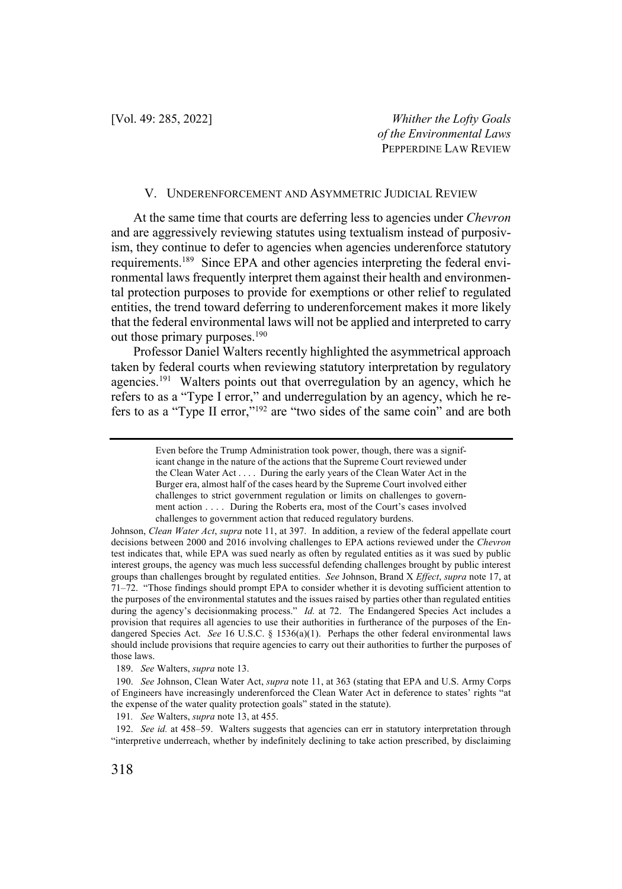#### V. UNDERENFORCEMENT AND ASYMMETRIC JUDICIAL REVIEW

At the same time that courts are deferring less to agencies under *Chevron* and are aggressively reviewing statutes using textualism instead of purposivism, they continue to defer to agencies when agencies underenforce statutory requirements.<sup>189</sup> Since EPA and other agencies interpreting the federal environmental laws frequently interpret them against their health and environmental protection purposes to provide for exemptions or other relief to regulated entities, the trend toward deferring to underenforcement makes it more likely that the federal environmental laws will not be applied and interpreted to carry out those primary purposes.<sup>190</sup>

Professor Daniel Walters recently highlighted the asymmetrical approach taken by federal courts when reviewing statutory interpretation by regulatory agencies.<sup>191</sup> Walters points out that overregulation by an agency, which he refers to as a "Type I error," and underregulation by an agency, which he refers to as a "Type II error,"192 are "two sides of the same coin" and are both

189. *See* Walters, *supra* note 13.

191*. See* Walters, *supra* note 13, at 455.

Even before the Trump Administration took power, though, there was a significant change in the nature of the actions that the Supreme Court reviewed under the Clean Water Act . . . . During the early years of the Clean Water Act in the Burger era, almost half of the cases heard by the Supreme Court involved either challenges to strict government regulation or limits on challenges to government action . . . . During the Roberts era, most of the Court's cases involved challenges to government action that reduced regulatory burdens.

Johnson, *Clean Water Act*, *supra* note 11, at 397. In addition, a review of the federal appellate court decisions between 2000 and 2016 involving challenges to EPA actions reviewed under the *Chevron* test indicates that, while EPA was sued nearly as often by regulated entities as it was sued by public interest groups, the agency was much less successful defending challenges brought by public interest groups than challenges brought by regulated entities. *See* Johnson, Brand X *Effect*, *supra* note 17, at 71–72. "Those findings should prompt EPA to consider whether it is devoting sufficient attention to the purposes of the environmental statutes and the issues raised by parties other than regulated entities during the agency's decisionmaking process." *Id.* at 72. The Endangered Species Act includes a provision that requires all agencies to use their authorities in furtherance of the purposes of the Endangered Species Act. *See* 16 U.S.C. § 1536(a)(1). Perhaps the other federal environmental laws should include provisions that require agencies to carry out their authorities to further the purposes of those laws.

<sup>190.</sup> *See* Johnson, Clean Water Act, *supra* note 11, at 363 (stating that EPA and U.S. Army Corps of Engineers have increasingly underenforced the Clean Water Act in deference to states' rights "at the expense of the water quality protection goals" stated in the statute).

<sup>192.</sup> *See id.* at 458–59. Walters suggests that agencies can err in statutory interpretation through "interpretive underreach, whether by indefinitely declining to take action prescribed, by disclaiming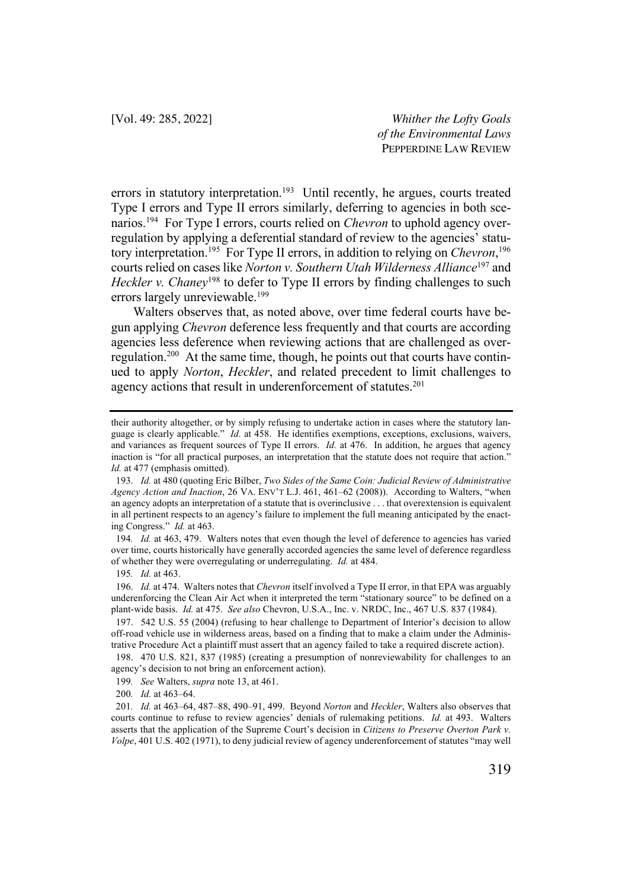errors in statutory interpretation.<sup>193</sup> Until recently, he argues, courts treated Type I errors and Type II errors similarly, deferring to agencies in both scenarios.194 For Type I errors, courts relied on *Chevron* to uphold agency overregulation by applying a deferential standard of review to the agencies' statutory interpretation.195 For Type II errors, in addition to relying on *Chevron*, 196 courts relied on cases like *Norton v. Southern Utah Wilderness Alliance*<sup>197</sup> and *Heckler v. Chaney*<sup>198</sup> to defer to Type II errors by finding challenges to such errors largely unreviewable.<sup>199</sup>

Walters observes that, as noted above, over time federal courts have begun applying *Chevron* deference less frequently and that courts are according agencies less deference when reviewing actions that are challenged as overregulation.200 At the same time, though, he points out that courts have continued to apply *Norton*, *Heckler*, and related precedent to limit challenges to agency actions that result in underenforcement of statutes.<sup>201</sup>

194*. Id.* at 463, 479. Walters notes that even though the level of deference to agencies has varied over time, courts historically have generally accorded agencies the same level of deference regardless of whether they were overregulating or underregulating. *Id.* at 484.

their authority altogether, or by simply refusing to undertake action in cases where the statutory language is clearly applicable." *Id.* at 458. He identifies exemptions, exceptions, exclusions, waivers, and variances as frequent sources of Type II errors. *Id.* at 476. In addition, he argues that agency inaction is "for all practical purposes, an interpretation that the statute does not require that action." *Id.* at 477 (emphasis omitted).

<sup>193.</sup> *Id.* at 480 (quoting Eric Bilber, *Two Sides of the Same Coin: Judicial Review of Administrative Agency Action and Inaction*, 26 VA. ENV'T L.J. 461, 461–62 (2008)). According to Walters, "when an agency adopts an interpretation of a statute that is overinclusive . . . that overextension is equivalent in all pertinent respects to an agency's failure to implement the full meaning anticipated by the enacting Congress." *Id.* at 463.

<sup>195</sup>*. Id.* at 463.

<sup>196.</sup> *Id.* at 474. Walters notes that *Chevron* itself involved a Type II error, in that EPA was arguably underenforcing the Clean Air Act when it interpreted the term "stationary source" to be defined on a plant-wide basis. *Id.* at 475. *See also* Chevron, U.S.A., Inc. v. NRDC, Inc., 467 U.S. 837 (1984).

<sup>197.</sup> 542 U.S. 55 (2004) (refusing to hear challenge to Department of Interior's decision to allow off-road vehicle use in wilderness areas, based on a finding that to make a claim under the Administrative Procedure Act a plaintiff must assert that an agency failed to take a required discrete action).

<sup>198.</sup> 470 U.S. 821, 837 (1985) (creating a presumption of nonreviewability for challenges to an agency's decision to not bring an enforcement action).

<sup>199</sup>*. See* Walters, *supra* note 13, at 461.

<sup>200</sup>*. Id.* at 463–64.

<sup>201</sup>*. Id.* at 463–64, 487–88, 490–91, 499. Beyond *Norton* and *Heckler*, Walters also observes that courts continue to refuse to review agencies' denials of rulemaking petitions. *Id.* at 493. Walters asserts that the application of the Supreme Court's decision in *Citizens to Preserve Overton Park v. Volpe*, 401 U.S. 402 (1971), to deny judicial review of agency underenforcement of statutes "may well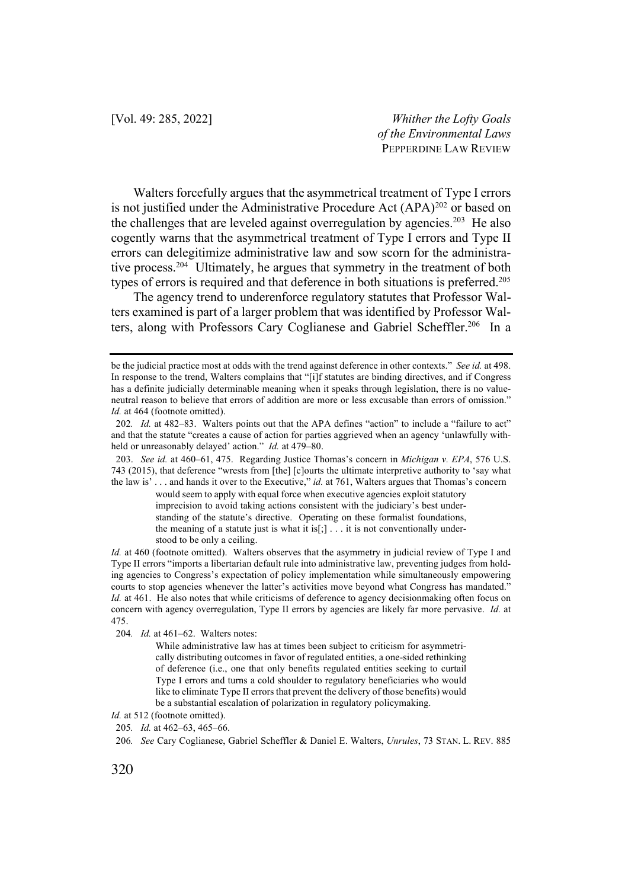Walters forcefully argues that the asymmetrical treatment of Type I errors is not justified under the Administrative Procedure Act (APA)<sup>202</sup> or based on the challenges that are leveled against overregulation by agencies.<sup>203</sup> He also cogently warns that the asymmetrical treatment of Type I errors and Type II errors can delegitimize administrative law and sow scorn for the administrative process.<sup>204</sup> Ultimately, he argues that symmetry in the treatment of both types of errors is required and that deference in both situations is preferred.<sup>205</sup>

The agency trend to underenforce regulatory statutes that Professor Walters examined is part of a larger problem that was identified by Professor Walters, along with Professors Cary Coglianese and Gabriel Scheffler.<sup>206</sup> In a

would seem to apply with equal force when executive agencies exploit statutory imprecision to avoid taking actions consistent with the judiciary's best understanding of the statute's directive. Operating on these formalist foundations, the meaning of a statute just is what it is $[j]$ ... it is not conventionally understood to be only a ceiling.

*Id.* at 460 (footnote omitted). Walters observes that the asymmetry in judicial review of Type I and Type II errors "imports a libertarian default rule into administrative law, preventing judges from holding agencies to Congress's expectation of policy implementation while simultaneously empowering courts to stop agencies whenever the latter's activities move beyond what Congress has mandated." *Id.* at 461. He also notes that while criticisms of deference to agency decisionmaking often focus on concern with agency overregulation, Type II errors by agencies are likely far more pervasive. *Id.* at 475.

204*. Id.* at 461–62. Walters notes:

While administrative law has at times been subject to criticism for asymmetrically distributing outcomes in favor of regulated entities, a one-sided rethinking of deference (i.e., one that only benefits regulated entities seeking to curtail Type I errors and turns a cold shoulder to regulatory beneficiaries who would like to eliminate Type II errors that prevent the delivery of those benefits) would be a substantial escalation of polarization in regulatory policymaking.

be the judicial practice most at odds with the trend against deference in other contexts." *See id.* at 498. In response to the trend, Walters complains that "[i]f statutes are binding directives, and if Congress has a definite judicially determinable meaning when it speaks through legislation, there is no valueneutral reason to believe that errors of addition are more or less excusable than errors of omission." Id. at 464 (footnote omitted).

<sup>202</sup>*. Id.* at 482–83. Walters points out that the APA defines "action" to include a "failure to act" and that the statute "creates a cause of action for parties aggrieved when an agency 'unlawfully withheld or unreasonably delayed' action." *Id.* at 479–80.

<sup>203.</sup> *See id.* at 460–61, 475. Regarding Justice Thomas's concern in *Michigan v. EPA*, 576 U.S. 743 (2015), that deference "wrests from [the] [c]ourts the ultimate interpretive authority to 'say what the law is' . . . and hands it over to the Executive," *id.* at 761, Walters argues that Thomas's concern

*Id.* at 512 (footnote omitted).

<sup>205</sup>*. Id.* at 462–63, 465–66.

<sup>206</sup>*. See* Cary Coglianese, Gabriel Scheffler & Daniel E. Walters, *Unrules*, 73 STAN. L. REV. 885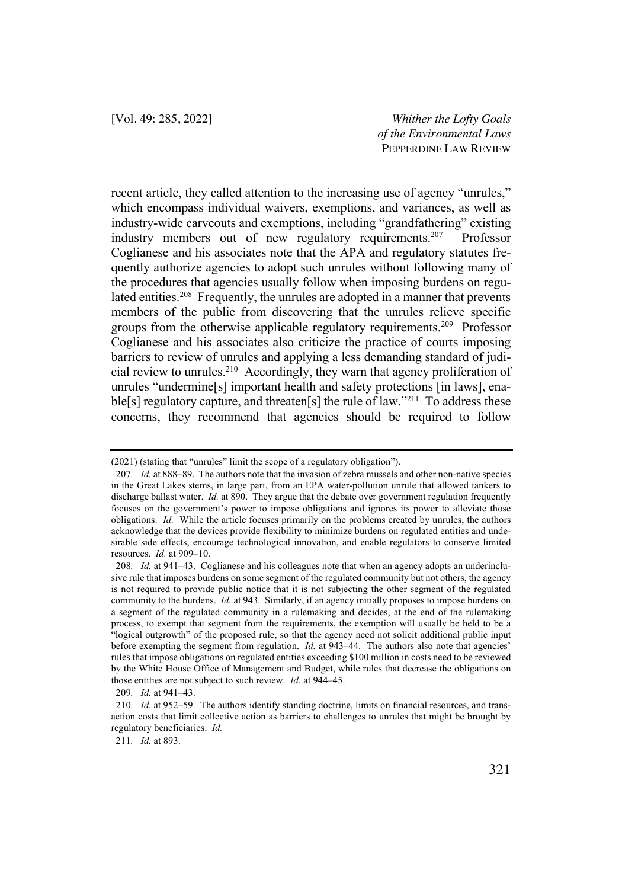recent article, they called attention to the increasing use of agency "unrules," which encompass individual waivers, exemptions, and variances, as well as industry-wide carveouts and exemptions, including "grandfathering" existing industry members out of new regulatory requirements.<sup>207</sup> Professor Coglianese and his associates note that the APA and regulatory statutes frequently authorize agencies to adopt such unrules without following many of the procedures that agencies usually follow when imposing burdens on regulated entities.<sup>208</sup> Frequently, the unrules are adopted in a manner that prevents members of the public from discovering that the unrules relieve specific groups from the otherwise applicable regulatory requirements.209 Professor Coglianese and his associates also criticize the practice of courts imposing barriers to review of unrules and applying a less demanding standard of judicial review to unrules.210 Accordingly, they warn that agency proliferation of unrules "undermine[s] important health and safety protections [in laws], enable<sup>[s]</sup> regulatory capture, and threaten<sup>[s]</sup> the rule of law."<sup>211</sup> To address these concerns, they recommend that agencies should be required to follow

211*. Id.* at 893.

<sup>(2021)</sup> (stating that "unrules" limit the scope of a regulatory obligation").

<sup>207</sup>*. Id.* at 888–89. The authors note that the invasion of zebra mussels and other non-native species in the Great Lakes stems, in large part, from an EPA water-pollution unrule that allowed tankers to discharge ballast water. *Id.* at 890. They argue that the debate over government regulation frequently focuses on the government's power to impose obligations and ignores its power to alleviate those obligations. *Id.* While the article focuses primarily on the problems created by unrules, the authors acknowledge that the devices provide flexibility to minimize burdens on regulated entities and undesirable side effects, encourage technological innovation, and enable regulators to conserve limited resources. *Id.* at 909–10.

<sup>208</sup>*. Id.* at 941–43. Coglianese and his colleagues note that when an agency adopts an underinclusive rule that imposes burdens on some segment of the regulated community but not others, the agency is not required to provide public notice that it is not subjecting the other segment of the regulated community to the burdens. *Id.* at 943. Similarly, if an agency initially proposes to impose burdens on a segment of the regulated community in a rulemaking and decides, at the end of the rulemaking process, to exempt that segment from the requirements, the exemption will usually be held to be a "logical outgrowth" of the proposed rule, so that the agency need not solicit additional public input before exempting the segment from regulation. *Id.* at 943–44. The authors also note that agencies' rules that impose obligations on regulated entities exceeding \$100 million in costs need to be reviewed by the White House Office of Management and Budget, while rules that decrease the obligations on those entities are not subject to such review. *Id.* at 944–45.

<sup>209</sup>*. Id.* at 941–43.

<sup>210</sup>*. Id.* at 952–59. The authors identify standing doctrine, limits on financial resources, and transaction costs that limit collective action as barriers to challenges to unrules that might be brought by regulatory beneficiaries. *Id.*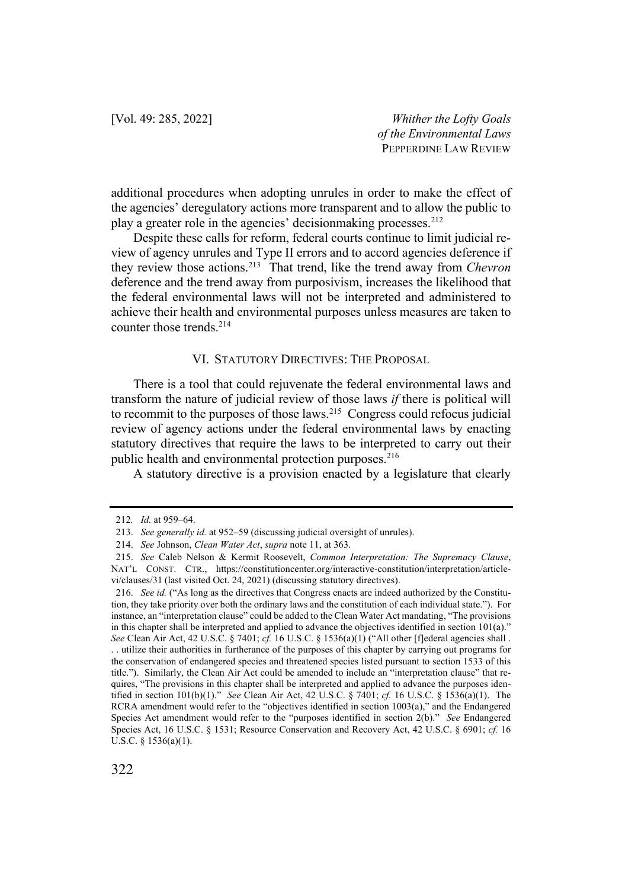additional procedures when adopting unrules in order to make the effect of the agencies' deregulatory actions more transparent and to allow the public to play a greater role in the agencies' decisionmaking processes.212

Despite these calls for reform, federal courts continue to limit judicial review of agency unrules and Type II errors and to accord agencies deference if they review those actions.213 That trend, like the trend away from *Chevron*  deference and the trend away from purposivism, increases the likelihood that the federal environmental laws will not be interpreted and administered to achieve their health and environmental purposes unless measures are taken to counter those trends.214

#### VI. STATUTORY DIRECTIVES: THE PROPOSAL

There is a tool that could rejuvenate the federal environmental laws and transform the nature of judicial review of those laws *if* there is political will to recommit to the purposes of those laws.<sup>215</sup> Congress could refocus judicial review of agency actions under the federal environmental laws by enacting statutory directives that require the laws to be interpreted to carry out their public health and environmental protection purposes.<sup>216</sup>

A statutory directive is a provision enacted by a legislature that clearly

<sup>212</sup>*. Id.* at 959–64.

<sup>213.</sup> *See generally id.* at 952–59 (discussing judicial oversight of unrules).

<sup>214.</sup> *See* Johnson, *Clean Water Act*, *supra* note 11, at 363.

<sup>215.</sup> *See* Caleb Nelson & Kermit Roosevelt, *Common Interpretation: The Supremacy Clause*, NAT'L CONST. CTR., https://constitutioncenter.org/interactive-constitution/interpretation/articlevi/clauses/31 (last visited Oct. 24, 2021) (discussing statutory directives).

<sup>216.</sup> *See id.* ("As long as the directives that Congress enacts are indeed authorized by the Constitution, they take priority over both the ordinary laws and the constitution of each individual state."). For instance, an "interpretation clause" could be added to the Clean Water Act mandating, "The provisions in this chapter shall be interpreted and applied to advance the objectives identified in section 101(a)." *See* Clean Air Act, 42 U.S.C. § 7401; *cf.* 16 U.S.C. § 1536(a)(1) ("All other [f]ederal agencies shall . . . utilize their authorities in furtherance of the purposes of this chapter by carrying out programs for the conservation of endangered species and threatened species listed pursuant to section 1533 of this title."). Similarly, the Clean Air Act could be amended to include an "interpretation clause" that requires, "The provisions in this chapter shall be interpreted and applied to advance the purposes identified in section 101(b)(1)." *See* Clean Air Act, 42 U.S.C. § 7401; *cf.* 16 U.S.C. § 1536(a)(1). The RCRA amendment would refer to the "objectives identified in section 1003(a)," and the Endangered Species Act amendment would refer to the "purposes identified in section 2(b)." *See* Endangered Species Act, 16 U.S.C. § 1531; Resource Conservation and Recovery Act, 42 U.S.C. § 6901; *cf.* 16 U.S.C. § 1536(a)(1).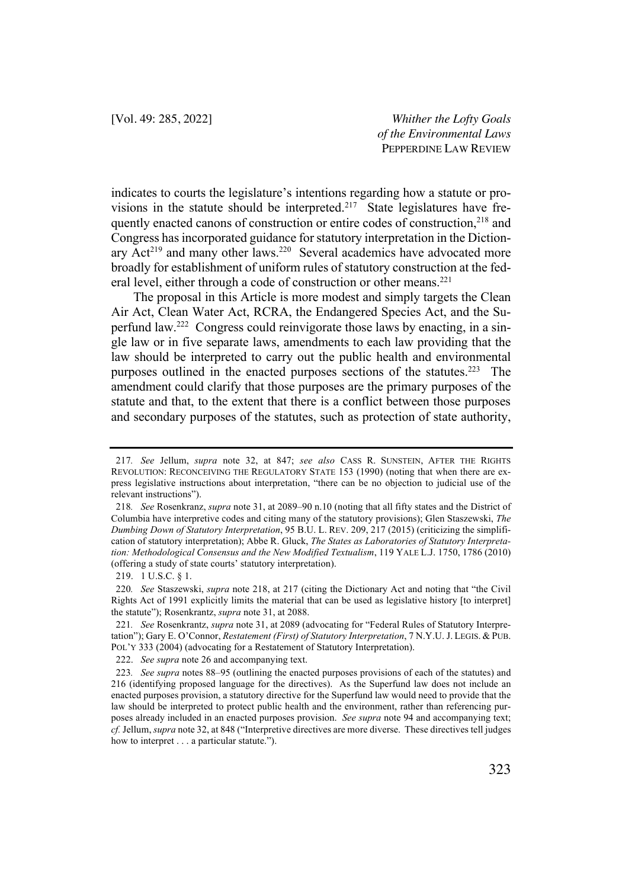indicates to courts the legislature's intentions regarding how a statute or provisions in the statute should be interpreted.<sup>217</sup> State legislatures have frequently enacted canons of construction or entire codes of construction, <sup>218</sup> and Congress has incorporated guidance for statutory interpretation in the Dictionary Act<sup>219</sup> and many other laws.<sup>220</sup> Several academics have advocated more broadly for establishment of uniform rules of statutory construction at the federal level, either through a code of construction or other means.<sup>221</sup>

The proposal in this Article is more modest and simply targets the Clean Air Act, Clean Water Act, RCRA, the Endangered Species Act, and the Superfund law.222 Congress could reinvigorate those laws by enacting, in a single law or in five separate laws, amendments to each law providing that the law should be interpreted to carry out the public health and environmental purposes outlined in the enacted purposes sections of the statutes.<sup>223</sup> The amendment could clarify that those purposes are the primary purposes of the statute and that, to the extent that there is a conflict between those purposes and secondary purposes of the statutes, such as protection of state authority,

<sup>217</sup>*. See* Jellum, *supra* note 32, at 847; *see also* CASS R. SUNSTEIN, AFTER THE RIGHTS REVOLUTION: RECONCEIVING THE REGULATORY STATE 153 (1990) (noting that when there are express legislative instructions about interpretation, "there can be no objection to judicial use of the relevant instructions").

<sup>218</sup>*. See* Rosenkranz, *supra* note 31, at 2089–90 n.10 (noting that all fifty states and the District of Columbia have interpretive codes and citing many of the statutory provisions); Glen Staszewski, *The Dumbing Down of Statutory Interpretation*, 95 B.U. L. REV. 209, 217 (2015) (criticizing the simplification of statutory interpretation); Abbe R. Gluck, *The States as Laboratories of Statutory Interpretation: Methodological Consensus and the New Modified Textualism*, 119 YALE L.J. 1750, 1786 (2010) (offering a study of state courts' statutory interpretation).

<sup>219.</sup> 1 U.S.C. § 1.

<sup>220</sup>*. See* Staszewski, *supra* note 218, at 217 (citing the Dictionary Act and noting that "the Civil Rights Act of 1991 explicitly limits the material that can be used as legislative history [to interpret] the statute"); Rosenkrantz, *supra* note 31, at 2088.

<sup>221</sup>*. See* Rosenkrantz, *supra* note 31, at 2089 (advocating for "Federal Rules of Statutory Interpretation"); Gary E. O'Connor, *Restatement (First) of Statutory Interpretation*, 7 N.Y.U. J. LEGIS. & PUB. POL'Y 333 (2004) (advocating for a Restatement of Statutory Interpretation).

<sup>222.</sup> *See supra* note 26 and accompanying text.

<sup>223</sup>*. See supra* notes 88–95 (outlining the enacted purposes provisions of each of the statutes) and 216 (identifying proposed language for the directives). As the Superfund law does not include an enacted purposes provision, a statutory directive for the Superfund law would need to provide that the law should be interpreted to protect public health and the environment, rather than referencing purposes already included in an enacted purposes provision. *See supra* note 94 and accompanying text; *cf.* Jellum, *supra* note 32, at 848 ("Interpretive directives are more diverse. These directives tell judges how to interpret . . . a particular statute.").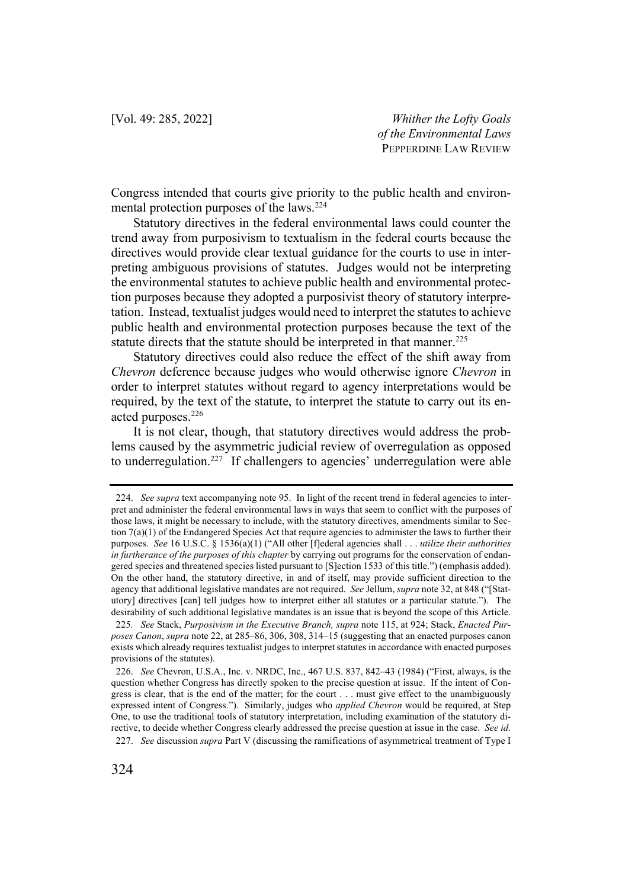Congress intended that courts give priority to the public health and environmental protection purposes of the laws.224

Statutory directives in the federal environmental laws could counter the trend away from purposivism to textualism in the federal courts because the directives would provide clear textual guidance for the courts to use in interpreting ambiguous provisions of statutes. Judges would not be interpreting the environmental statutes to achieve public health and environmental protection purposes because they adopted a purposivist theory of statutory interpretation. Instead, textualist judges would need to interpret the statutes to achieve public health and environmental protection purposes because the text of the statute directs that the statute should be interpreted in that manner.<sup>225</sup>

Statutory directives could also reduce the effect of the shift away from *Chevron* deference because judges who would otherwise ignore *Chevron* in order to interpret statutes without regard to agency interpretations would be required, by the text of the statute, to interpret the statute to carry out its enacted purposes.226

It is not clear, though, that statutory directives would address the problems caused by the asymmetric judicial review of overregulation as opposed to underregulation.<sup>227</sup> If challengers to agencies' underregulation were able

<sup>224.</sup> *See supra* text accompanying note 95. In light of the recent trend in federal agencies to interpret and administer the federal environmental laws in ways that seem to conflict with the purposes of those laws, it might be necessary to include, with the statutory directives, amendments similar to Section  $7(a)(1)$  of the Endangered Species Act that require agencies to administer the laws to further their purposes. *See* 16 U.S.C. § 1536(a)(1) ("All other [f]ederal agencies shall . . . *utilize their authorities in furtherance of the purposes of this chapter* by carrying out programs for the conservation of endangered species and threatened species listed pursuant to [S]ection 1533 of this title.") (emphasis added). On the other hand, the statutory directive, in and of itself, may provide sufficient direction to the agency that additional legislative mandates are not required. *See* Jellum, *supra* note 32, at 848 ("[Statutory] directives [can] tell judges how to interpret either all statutes or a particular statute."). The desirability of such additional legislative mandates is an issue that is beyond the scope of this Article.

<sup>225</sup>*. See* Stack, *Purposivism in the Executive Branch, supra* note 115, at 924; Stack, *Enacted Purposes Canon*, *supra* note 22, at 285–86, 306, 308, 314–15 (suggesting that an enacted purposes canon exists which already requires textualist judges to interpret statutes in accordance with enacted purposes provisions of the statutes).

<sup>226.</sup> *See* Chevron, U.S.A., Inc. v. NRDC, Inc., 467 U.S. 837, 842–43 (1984) ("First, always, is the question whether Congress has directly spoken to the precise question at issue. If the intent of Congress is clear, that is the end of the matter; for the court . . . must give effect to the unambiguously expressed intent of Congress."). Similarly, judges who *applied Chevron* would be required, at Step One, to use the traditional tools of statutory interpretation, including examination of the statutory directive, to decide whether Congress clearly addressed the precise question at issue in the case. *See id.* 227. *See* discussion *supra* Part V (discussing the ramifications of asymmetrical treatment of Type I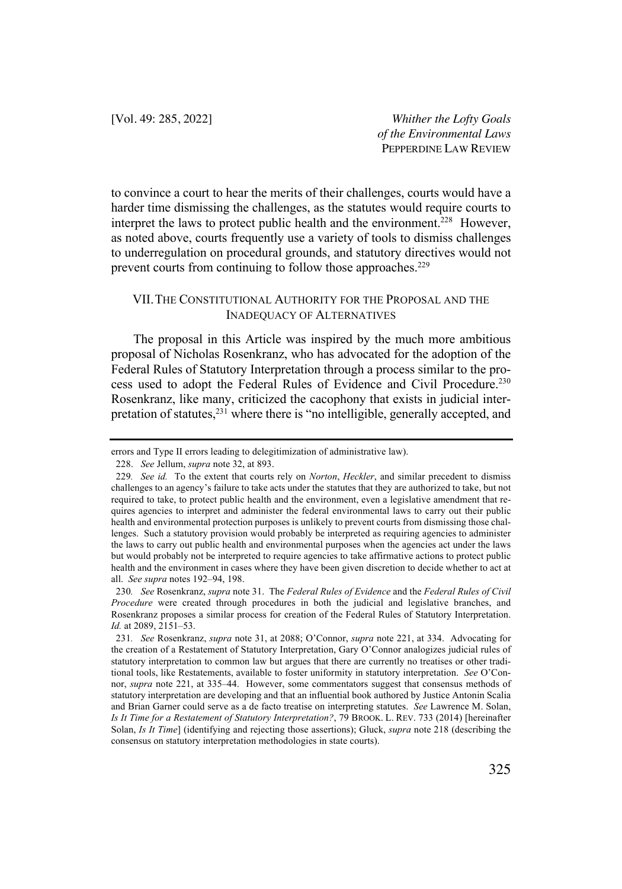to convince a court to hear the merits of their challenges, courts would have a harder time dismissing the challenges, as the statutes would require courts to interpret the laws to protect public health and the environment.<sup>228</sup> However, as noted above, courts frequently use a variety of tools to dismiss challenges to underregulation on procedural grounds, and statutory directives would not prevent courts from continuing to follow those approaches.<sup>229</sup>

### VII.THE CONSTITUTIONAL AUTHORITY FOR THE PROPOSAL AND THE INADEQUACY OF ALTERNATIVES

The proposal in this Article was inspired by the much more ambitious proposal of Nicholas Rosenkranz, who has advocated for the adoption of the Federal Rules of Statutory Interpretation through a process similar to the process used to adopt the Federal Rules of Evidence and Civil Procedure.<sup>230</sup> Rosenkranz, like many, criticized the cacophony that exists in judicial interpretation of statutes,<sup>231</sup> where there is "no intelligible, generally accepted, and

errors and Type II errors leading to delegitimization of administrative law).

<sup>228.</sup> *See* Jellum, *supra* note 32, at 893.

<sup>229</sup>*. See id.* To the extent that courts rely on *Norton*, *Heckler*, and similar precedent to dismiss challenges to an agency's failure to take acts under the statutes that they are authorized to take, but not required to take, to protect public health and the environment, even a legislative amendment that requires agencies to interpret and administer the federal environmental laws to carry out their public health and environmental protection purposes is unlikely to prevent courts from dismissing those challenges. Such a statutory provision would probably be interpreted as requiring agencies to administer the laws to carry out public health and environmental purposes when the agencies act under the laws but would probably not be interpreted to require agencies to take affirmative actions to protect public health and the environment in cases where they have been given discretion to decide whether to act at all. *See supra* notes 192–94, 198.

<sup>230</sup>*. See* Rosenkranz, *supra* note 31. The *Federal Rules of Evidence* and the *Federal Rules of Civil Procedure* were created through procedures in both the judicial and legislative branches, and Rosenkranz proposes a similar process for creation of the Federal Rules of Statutory Interpretation. *Id.* at 2089, 2151–53.

<sup>231</sup>*. See* Rosenkranz, *supra* note 31, at 2088; O'Connor, *supra* note 221, at 334. Advocating for the creation of a Restatement of Statutory Interpretation, Gary O'Connor analogizes judicial rules of statutory interpretation to common law but argues that there are currently no treatises or other traditional tools, like Restatements, available to foster uniformity in statutory interpretation. *See* O'Connor, *supra* note 221, at 335–44. However, some commentators suggest that consensus methods of statutory interpretation are developing and that an influential book authored by Justice Antonin Scalia and Brian Garner could serve as a de facto treatise on interpreting statutes. *See* Lawrence M. Solan, *Is It Time for a Restatement of Statutory Interpretation?*, 79 BROOK. L. REV. 733 (2014) [hereinafter Solan, *Is It Time*] (identifying and rejecting those assertions); Gluck, *supra* note 218 (describing the consensus on statutory interpretation methodologies in state courts).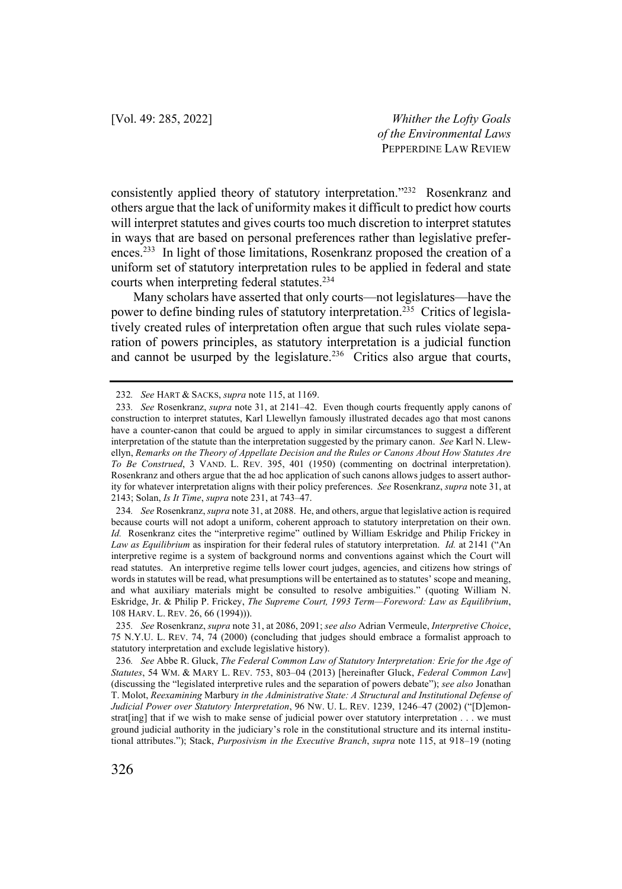consistently applied theory of statutory interpretation."232 Rosenkranz and others argue that the lack of uniformity makes it difficult to predict how courts will interpret statutes and gives courts too much discretion to interpret statutes in ways that are based on personal preferences rather than legislative preferences.<sup>233</sup> In light of those limitations, Rosenkranz proposed the creation of a uniform set of statutory interpretation rules to be applied in federal and state courts when interpreting federal statutes.<sup>234</sup>

Many scholars have asserted that only courts—not legislatures—have the power to define binding rules of statutory interpretation.<sup>235</sup> Critics of legislatively created rules of interpretation often argue that such rules violate separation of powers principles, as statutory interpretation is a judicial function and cannot be usurped by the legislature.<sup>236</sup> Critics also argue that courts,

<sup>232</sup>*. See* HART & SACKS, *supra* note 115, at 1169.

<sup>233</sup>*. See* Rosenkranz, *supra* note 31, at 2141–42. Even though courts frequently apply canons of construction to interpret statutes, Karl Llewellyn famously illustrated decades ago that most canons have a counter-canon that could be argued to apply in similar circumstances to suggest a different interpretation of the statute than the interpretation suggested by the primary canon. *See* Karl N. Llewellyn, *Remarks on the Theory of Appellate Decision and the Rules or Canons About How Statutes Are To Be Construed*, 3 VAND. L. REV. 395, 401 (1950) (commenting on doctrinal interpretation). Rosenkranz and others argue that the ad hoc application of such canons allows judges to assert authority for whatever interpretation aligns with their policy preferences. *See* Rosenkranz, *supra* note 31, at 2143; Solan, *Is It Time*, *supra* note 231, at 743–47.

<sup>234</sup>*. See* Rosenkranz, *supra* note 31, at 2088. He, and others, argue that legislative action is required because courts will not adopt a uniform, coherent approach to statutory interpretation on their own. *Id.* Rosenkranz cites the "interpretive regime" outlined by William Eskridge and Philip Frickey in *Law as Equilibrium* as inspiration for their federal rules of statutory interpretation. *Id.* at 2141 ("An interpretive regime is a system of background norms and conventions against which the Court will read statutes. An interpretive regime tells lower court judges, agencies, and citizens how strings of words in statutes will be read, what presumptions will be entertained as to statutes' scope and meaning, and what auxiliary materials might be consulted to resolve ambiguities." (quoting William N. Eskridge, Jr. & Philip P. Frickey, *The Supreme Court, 1993 Term—Foreword: Law as Equilibrium*, 108 HARV. L. REV. 26, 66 (1994))).

<sup>235</sup>*. See* Rosenkranz, *supra* note 31, at 2086, 2091; *see also* Adrian Vermeule, *Interpretive Choice*, 75 N.Y.U. L. REV. 74, 74 (2000) (concluding that judges should embrace a formalist approach to statutory interpretation and exclude legislative history).

<sup>236</sup>*. See* Abbe R. Gluck, *The Federal Common Law of Statutory Interpretation: Erie for the Age of Statutes*, 54 WM. & MARY L. REV. 753, 803–04 (2013) [hereinafter Gluck, *Federal Common Law*] (discussing the "legislated interpretive rules and the separation of powers debate"); *see also* Jonathan T. Molot, *Reexamining* Marbury *in the Administrative State: A Structural and Institutional Defense of Judicial Power over Statutory Interpretation*, 96 NW. U. L. REV. 1239, 1246–47 (2002) ("[D]emonstrat[ing] that if we wish to make sense of judicial power over statutory interpretation . . . we must ground judicial authority in the judiciary's role in the constitutional structure and its internal institutional attributes."); Stack, *Purposivism in the Executive Branch*, *supra* note 115, at 918–19 (noting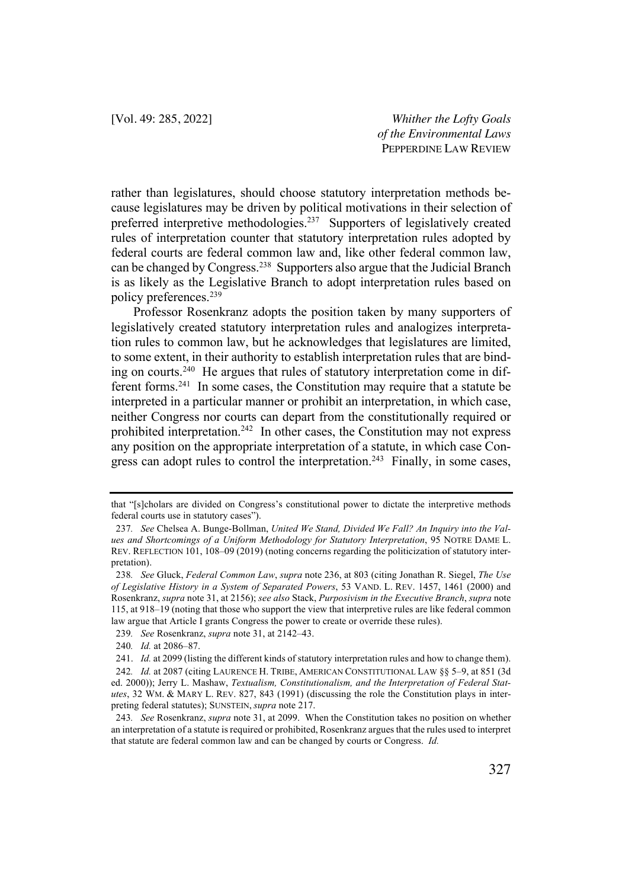rather than legislatures, should choose statutory interpretation methods because legislatures may be driven by political motivations in their selection of preferred interpretive methodologies.<sup>237</sup> Supporters of legislatively created rules of interpretation counter that statutory interpretation rules adopted by federal courts are federal common law and, like other federal common law, can be changed by Congress.238 Supporters also argue that the Judicial Branch is as likely as the Legislative Branch to adopt interpretation rules based on policy preferences.239

Professor Rosenkranz adopts the position taken by many supporters of legislatively created statutory interpretation rules and analogizes interpretation rules to common law, but he acknowledges that legislatures are limited, to some extent, in their authority to establish interpretation rules that are binding on courts.240 He argues that rules of statutory interpretation come in different forms.241 In some cases, the Constitution may require that a statute be interpreted in a particular manner or prohibit an interpretation, in which case, neither Congress nor courts can depart from the constitutionally required or prohibited interpretation.<sup>242</sup> In other cases, the Constitution may not express any position on the appropriate interpretation of a statute, in which case Congress can adopt rules to control the interpretation.<sup>243</sup> Finally, in some cases,

239*. See* Rosenkranz, *supra* note 31, at 2142–43.

that "[s]cholars are divided on Congress's constitutional power to dictate the interpretive methods federal courts use in statutory cases").

<sup>237</sup>*. See* Chelsea A. Bunge-Bollman, *United We Stand, Divided We Fall? An Inquiry into the Values and Shortcomings of a Uniform Methodology for Statutory Interpretation*, 95 NOTRE DAME L. REV. REFLECTION 101, 108–09 (2019) (noting concerns regarding the politicization of statutory interpretation).

<sup>238</sup>*. See* Gluck, *Federal Common Law*, *supra* note 236, at 803 (citing Jonathan R. Siegel, *The Use of Legislative History in a System of Separated Powers*, 53 VAND. L. REV. 1457, 1461 (2000) and Rosenkranz, *supra* note 31, at 2156); *see also* Stack, *Purposivism in the Executive Branch*, *supra* note 115, at 918–19 (noting that those who support the view that interpretive rules are like federal common law argue that Article I grants Congress the power to create or override these rules).

<sup>240</sup>*. Id.* at 2086–87.

<sup>241.</sup> *Id.* at 2099 (listing the different kinds of statutory interpretation rules and how to change them). 242*. Id.* at 2087 (citing LAURENCE H. TRIBE, AMERICAN CONSTITUTIONAL LAW §§ 5–9, at 851 (3d ed. 2000)); Jerry L. Mashaw, *Textualism, Constitutionalism, and the Interpretation of Federal Statutes*, 32 WM. & MARY L. REV. 827, 843 (1991) (discussing the role the Constitution plays in interpreting federal statutes); SUNSTEIN, *supra* note 217.

<sup>243</sup>*. See* Rosenkranz, *supra* note 31, at 2099. When the Constitution takes no position on whether an interpretation of a statute is required or prohibited, Rosenkranz argues that the rules used to interpret that statute are federal common law and can be changed by courts or Congress. *Id.*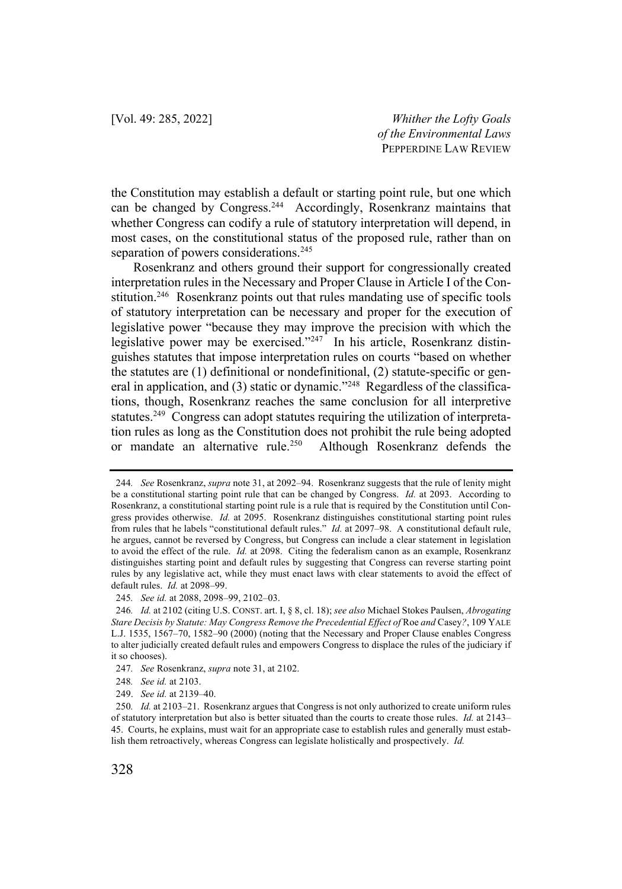the Constitution may establish a default or starting point rule, but one which can be changed by Congress.<sup>244</sup> Accordingly, Rosenkranz maintains that whether Congress can codify a rule of statutory interpretation will depend, in most cases, on the constitutional status of the proposed rule, rather than on separation of powers considerations.<sup>245</sup>

Rosenkranz and others ground their support for congressionally created interpretation rules in the Necessary and Proper Clause in Article I of the Constitution.<sup>246</sup> Rosenkranz points out that rules mandating use of specific tools of statutory interpretation can be necessary and proper for the execution of legislative power "because they may improve the precision with which the legislative power may be exercised."<sup>247</sup> In his article, Rosenkranz distinguishes statutes that impose interpretation rules on courts "based on whether the statutes are (1) definitional or nondefinitional, (2) statute-specific or general in application, and (3) static or dynamic."<sup>248</sup> Regardless of the classifications, though, Rosenkranz reaches the same conclusion for all interpretive statutes.<sup>249</sup> Congress can adopt statutes requiring the utilization of interpretation rules as long as the Constitution does not prohibit the rule being adopted or mandate an alternative rule.250 Although Rosenkranz defends the

<sup>244</sup>*. See* Rosenkranz, *supra* note 31, at 2092–94. Rosenkranz suggests that the rule of lenity might be a constitutional starting point rule that can be changed by Congress. *Id.* at 2093. According to Rosenkranz, a constitutional starting point rule is a rule that is required by the Constitution until Congress provides otherwise. *Id.* at 2095. Rosenkranz distinguishes constitutional starting point rules from rules that he labels "constitutional default rules." *Id.* at 2097–98. A constitutional default rule, he argues, cannot be reversed by Congress, but Congress can include a clear statement in legislation to avoid the effect of the rule. *Id.* at 2098. Citing the federalism canon as an example, Rosenkranz distinguishes starting point and default rules by suggesting that Congress can reverse starting point rules by any legislative act, while they must enact laws with clear statements to avoid the effect of default rules. *Id.* at 2098–99.

<sup>245</sup>*. See id.* at 2088, 2098–99, 2102–03.

<sup>246</sup>*. Id.* at 2102 (citing U.S. CONST. art. I, § 8, cl. 18); *see also* Michael Stokes Paulsen, *Abrogating Stare Decisis by Statute: May Congress Remove the Precedential Effect of* Roe *and* Casey*?*, 109 YALE L.J. 1535, 1567–70, 1582–90 (2000) (noting that the Necessary and Proper Clause enables Congress to alter judicially created default rules and empowers Congress to displace the rules of the judiciary if it so chooses).

<sup>247</sup>*. See* Rosenkranz, *supra* note 31, at 2102.

<sup>248</sup>*. See id.* at 2103.

<sup>249.</sup> *See id.* at 2139–40.

<sup>250</sup>*. Id.* at 2103–21. Rosenkranz argues that Congress is not only authorized to create uniform rules of statutory interpretation but also is better situated than the courts to create those rules. *Id.* at 2143– 45. Courts, he explains, must wait for an appropriate case to establish rules and generally must establish them retroactively, whereas Congress can legislate holistically and prospectively. *Id.*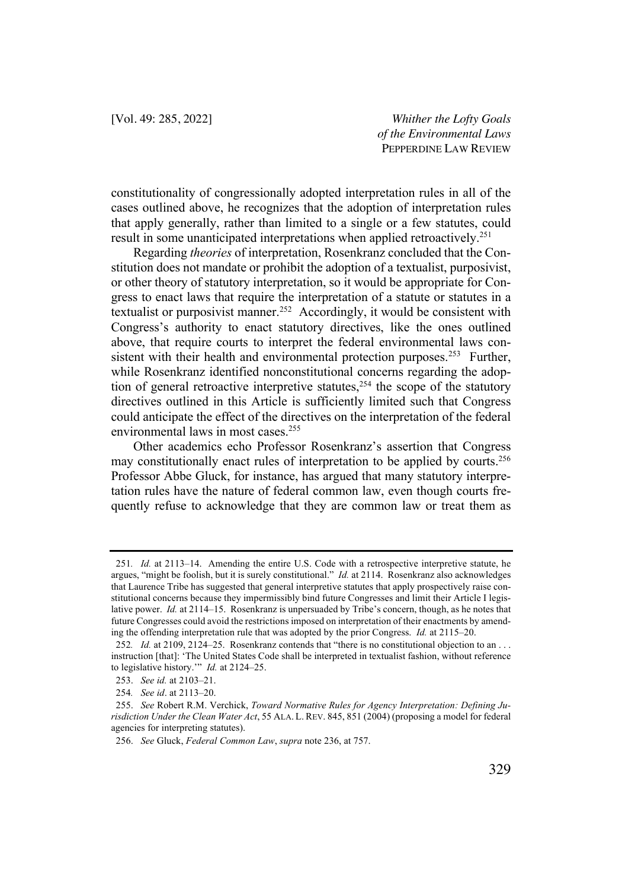constitutionality of congressionally adopted interpretation rules in all of the cases outlined above, he recognizes that the adoption of interpretation rules that apply generally, rather than limited to a single or a few statutes, could result in some unanticipated interpretations when applied retroactively.<sup>251</sup>

Regarding *theories* of interpretation, Rosenkranz concluded that the Constitution does not mandate or prohibit the adoption of a textualist, purposivist, or other theory of statutory interpretation, so it would be appropriate for Congress to enact laws that require the interpretation of a statute or statutes in a textualist or purposivist manner.<sup>252</sup> Accordingly, it would be consistent with Congress's authority to enact statutory directives, like the ones outlined above, that require courts to interpret the federal environmental laws consistent with their health and environmental protection purposes.<sup>253</sup> Further, while Rosenkranz identified nonconstitutional concerns regarding the adoption of general retroactive interpretive statutes, <sup>254</sup> the scope of the statutory directives outlined in this Article is sufficiently limited such that Congress could anticipate the effect of the directives on the interpretation of the federal environmental laws in most cases.255

Other academics echo Professor Rosenkranz's assertion that Congress may constitutionally enact rules of interpretation to be applied by courts.<sup>256</sup> Professor Abbe Gluck, for instance, has argued that many statutory interpretation rules have the nature of federal common law, even though courts frequently refuse to acknowledge that they are common law or treat them as

<sup>251</sup>*. Id.* at 2113–14. Amending the entire U.S. Code with a retrospective interpretive statute, he argues, "might be foolish, but it is surely constitutional." *Id.* at 2114. Rosenkranz also acknowledges that Laurence Tribe has suggested that general interpretive statutes that apply prospectively raise constitutional concerns because they impermissibly bind future Congresses and limit their Article I legislative power. *Id.* at 2114–15. Rosenkranz is unpersuaded by Tribe's concern, though, as he notes that future Congresses could avoid the restrictions imposed on interpretation of their enactments by amending the offending interpretation rule that was adopted by the prior Congress. *Id.* at 2115–20.

<sup>252</sup>*. Id.* at 2109, 2124–25. Rosenkranz contends that "there is no constitutional objection to an . . . instruction [that]: 'The United States Code shall be interpreted in textualist fashion, without reference to legislative history.'" *Id.* at 2124–25.

<sup>253.</sup> *See id.* at 2103–21.

<sup>254</sup>*. See id*. at 2113–20.

<sup>255.</sup> *See* Robert R.M. Verchick, *Toward Normative Rules for Agency Interpretation: Defining Jurisdiction Under the Clean Water Act*, 55 ALA. L. REV. 845, 851 (2004) (proposing a model for federal agencies for interpreting statutes).

<sup>256.</sup> *See* Gluck, *Federal Common Law*, *supra* note 236, at 757.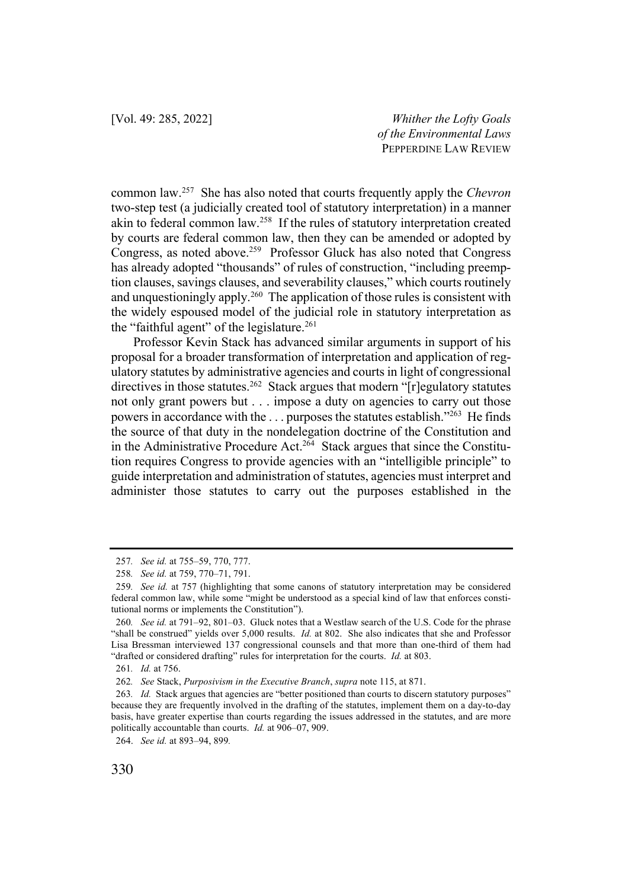common law.257 She has also noted that courts frequently apply the *Chevron* two-step test (a judicially created tool of statutory interpretation) in a manner akin to federal common law.<sup>258</sup> If the rules of statutory interpretation created by courts are federal common law, then they can be amended or adopted by Congress, as noted above.<sup>259</sup> Professor Gluck has also noted that Congress has already adopted "thousands" of rules of construction, "including preemption clauses, savings clauses, and severability clauses," which courts routinely and unquestioningly apply.<sup>260</sup> The application of those rules is consistent with the widely espoused model of the judicial role in statutory interpretation as the "faithful agent" of the legislature.<sup>261</sup>

Professor Kevin Stack has advanced similar arguments in support of his proposal for a broader transformation of interpretation and application of regulatory statutes by administrative agencies and courts in light of congressional directives in those statutes.<sup>262</sup> Stack argues that modern " $r$ ] regulatory statutes not only grant powers but . . . impose a duty on agencies to carry out those powers in accordance with the . . . purposes the statutes establish."263 He finds the source of that duty in the nondelegation doctrine of the Constitution and in the Administrative Procedure Act.<sup>264</sup> Stack argues that since the Constitution requires Congress to provide agencies with an "intelligible principle" to guide interpretation and administration of statutes, agencies must interpret and administer those statutes to carry out the purposes established in the

<sup>257</sup>*. See id.* at 755–59, 770, 777.

<sup>258</sup>*. See id.* at 759, 770–71, 791.

<sup>259</sup>*. See id.* at 757 (highlighting that some canons of statutory interpretation may be considered federal common law, while some "might be understood as a special kind of law that enforces constitutional norms or implements the Constitution").

<sup>260</sup>*. See id.* at 791–92, 801–03. Gluck notes that a Westlaw search of the U.S. Code for the phrase "shall be construed" yields over 5,000 results. *Id.* at 802. She also indicates that she and Professor Lisa Bressman interviewed 137 congressional counsels and that more than one-third of them had "drafted or considered drafting" rules for interpretation for the courts. *Id.* at 803.

<sup>261</sup>*. Id.* at 756.

<sup>262</sup>*. See* Stack, *Purposivism in the Executive Branch*, *supra* note 115, at 871.

<sup>263</sup>*. Id.* Stack argues that agencies are "better positioned than courts to discern statutory purposes" because they are frequently involved in the drafting of the statutes, implement them on a day-to-day basis, have greater expertise than courts regarding the issues addressed in the statutes, and are more politically accountable than courts. *Id.* at 906–07, 909.

<sup>264.</sup> *See id.* at 893–94, 899*.*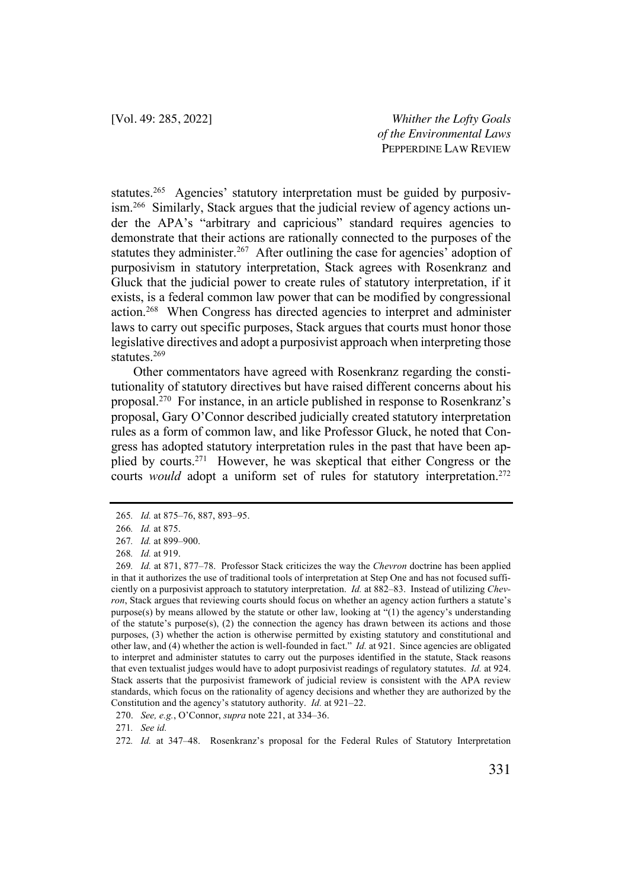statutes.<sup>265</sup> Agencies' statutory interpretation must be guided by purposivism.266 Similarly, Stack argues that the judicial review of agency actions under the APA's "arbitrary and capricious" standard requires agencies to demonstrate that their actions are rationally connected to the purposes of the statutes they administer.<sup>267</sup> After outlining the case for agencies' adoption of purposivism in statutory interpretation, Stack agrees with Rosenkranz and Gluck that the judicial power to create rules of statutory interpretation, if it exists, is a federal common law power that can be modified by congressional action.268 When Congress has directed agencies to interpret and administer laws to carry out specific purposes, Stack argues that courts must honor those legislative directives and adopt a purposivist approach when interpreting those statutes.269

Other commentators have agreed with Rosenkranz regarding the constitutionality of statutory directives but have raised different concerns about his proposal.270 For instance, in an article published in response to Rosenkranz's proposal, Gary O'Connor described judicially created statutory interpretation rules as a form of common law, and like Professor Gluck, he noted that Congress has adopted statutory interpretation rules in the past that have been applied by courts.271 However, he was skeptical that either Congress or the courts *would* adopt a uniform set of rules for statutory interpretation.<sup>272</sup>

<sup>265</sup>*. Id.* at 875–76, 887, 893–95.

<sup>266</sup>*. Id.* at 875.

<sup>267</sup>*. Id.* at 899–900.

<sup>268</sup>*. Id.* at 919.

<sup>269</sup>*. Id.* at 871, 877–78. Professor Stack criticizes the way the *Chevron* doctrine has been applied in that it authorizes the use of traditional tools of interpretation at Step One and has not focused sufficiently on a purposivist approach to statutory interpretation. *Id.* at 882–83. Instead of utilizing *Chevron*, Stack argues that reviewing courts should focus on whether an agency action furthers a statute's purpose(s) by means allowed by the statute or other law, looking at "(1) the agency's understanding of the statute's purpose $(s)$ ,  $(2)$  the connection the agency has drawn between its actions and those purposes, (3) whether the action is otherwise permitted by existing statutory and constitutional and other law, and (4) whether the action is well-founded in fact." *Id.* at 921. Since agencies are obligated to interpret and administer statutes to carry out the purposes identified in the statute, Stack reasons that even textualist judges would have to adopt purposivist readings of regulatory statutes. *Id.* at 924. Stack asserts that the purposivist framework of judicial review is consistent with the APA review standards, which focus on the rationality of agency decisions and whether they are authorized by the Constitution and the agency's statutory authority. *Id.* at 921–22.

<sup>270.</sup> *See, e.g.*, O'Connor, *supra* note 221, at 334–36.

<sup>271</sup>*. See id.*

<sup>272</sup>*. Id.* at 347–48. Rosenkranz's proposal for the Federal Rules of Statutory Interpretation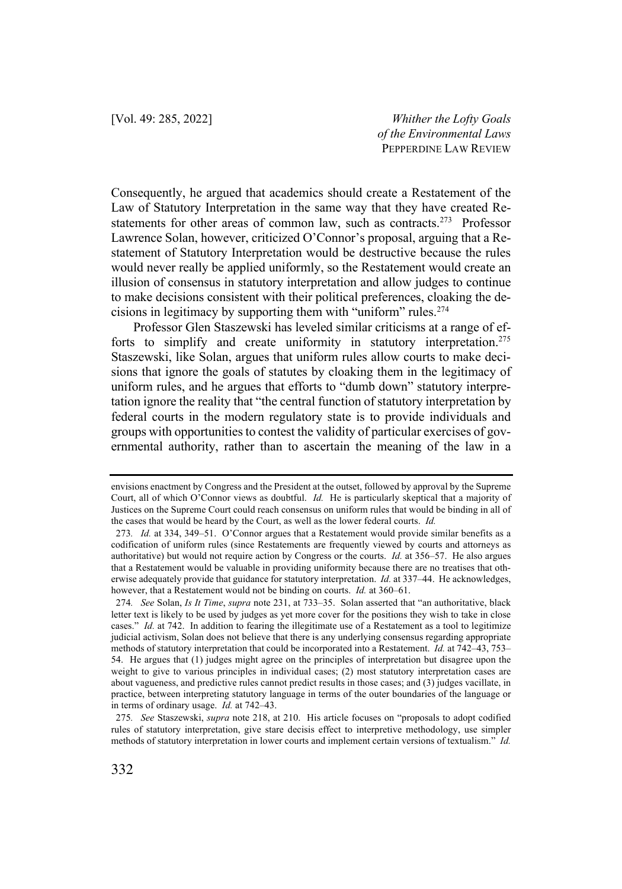Consequently, he argued that academics should create a Restatement of the Law of Statutory Interpretation in the same way that they have created Restatements for other areas of common law, such as contracts.<sup>273</sup> Professor Lawrence Solan, however, criticized O'Connor's proposal, arguing that a Restatement of Statutory Interpretation would be destructive because the rules would never really be applied uniformly, so the Restatement would create an illusion of consensus in statutory interpretation and allow judges to continue to make decisions consistent with their political preferences, cloaking the decisions in legitimacy by supporting them with "uniform" rules.274

Professor Glen Staszewski has leveled similar criticisms at a range of efforts to simplify and create uniformity in statutory interpretation.<sup>275</sup> Staszewski, like Solan, argues that uniform rules allow courts to make decisions that ignore the goals of statutes by cloaking them in the legitimacy of uniform rules, and he argues that efforts to "dumb down" statutory interpretation ignore the reality that "the central function of statutory interpretation by federal courts in the modern regulatory state is to provide individuals and groups with opportunities to contest the validity of particular exercises of governmental authority, rather than to ascertain the meaning of the law in a

envisions enactment by Congress and the President at the outset, followed by approval by the Supreme Court, all of which O'Connor views as doubtful. *Id.* He is particularly skeptical that a majority of Justices on the Supreme Court could reach consensus on uniform rules that would be binding in all of the cases that would be heard by the Court, as well as the lower federal courts. *Id.*

<sup>273</sup>*. Id.* at 334, 349–51. O'Connor argues that a Restatement would provide similar benefits as a codification of uniform rules (since Restatements are frequently viewed by courts and attorneys as authoritative) but would not require action by Congress or the courts. *Id.* at 356–57. He also argues that a Restatement would be valuable in providing uniformity because there are no treatises that otherwise adequately provide that guidance for statutory interpretation. *Id.* at 337–44. He acknowledges, however, that a Restatement would not be binding on courts. *Id.* at 360–61.

<sup>274</sup>*. See* Solan, *Is It Time*, *supra* note 231, at 733–35. Solan asserted that "an authoritative, black letter text is likely to be used by judges as yet more cover for the positions they wish to take in close cases." *Id.* at 742. In addition to fearing the illegitimate use of a Restatement as a tool to legitimize judicial activism, Solan does not believe that there is any underlying consensus regarding appropriate methods of statutory interpretation that could be incorporated into a Restatement. *Id.* at 742–43, 753– 54. He argues that (1) judges might agree on the principles of interpretation but disagree upon the weight to give to various principles in individual cases; (2) most statutory interpretation cases are about vagueness, and predictive rules cannot predict results in those cases; and (3) judges vacillate, in practice, between interpreting statutory language in terms of the outer boundaries of the language or in terms of ordinary usage. *Id.* at 742–43.

<sup>275</sup>*. See* Staszewski, *supra* note 218, at 210. His article focuses on "proposals to adopt codified rules of statutory interpretation, give stare decisis effect to interpretive methodology, use simpler methods of statutory interpretation in lower courts and implement certain versions of textualism." *Id.*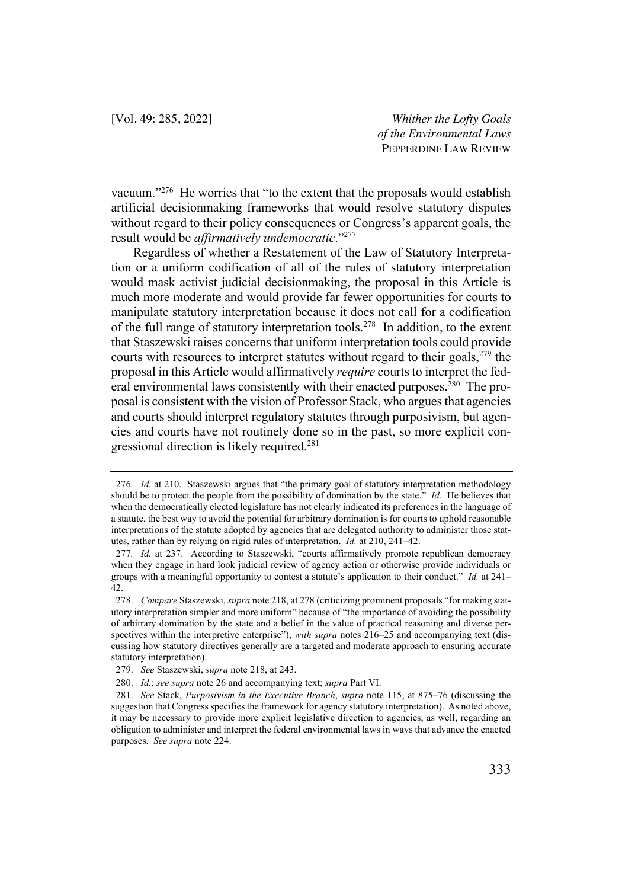vacuum."276 He worries that "to the extent that the proposals would establish artificial decisionmaking frameworks that would resolve statutory disputes without regard to their policy consequences or Congress's apparent goals, the result would be *affirmatively undemocratic*."277

Regardless of whether a Restatement of the Law of Statutory Interpretation or a uniform codification of all of the rules of statutory interpretation would mask activist judicial decisionmaking, the proposal in this Article is much more moderate and would provide far fewer opportunities for courts to manipulate statutory interpretation because it does not call for a codification of the full range of statutory interpretation tools.278 In addition, to the extent that Staszewski raises concerns that uniform interpretation tools could provide courts with resources to interpret statutes without regard to their goals, $279$  the proposal in this Article would affirmatively *require* courts to interpret the federal environmental laws consistently with their enacted purposes.<sup>280</sup> The proposal is consistent with the vision of Professor Stack, who argues that agencies and courts should interpret regulatory statutes through purposivism, but agencies and courts have not routinely done so in the past, so more explicit congressional direction is likely required.281

<sup>276</sup>*. Id.* at 210. Staszewski argues that "the primary goal of statutory interpretation methodology should be to protect the people from the possibility of domination by the state." *Id.* He believes that when the democratically elected legislature has not clearly indicated its preferences in the language of a statute, the best way to avoid the potential for arbitrary domination is for courts to uphold reasonable interpretations of the statute adopted by agencies that are delegated authority to administer those statutes, rather than by relying on rigid rules of interpretation. *Id.* at 210, 241–42.

<sup>277</sup>*. Id.* at 237. According to Staszewski, "courts affirmatively promote republican democracy when they engage in hard look judicial review of agency action or otherwise provide individuals or groups with a meaningful opportunity to contest a statute's application to their conduct." *Id.* at 241– 42.

<sup>278.</sup> *Compare* Staszewski, *supra* note 218, at 278 (criticizing prominent proposals "for making statutory interpretation simpler and more uniform" because of "the importance of avoiding the possibility of arbitrary domination by the state and a belief in the value of practical reasoning and diverse perspectives within the interpretive enterprise"), *with supra* notes 216–25 and accompanying text (discussing how statutory directives generally are a targeted and moderate approach to ensuring accurate statutory interpretation).

<sup>279.</sup> *See* Staszewski, *supra* note 218, at 243.

<sup>280.</sup> *Id.*; *see supra* note 26 and accompanying text; *supra* Part VI.

<sup>281.</sup> *See* Stack, *Purposivism in the Executive Branch*, *supra* note 115, at 875–76 (discussing the suggestion that Congress specifies the framework for agency statutory interpretation). As noted above, it may be necessary to provide more explicit legislative direction to agencies, as well, regarding an obligation to administer and interpret the federal environmental laws in ways that advance the enacted purposes. *See supra* note 224.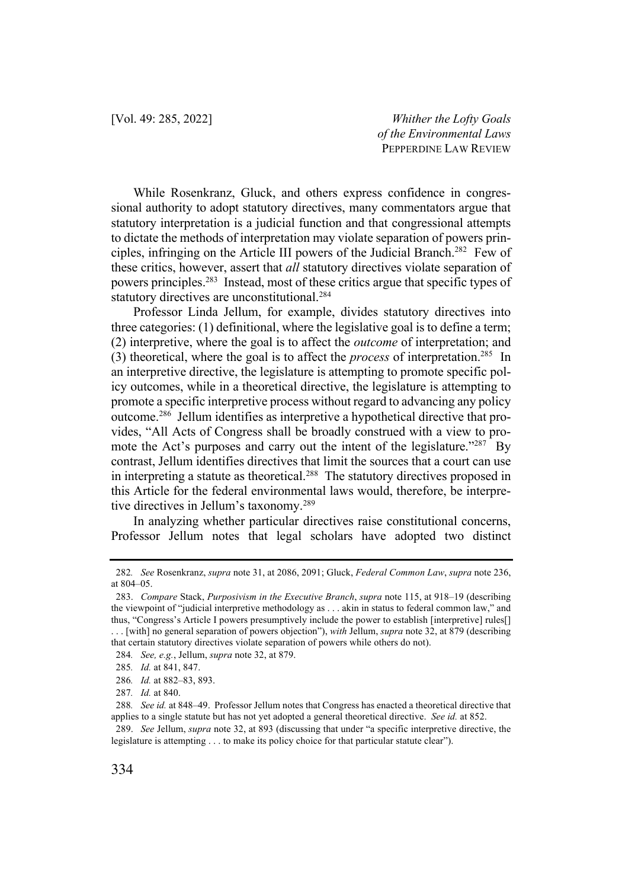While Rosenkranz, Gluck, and others express confidence in congressional authority to adopt statutory directives, many commentators argue that statutory interpretation is a judicial function and that congressional attempts to dictate the methods of interpretation may violate separation of powers principles, infringing on the Article III powers of the Judicial Branch.282 Few of these critics, however, assert that *all* statutory directives violate separation of powers principles.283 Instead, most of these critics argue that specific types of statutory directives are unconstitutional.<sup>284</sup>

Professor Linda Jellum, for example, divides statutory directives into three categories: (1) definitional, where the legislative goal is to define a term; (2) interpretive, where the goal is to affect the *outcome* of interpretation; and (3) theoretical, where the goal is to affect the *process* of interpretation.285 In an interpretive directive, the legislature is attempting to promote specific policy outcomes, while in a theoretical directive, the legislature is attempting to promote a specific interpretive process without regard to advancing any policy outcome.286 Jellum identifies as interpretive a hypothetical directive that provides, "All Acts of Congress shall be broadly construed with a view to promote the Act's purposes and carry out the intent of the legislature."<sup>287</sup> By contrast, Jellum identifies directives that limit the sources that a court can use in interpreting a statute as theoretical.<sup>288</sup> The statutory directives proposed in this Article for the federal environmental laws would, therefore, be interpretive directives in Jellum's taxonomy.289

In analyzing whether particular directives raise constitutional concerns, Professor Jellum notes that legal scholars have adopted two distinct

<sup>282</sup>*. See* Rosenkranz, *supra* note 31, at 2086, 2091; Gluck, *Federal Common Law*, *supra* note 236, at 804–05.

<sup>283.</sup> *Compare* Stack, *Purposivism in the Executive Branch*, *supra* note 115, at 918–19 (describing the viewpoint of "judicial interpretive methodology as . . . akin in status to federal common law," and thus, "Congress's Article I powers presumptively include the power to establish [interpretive] rules[] . . . [with] no general separation of powers objection"), *with* Jellum, *supra* note 32, at 879 (describing that certain statutory directives violate separation of powers while others do not).

<sup>284</sup>*. See, e.g.*, Jellum, *supra* note 32, at 879.

<sup>285</sup>*. Id.* at 841, 847.

<sup>286</sup>*. Id.* at 882–83, 893.

<sup>287</sup>*. Id.* at 840.

<sup>288</sup>*. See id.* at 848–49. Professor Jellum notes that Congress has enacted a theoretical directive that applies to a single statute but has not yet adopted a general theoretical directive. *See id.* at 852.

<sup>289.</sup> *See* Jellum, *supra* note 32, at 893 (discussing that under "a specific interpretive directive, the legislature is attempting . . . to make its policy choice for that particular statute clear").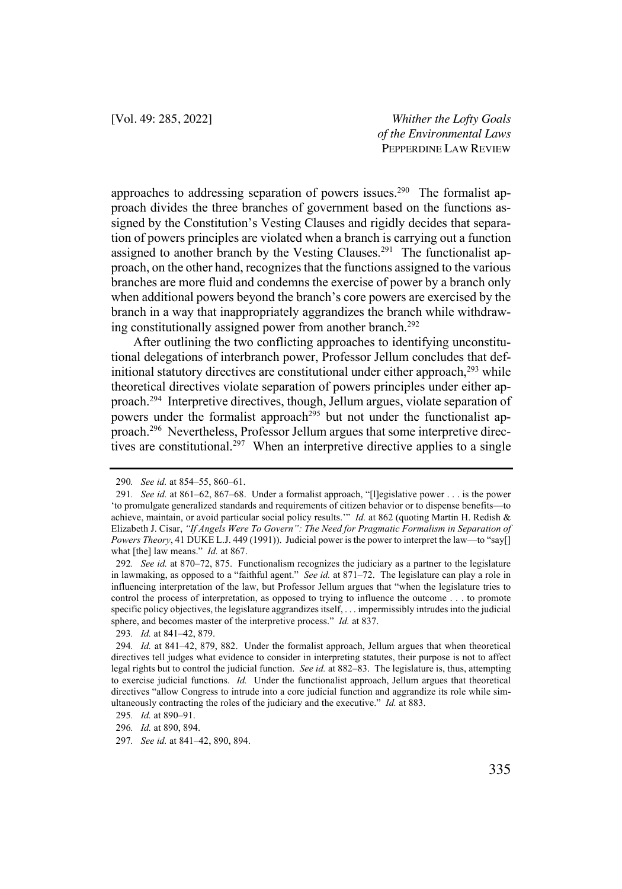approaches to addressing separation of powers issues.<sup>290</sup> The formalist approach divides the three branches of government based on the functions assigned by the Constitution's Vesting Clauses and rigidly decides that separation of powers principles are violated when a branch is carrying out a function assigned to another branch by the Vesting Clauses.<sup>291</sup> The functionalist approach, on the other hand, recognizes that the functions assigned to the various branches are more fluid and condemns the exercise of power by a branch only when additional powers beyond the branch's core powers are exercised by the branch in a way that inappropriately aggrandizes the branch while withdrawing constitutionally assigned power from another branch.292

After outlining the two conflicting approaches to identifying unconstitutional delegations of interbranch power, Professor Jellum concludes that definitional statutory directives are constitutional under either approach, <sup>293</sup> while theoretical directives violate separation of powers principles under either approach.294 Interpretive directives, though, Jellum argues, violate separation of powers under the formalist approach<sup>295</sup> but not under the functionalist approach.296 Nevertheless, Professor Jellum argues that some interpretive directives are constitutional.<sup>297</sup> When an interpretive directive applies to a single

<sup>290</sup>*. See id.* at 854–55, 860–61.

<sup>291</sup>*. See id.* at 861–62, 867–68. Under a formalist approach, "[l]egislative power . . . is the power 'to promulgate generalized standards and requirements of citizen behavior or to dispense benefits—to achieve, maintain, or avoid particular social policy results.'" *Id.* at 862 (quoting Martin H. Redish & Elizabeth J. Cisar, *"If Angels Were To Govern": The Need for Pragmatic Formalism in Separation of Powers Theory*, 41 DUKE L.J. 449 (1991)). Judicial power is the power to interpret the law—to "say[] what [the] law means." *Id.* at 867.

<sup>292</sup>*. See id.* at 870–72, 875. Functionalism recognizes the judiciary as a partner to the legislature in lawmaking, as opposed to a "faithful agent." *See id.* at 871–72. The legislature can play a role in influencing interpretation of the law, but Professor Jellum argues that "when the legislature tries to control the process of interpretation, as opposed to trying to influence the outcome . . . to promote specific policy objectives, the legislature aggrandizes itself, . . . impermissibly intrudes into the judicial sphere, and becomes master of the interpretive process." *Id.* at 837.

<sup>293</sup>*. Id.* at 841–42, 879.

<sup>294</sup>*. Id.* at 841–42, 879, 882. Under the formalist approach, Jellum argues that when theoretical directives tell judges what evidence to consider in interpreting statutes, their purpose is not to affect legal rights but to control the judicial function. *See id.* at 882–83. The legislature is, thus, attempting to exercise judicial functions. *Id.* Under the functionalist approach, Jellum argues that theoretical directives "allow Congress to intrude into a core judicial function and aggrandize its role while simultaneously contracting the roles of the judiciary and the executive." *Id.* at 883.

<sup>295</sup>*. Id.* at 890–91.

<sup>296</sup>*. Id.* at 890, 894.

<sup>297</sup>*. See id.* at 841–42, 890, 894.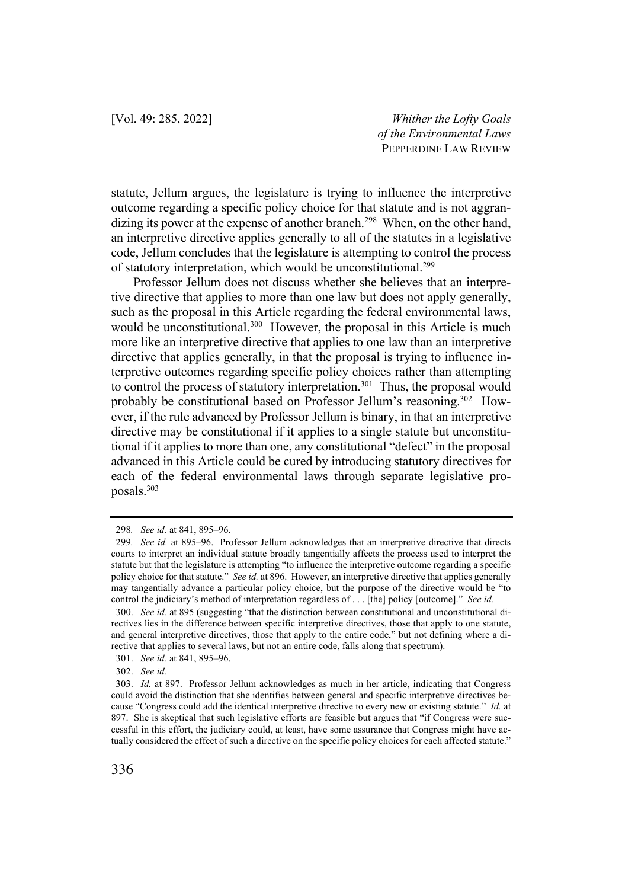statute, Jellum argues, the legislature is trying to influence the interpretive outcome regarding a specific policy choice for that statute and is not aggrandizing its power at the expense of another branch.<sup>298</sup> When, on the other hand, an interpretive directive applies generally to all of the statutes in a legislative code, Jellum concludes that the legislature is attempting to control the process of statutory interpretation, which would be unconstitutional.299

Professor Jellum does not discuss whether she believes that an interpretive directive that applies to more than one law but does not apply generally, such as the proposal in this Article regarding the federal environmental laws, would be unconstitutional.<sup>300</sup> However, the proposal in this Article is much more like an interpretive directive that applies to one law than an interpretive directive that applies generally, in that the proposal is trying to influence interpretive outcomes regarding specific policy choices rather than attempting to control the process of statutory interpretation.<sup>301</sup> Thus, the proposal would probably be constitutional based on Professor Jellum's reasoning.302 However, if the rule advanced by Professor Jellum is binary, in that an interpretive directive may be constitutional if it applies to a single statute but unconstitutional if it applies to more than one, any constitutional "defect" in the proposal advanced in this Article could be cured by introducing statutory directives for each of the federal environmental laws through separate legislative proposals.303

<sup>298</sup>*. See id.* at 841, 895–96.

<sup>299</sup>*. See id.* at 895–96. Professor Jellum acknowledges that an interpretive directive that directs courts to interpret an individual statute broadly tangentially affects the process used to interpret the statute but that the legislature is attempting "to influence the interpretive outcome regarding a specific policy choice for that statute." *See id.* at 896. However, an interpretive directive that applies generally may tangentially advance a particular policy choice, but the purpose of the directive would be "to control the judiciary's method of interpretation regardless of . . . [the] policy [outcome]." *See id.* 

<sup>300.</sup> *See id.* at 895 (suggesting "that the distinction between constitutional and unconstitutional directives lies in the difference between specific interpretive directives, those that apply to one statute, and general interpretive directives, those that apply to the entire code," but not defining where a directive that applies to several laws, but not an entire code, falls along that spectrum).

<sup>301.</sup> *See id.* at 841, 895–96.

<sup>302.</sup> *See id.*

<sup>303.</sup> *Id.* at 897. Professor Jellum acknowledges as much in her article, indicating that Congress could avoid the distinction that she identifies between general and specific interpretive directives because "Congress could add the identical interpretive directive to every new or existing statute." *Id.* at 897. She is skeptical that such legislative efforts are feasible but argues that "if Congress were successful in this effort, the judiciary could, at least, have some assurance that Congress might have actually considered the effect of such a directive on the specific policy choices for each affected statute."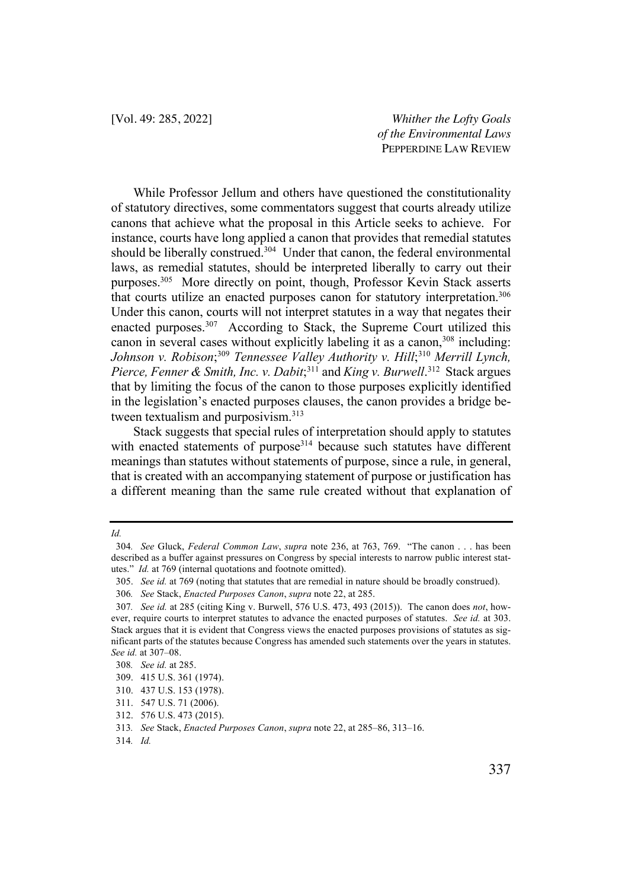While Professor Jellum and others have questioned the constitutionality of statutory directives, some commentators suggest that courts already utilize canons that achieve what the proposal in this Article seeks to achieve. For instance, courts have long applied a canon that provides that remedial statutes should be liberally construed. $304$  Under that canon, the federal environmental laws, as remedial statutes, should be interpreted liberally to carry out their purposes.305 More directly on point, though, Professor Kevin Stack asserts that courts utilize an enacted purposes canon for statutory interpretation.<sup>306</sup> Under this canon, courts will not interpret statutes in a way that negates their enacted purposes.<sup>307</sup> According to Stack, the Supreme Court utilized this canon in several cases without explicitly labeling it as a canon, <sup>308</sup> including: Johnson v. Robison;<sup>309</sup> Tennessee Valley Authority v. Hill;<sup>310</sup> Merrill Lynch, Pierce, Fenner & Smith, Inc. *v. Dabit*;<sup>311</sup> and *King v. Burwell*.<sup>312</sup> Stack argues that by limiting the focus of the canon to those purposes explicitly identified in the legislation's enacted purposes clauses, the canon provides a bridge between textualism and purposivism.<sup>313</sup>

Stack suggests that special rules of interpretation should apply to statutes with enacted statements of purpose<sup>314</sup> because such statutes have different meanings than statutes without statements of purpose, since a rule, in general, that is created with an accompanying statement of purpose or justification has a different meaning than the same rule created without that explanation of

*Id.* 

<sup>304</sup>*. See* Gluck, *Federal Common Law*, *supra* note 236, at 763, 769. "The canon . . . has been described as a buffer against pressures on Congress by special interests to narrow public interest statutes." *Id.* at 769 (internal quotations and footnote omitted).

<sup>305.</sup> *See id.* at 769 (noting that statutes that are remedial in nature should be broadly construed).

<sup>306</sup>*. See* Stack, *Enacted Purposes Canon*, *supra* note 22, at 285.

<sup>307</sup>*. See id.* at 285 (citing King v. Burwell, 576 U.S. 473, 493 (2015)). The canon does *not*, however, require courts to interpret statutes to advance the enacted purposes of statutes. *See id.* at 303. Stack argues that it is evident that Congress views the enacted purposes provisions of statutes as significant parts of the statutes because Congress has amended such statements over the years in statutes. *See id.* at 307–08.

<sup>308</sup>*. See id.* at 285.

<sup>309.</sup> 415 U.S. 361 (1974).

<sup>310.</sup> 437 U.S. 153 (1978).

<sup>311.</sup> 547 U.S. 71 (2006).

<sup>312.</sup> 576 U.S. 473 (2015).

<sup>313</sup>*. See* Stack, *Enacted Purposes Canon*, *supra* note 22, at 285–86, 313–16.

<sup>314</sup>*. Id.*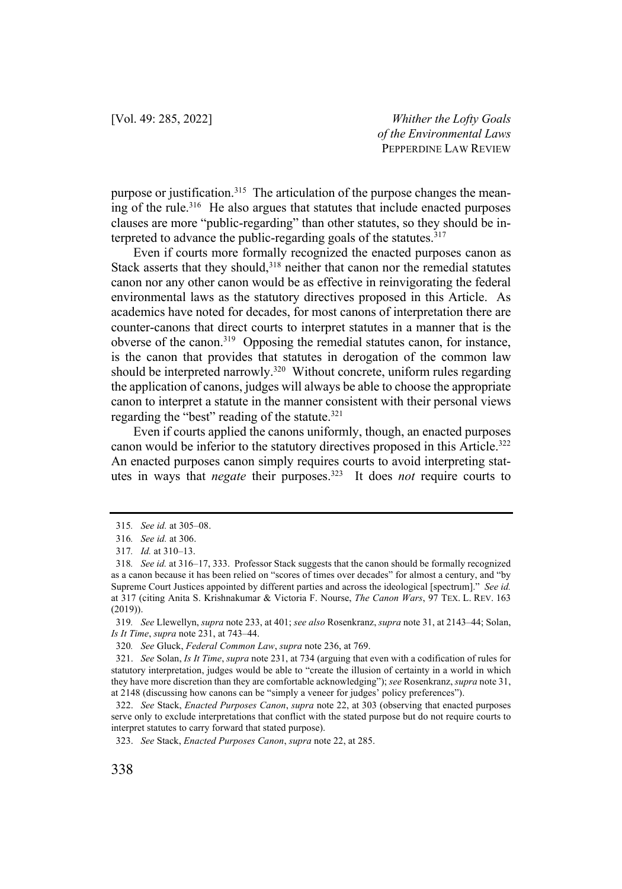purpose or justification.<sup>315</sup> The articulation of the purpose changes the meaning of the rule.316 He also argues that statutes that include enacted purposes clauses are more "public-regarding" than other statutes, so they should be interpreted to advance the public-regarding goals of the statutes. $317$ 

Even if courts more formally recognized the enacted purposes canon as Stack asserts that they should,<sup>318</sup> neither that canon nor the remedial statutes canon nor any other canon would be as effective in reinvigorating the federal environmental laws as the statutory directives proposed in this Article. As academics have noted for decades, for most canons of interpretation there are counter-canons that direct courts to interpret statutes in a manner that is the obverse of the canon.<sup>319</sup> Opposing the remedial statutes canon, for instance, is the canon that provides that statutes in derogation of the common law should be interpreted narrowly.<sup>320</sup> Without concrete, uniform rules regarding the application of canons, judges will always be able to choose the appropriate canon to interpret a statute in the manner consistent with their personal views regarding the "best" reading of the statute.<sup>321</sup>

Even if courts applied the canons uniformly, though, an enacted purposes canon would be inferior to the statutory directives proposed in this Article.322 An enacted purposes canon simply requires courts to avoid interpreting statutes in ways that *negate* their purposes.323 It does *not* require courts to

<sup>315</sup>*. See id.* at 305–08.

<sup>316</sup>*. See id.* at 306.

<sup>317</sup>*. Id.* at 310–13.

<sup>318</sup>*. See id.* at 316–17, 333. Professor Stack suggests that the canon should be formally recognized as a canon because it has been relied on "scores of times over decades" for almost a century, and "by Supreme Court Justices appointed by different parties and across the ideological [spectrum]." *See id.*  at 317 (citing Anita S. Krishnakumar & Victoria F. Nourse, *The Canon Wars*, 97 TEX. L. REV. 163 (2019)).

<sup>319</sup>*. See* Llewellyn, *supra* note 233, at 401; *see also* Rosenkranz, *supra* note 31, at 2143–44; Solan, *Is It Time*, *supra* note 231, at 743–44.

<sup>320</sup>*. See* Gluck, *Federal Common Law*, *supra* note 236, at 769.

<sup>321.</sup> *See* Solan, *Is It Time*, *supra* note 231, at 734 (arguing that even with a codification of rules for statutory interpretation, judges would be able to "create the illusion of certainty in a world in which they have more discretion than they are comfortable acknowledging"); *see* Rosenkranz, *supra* note 31, at 2148 (discussing how canons can be "simply a veneer for judges' policy preferences").

<sup>322.</sup> *See* Stack, *Enacted Purposes Canon*, *supra* note 22, at 303 (observing that enacted purposes serve only to exclude interpretations that conflict with the stated purpose but do not require courts to interpret statutes to carry forward that stated purpose).

<sup>323.</sup> *See* Stack, *Enacted Purposes Canon*, *supra* note 22, at 285.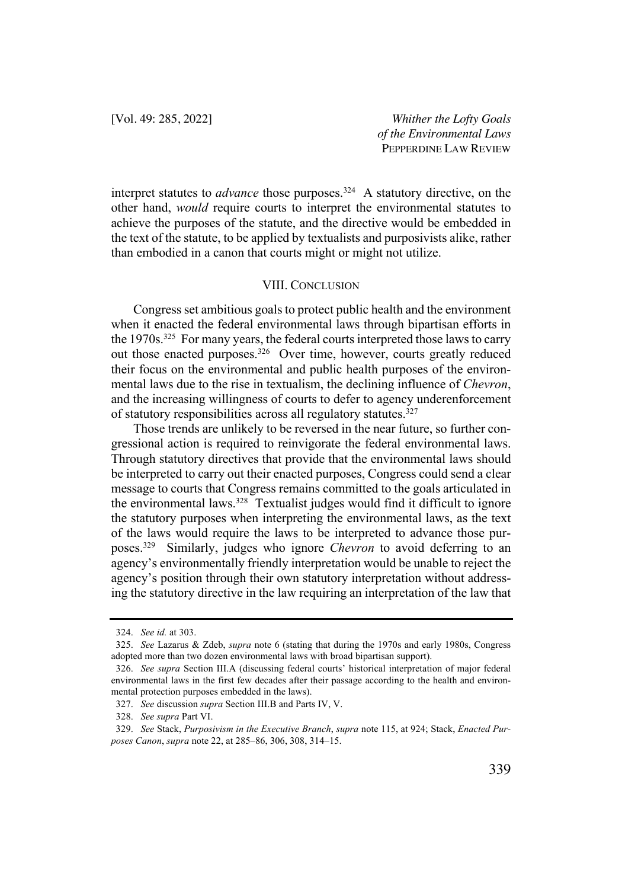interpret statutes to *advance* those purposes.<sup>324</sup> A statutory directive, on the other hand, *would* require courts to interpret the environmental statutes to achieve the purposes of the statute, and the directive would be embedded in the text of the statute, to be applied by textualists and purposivists alike, rather than embodied in a canon that courts might or might not utilize.

## VIII. CONCLUSION

Congress set ambitious goals to protect public health and the environment when it enacted the federal environmental laws through bipartisan efforts in the 1970s.325 For many years, the federal courts interpreted those laws to carry out those enacted purposes.326 Over time, however, courts greatly reduced their focus on the environmental and public health purposes of the environmental laws due to the rise in textualism, the declining influence of *Chevron*, and the increasing willingness of courts to defer to agency underenforcement of statutory responsibilities across all regulatory statutes.327

Those trends are unlikely to be reversed in the near future, so further congressional action is required to reinvigorate the federal environmental laws. Through statutory directives that provide that the environmental laws should be interpreted to carry out their enacted purposes, Congress could send a clear message to courts that Congress remains committed to the goals articulated in the environmental laws.<sup>328</sup> Textualist judges would find it difficult to ignore the statutory purposes when interpreting the environmental laws, as the text of the laws would require the laws to be interpreted to advance those purposes.329 Similarly, judges who ignore *Chevron* to avoid deferring to an agency's environmentally friendly interpretation would be unable to reject the agency's position through their own statutory interpretation without addressing the statutory directive in the law requiring an interpretation of the law that

<sup>324.</sup> *See id.* at 303.

<sup>325.</sup> *See* Lazarus & Zdeb, *supra* note 6 (stating that during the 1970s and early 1980s, Congress adopted more than two dozen environmental laws with broad bipartisan support).

<sup>326.</sup> *See supra* Section III.A (discussing federal courts' historical interpretation of major federal environmental laws in the first few decades after their passage according to the health and environmental protection purposes embedded in the laws).

<sup>327.</sup> *See* discussion *supra* Section III.B and Parts IV, V.

<sup>328.</sup> *See supra* Part VI.

<sup>329.</sup> *See* Stack, *Purposivism in the Executive Branch*, *supra* note 115, at 924; Stack, *Enacted Purposes Canon*, *supra* note 22, at 285–86, 306, 308, 314–15.